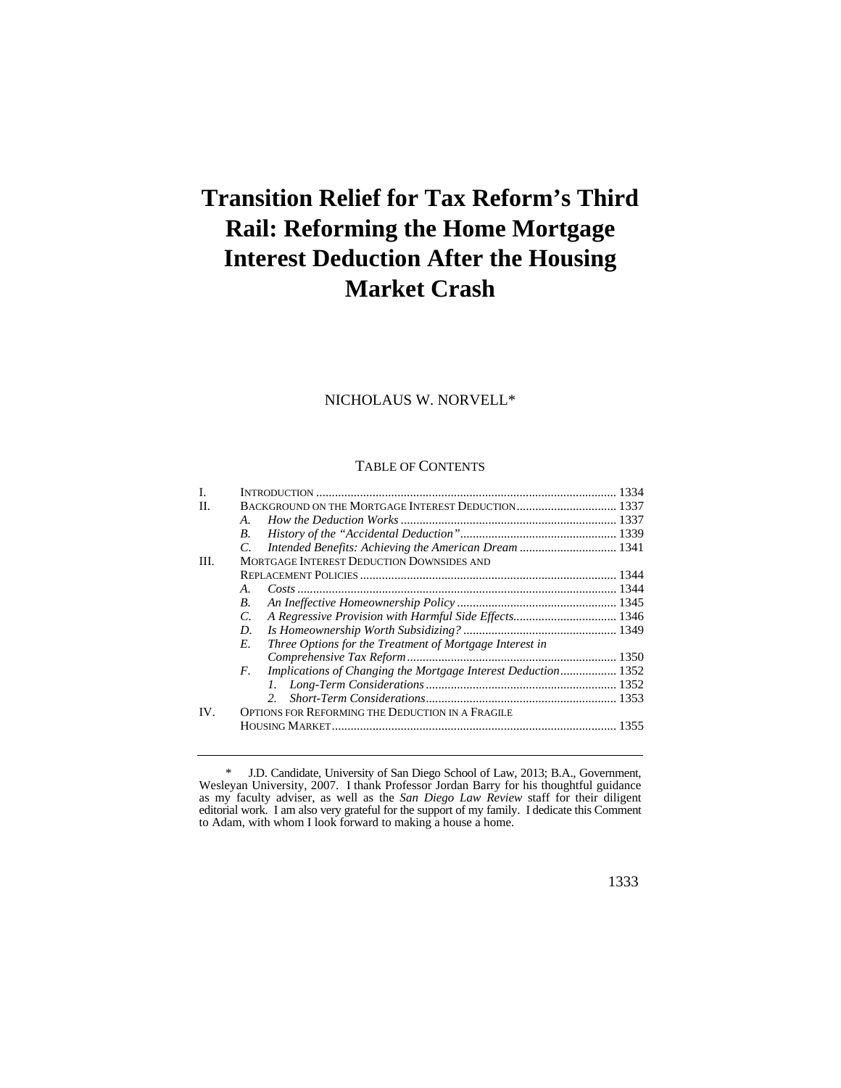# **Transition Relief for Tax Reform's Third Rail: Reforming the Home Mortgage Interest Deduction After the Housing Market Crash**

## NICHOLAUS W. NORVELL\*

#### TABLE OF CONTENTS

| L    |                                                                      |  |
|------|----------------------------------------------------------------------|--|
| H.   |                                                                      |  |
|      | $A_{\cdot}$                                                          |  |
|      | B.                                                                   |  |
|      | Intended Benefits: Achieving the American Dream  1341<br>$C_{\cdot}$ |  |
| III. | MORTGAGE INTEREST DEDUCTION DOWNSIDES AND                            |  |
|      |                                                                      |  |
|      | Cost 1344<br>$\mathbf{A}$ .                                          |  |
|      | B.                                                                   |  |
|      | A Regressive Provision with Harmful Side Effects 1346<br>C.          |  |
|      | D.                                                                   |  |
|      | Three Options for the Treatment of Mortgage Interest in<br>E.        |  |
|      |                                                                      |  |
|      | Implications of Changing the Mortgage Interest Deduction 1352<br>F.  |  |
|      |                                                                      |  |
|      | $2^{\circ}$                                                          |  |
| IV.  | OPTIONS FOR REFORMING THE DEDUCTION IN A FRAGILE                     |  |
|      |                                                                      |  |
|      |                                                                      |  |

 \* J.D. Candidate, University of San Diego School of Law, 2013; B.A., Government, Wesleyan University, 2007. I thank Professor Jordan Barry for his thoughtful guidance as my faculty adviser, as well as the *San Diego Law Review* staff for their diligent editorial work. I am also very grateful for the support of my family. I dedicate this Comment to Adam, with whom I look forward to making a house a home.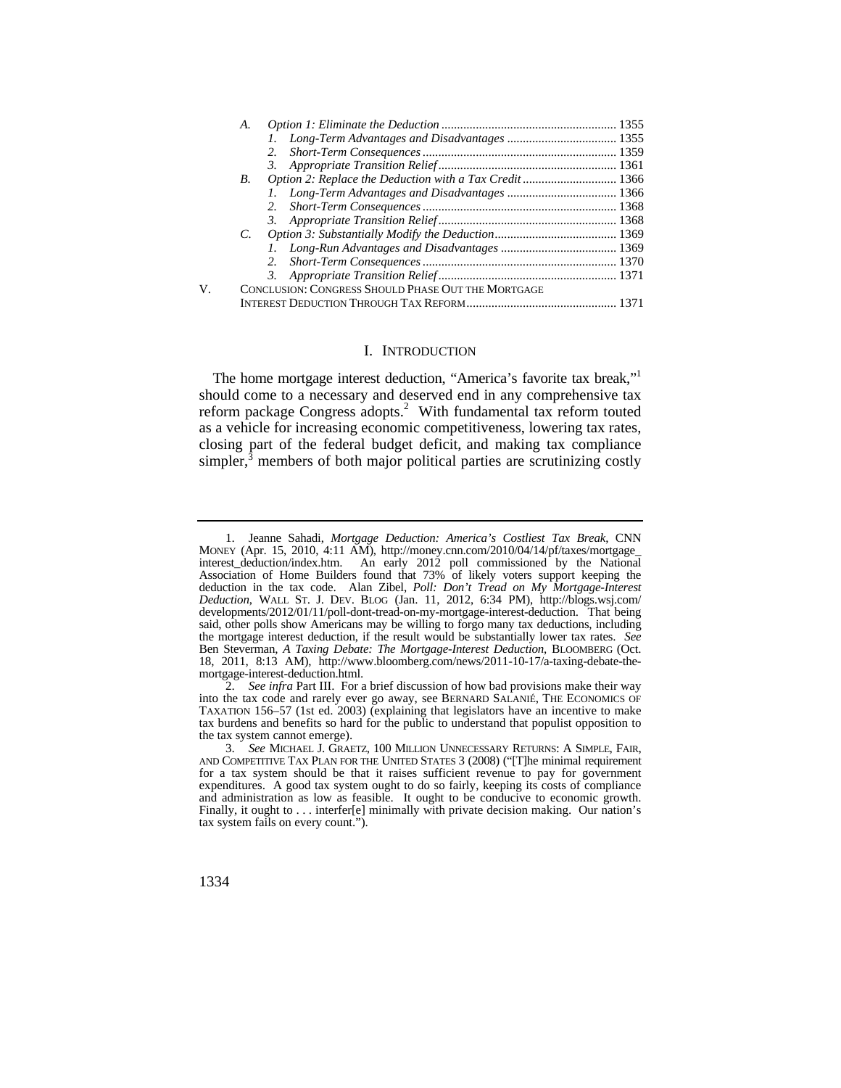|    | А.          |                                                    |  |
|----|-------------|----------------------------------------------------|--|
|    |             |                                                    |  |
|    |             | 2.                                                 |  |
|    |             |                                                    |  |
|    | <b>B.</b>   |                                                    |  |
|    |             |                                                    |  |
|    |             | 2.                                                 |  |
|    |             |                                                    |  |
|    | $C_{\cdot}$ |                                                    |  |
|    |             |                                                    |  |
|    |             | 2.                                                 |  |
|    |             |                                                    |  |
| V. |             | CONCLUSION: CONGRESS SHOULD PHASE OUT THE MORTGAGE |  |
|    |             |                                                    |  |

## I. INTRODUCTION

The home mortgage interest deduction, "America's favorite tax break,"<sup>1</sup> should come to a necessary and deserved end in any comprehensive tax reform package Congress adopts.<sup>2</sup> With fundamental tax reform touted as a vehicle for increasing economic competitiveness, lowering tax rates, closing part of the federal budget deficit, and making tax compliance simpler, $\bar{3}$  members of both major political parties are scrutinizing costly

V.

 interest\_deduction/index.htm. An early 2012 poll commissioned by the National *Deduction*, WALL ST. J. DEV. BLOG (Jan. 11, 2012, 6:34 PM), [http://blogs.wsj.com/](http://blogs.wsj.com) 1. Jeanne Sahadi, *Mortgage Deduction: America's Costliest Tax Break*, CNN MONEY (Apr. 15, 2010, 4:11 AM), [http://money.cnn.com/2010/04/14/pf/taxes/mortgage\\_](http://money.cnn.com/2010/04/14/pf/taxes/mortgage) Association of Home Builders found that 73% of likely voters support keeping the deduction in the tax code. Alan Zibel, *Poll: Don't Tread on My Mortgage-Interest*  developments/2012/01/11/poll-dont-tread-on-my-mortgage-interest-deduction. That being said, other polls show Americans may be willing to forgo many tax deductions, including the mortgage interest deduction, if the result would be substantially lower tax rates. *See*  Ben Steverman, *A Taxing Debate: The Mortgage-Interest Deduction*, BLOOMBERG (Oct. 18, 2011, 8:13 AM), <http://www.bloomberg.com/news/2011-10-17/a-taxing-debate-the>mortgage-interest-deduction.html.

<sup>2.</sup> *See infra* Part III. For a brief discussion of how bad provisions make their way into the tax code and rarely ever go away, see BERNARD SALANIÉ, THE ECONOMICS OF TAXATION 156–57 (1st ed. 2003) (explaining that legislators have an incentive to make tax burdens and benefits so hard for the public to understand that populist opposition to the tax system cannot emerge).

<sup>3.</sup> See MICHAEL J. GRAETZ, 100 MILLION UNNECESSARY RETURNS: A SIMPLE, FAIR, AND COMPETITIVE TAX PLAN FOR THE UNITED STATES 3 (2008) ("[T]he minimal requirement for a tax system should be that it raises sufficient revenue to pay for government expenditures. A good tax system ought to do so fairly, keeping its costs of compliance and administration as low as feasible. It ought to be conducive to economic growth. Finally, it ought to . . . interfer[e] minimally with private decision making. Our nation's tax system fails on every count.").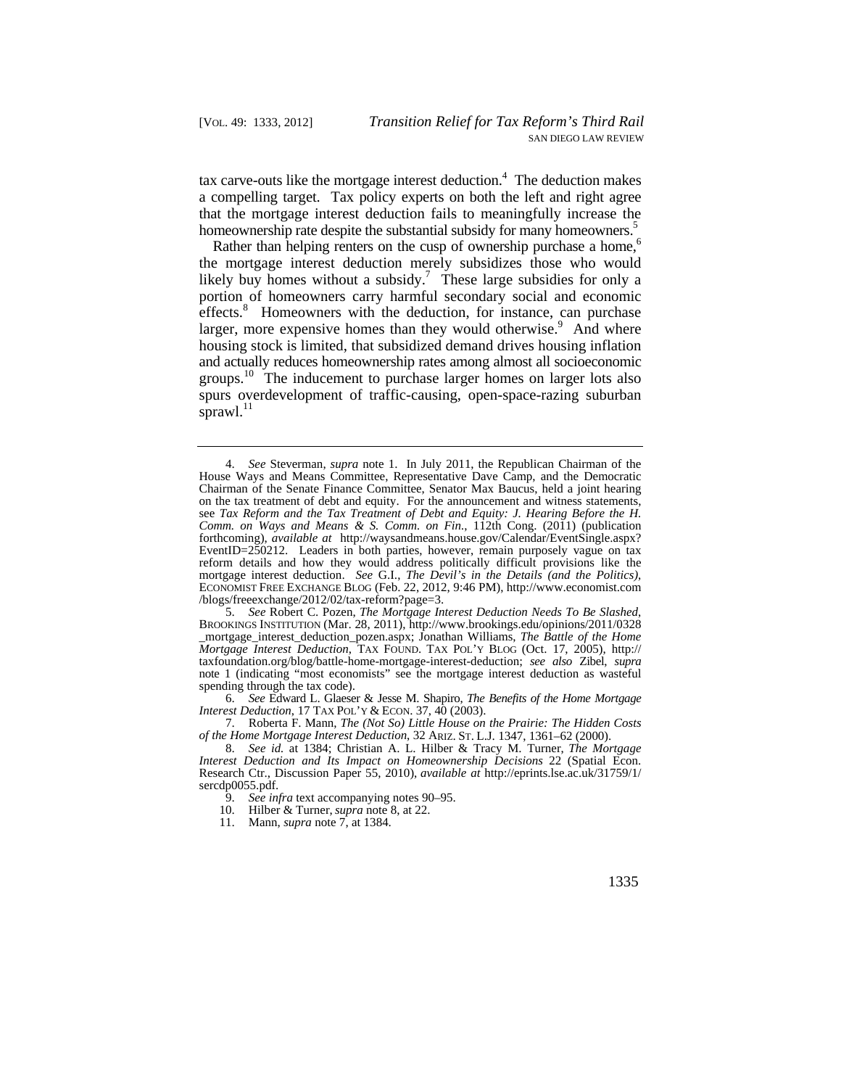tax carve-outs like the mortgage interest deduction.<sup>4</sup> The deduction makes a compelling target. Tax policy experts on both the left and right agree that the mortgage interest deduction fails to meaningfully increase the homeownership rate despite the substantial subsidy for many homeowners.<sup>5</sup>

Rather than helping renters on the cusp of ownership purchase a home,<sup>6</sup> the mortgage interest deduction merely subsidizes those who would likely buy homes without a subsidy.<sup>7</sup> These large subsidies for only a portion of homeowners carry harmful secondary social and economic effects.<sup>8</sup> Homeowners with the deduction, for instance, can purchase larger, more expensive homes than they would otherwise.<sup>9</sup> And where housing stock is limited, that subsidized demand drives housing inflation and actually reduces homeownership rates among almost all socioeconomic groups.<sup>10</sup> The inducement to purchase larger homes on larger lots also spurs overdevelopment of traffic-causing, open-space-razing suburban [sprawl.](https://sprawl.11) $^{11}$ 

5. *See* Robert C. Pozen, *The Mortgage Interest Deduction Needs To Be Slashed*, BROOKINGS INSTITUTION (Mar. 28, 2011), <http://www.brookings.edu/opinions/2011/0328> \_mortgage\_interest\_deduction\_pozen.aspx; Jonathan Williams, *The Battle of the Home Mortgage Interest Deduction*, TAX FOUND. TAX POL'Y BLOG (Oct. 17, 2005), http:// [taxfoundation.org/blog/battle-home-mortgage-interest-deduction](https://taxfoundation.org/blog/battle-home-mortgage-interest-deduction); *see also* Zibel, *supra*  note 1 (indicating "most economists" see the mortgage interest deduction as wasteful spending through the tax code).

6. *See* Edward L. Glaeser & Jesse M. Shapiro, *The Benefits of the Home Mortgage Interest Deduction*, 17 TAX POL'Y & ECON. 37, 40 (2003).

 *of the Home Mortgage Interest Deduction*, 32 ARIZ. ST. L.J. 1347, 1361–62 (2000). 7. Roberta F. Mann, *The (Not So) Little House on the Prairie: The Hidden Costs*

 *Interest Deduction and Its Impact on Homeownership Decisions* 22 (Spatial Econ. 8. *See id.* at 1384; Christian A. L. Hilber & Tracy M. Turner, *The Mortgage*  Research Ctr., Discussion Paper 55, 2010), *available at* [http://eprints.lse.ac.uk/31759/1/](http://eprints.lse.ac.uk/31759/1) sercdp0055.pdf.

9. *See infra* text accompanying notes 90–95.

10. Hilber & Turner, *supra* note 8, at 22.

11. Mann, *supra* note 7, at 1384.

<sup>4.</sup> *See* Steverman, *supra* note 1. In July 2011, the Republican Chairman of the House Ways and Means Committee, Representative Dave Camp, and the Democratic Chairman of the Senate Finance Committee, Senator Max Baucus, held a joint hearing on the tax treatment of debt and equity. For the announcement and witness statements, see *Tax Reform and the Tax Treatment of Debt and Equity: J. Hearing Before the H. Comm. on Ways and Means & S. Comm. on Fin.*, 112th Cong. (2011) (publication forthcoming), *available at* [http://waysandmeans.house.gov/Calendar/EventSingle.aspx?](http://waysandmeans.house.gov/Calendar/EventSingle.aspx) EventID=250212. Leaders in both parties, however, remain purposely vague on tax reform details and how they would address politically difficult provisions like the mortgage interest deduction. *See* G.I., *The Devil's in the Details (and the Politics)*, ECONOMIST FREE EXCHANGE BLOG (Feb. 22, 2012, 9:46 PM), <http://www.economist.com> /blogs/freeexchange/2012/02/tax-reform?page=3.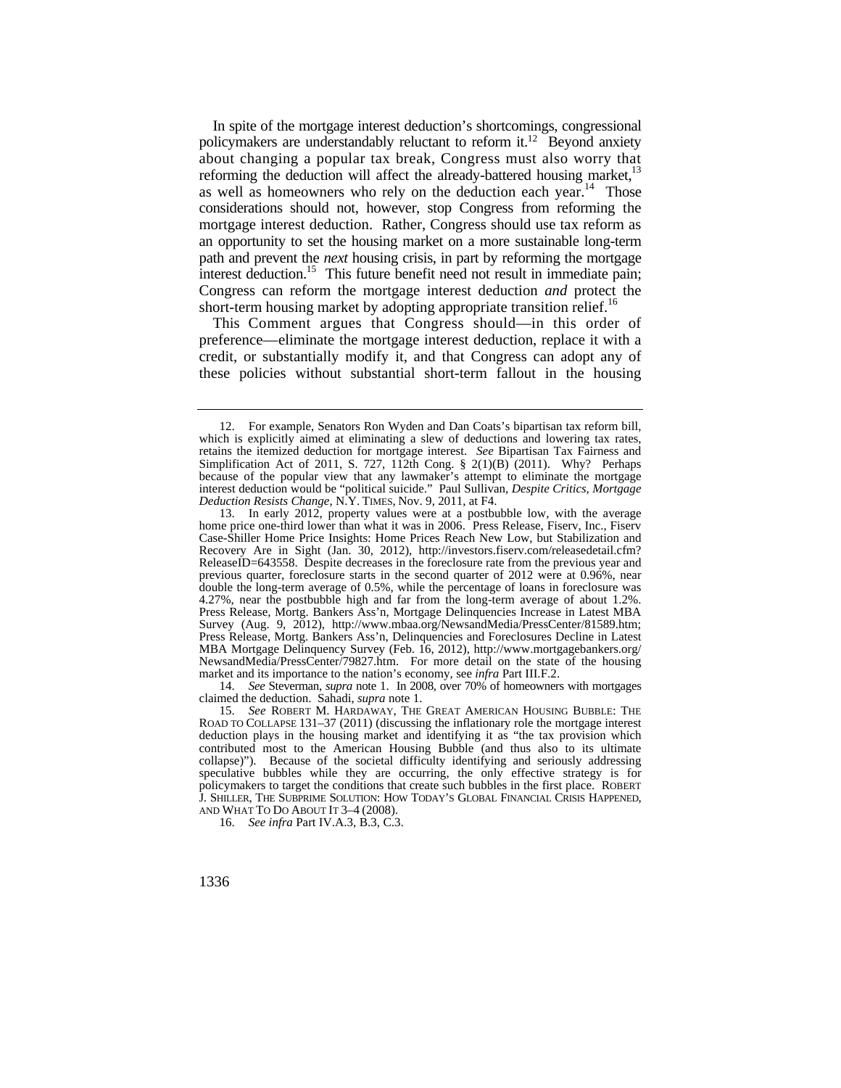path and prevent the *next* housing crisis, in part by reforming the mortgage interest deduction.<sup>15</sup> This future benefit need not result in immediate pain; In spite of the mortgage interest deduction's shortcomings, congressional policymakers are understandably reluctant to reform it.<sup>12</sup> Beyond anxiety about changing a popular tax break, Congress must also worry that reforming the deduction will affect the already-battered housing market,<sup>13</sup> as well as homeowners who rely on the deduction each year.<sup>14</sup> Those considerations should not, however, stop Congress from reforming the mortgage interest deduction. Rather, Congress should use tax reform as an opportunity to set the housing market on a more sustainable long-term Congress can reform the mortgage interest deduction *and* protect the short-term housing market by adopting appropriate transition relief.<sup>16</sup>

This Comment argues that Congress should—in this order of preference—eliminate the mortgage interest deduction, replace it with a credit, or substantially modify it, and that Congress can adopt any of these policies without substantial short-term fallout in the housing

14. *See* Steverman, *supra* note 1. In 2008, over 70% of homeowners with mortgages claimed the deduction. Sahadi, *supra* note 1.

 J. SHILLER, THE SUBPRIME SOLUTION: HOW TODAY'S GLOBAL FINANCIAL CRISIS HAPPENED, AND WHAT TO DO ABOUT IT 3–4 (2008). 15. *See* ROBERT M. HARDAWAY, THE GREAT AMERICAN HOUSING BUBBLE: THE ROAD TO COLLAPSE 131–37 (2011) (discussing the inflationary role the mortgage interest deduction plays in the housing market and identifying it as "the tax provision which contributed most to the American Housing Bubble (and thus also to its ultimate collapse)"). Because of the societal difficulty identifying and seriously addressing speculative bubbles while they are occurring, the only effective strategy is for policymakers to target the conditions that create such bubbles in the first place. ROBERT

16. *See infra* Part IV.A.3, B.3, C.3.

 retains the itemized deduction for mortgage interest. *See* Bipartisan Tax Fairness and Simplification Act of 2011, S. 727, 112th Cong.  $\S$  2(1)(B) (2011). Why? Perhaps *Deduction Resists Change*, N.Y. TIMES, Nov. 9, 2011, at F4. 12. For example, Senators Ron Wyden and Dan Coats's bipartisan tax reform bill, which is explicitly aimed at eliminating a slew of deductions and lowering tax rates, because of the popular view that any lawmaker's attempt to eliminate the mortgage interest deduction would be "political suicide." Paul Sullivan, *Despite Critics, Mortgage* 

<sup>13.</sup> In early 2012, property values were at a postbubble low, with the average home price one-third lower than what it was in 2006. Press Release, Fiserv, Inc., Fiserv Case-Shiller Home Price Insights: Home Prices Reach New Low, but Stabilization and Recovery Are in Sight (Jan. 30, 2012), <http://investors.fiserv.com/releasedetail.cfm>? ReleaseID=643558. Despite decreases in the foreclosure rate from the previous year and previous quarter, foreclosure starts in the second quarter of 2012 were at 0.96%, near double the long-term average of 0.5%, while the percentage of loans in foreclosure was 4.27%, near the postbubble high and far from the long-term average of about 1.2%. Press Release, Mortg. Bankers Ass'n, Mortgage Delinquencies Increase in Latest MBA Survey (Aug. 9, 2012), <http://www.mbaa.org/NewsandMedia/PressCenter/81589.htm>; Press Release, Mortg. Bankers Ass'n, Delinquencies and Foreclosures Decline in Latest MBA Mortgage Delinquency Survey (Feb. 16, 2012), [http://www.mortgagebankers.org/](http://www.mortgagebankers.org) NewsandMedia/PressCenter/79827.htm. For more detail on the state of the housing market and its importance to the nation's economy, see *infra* Part III.F.2.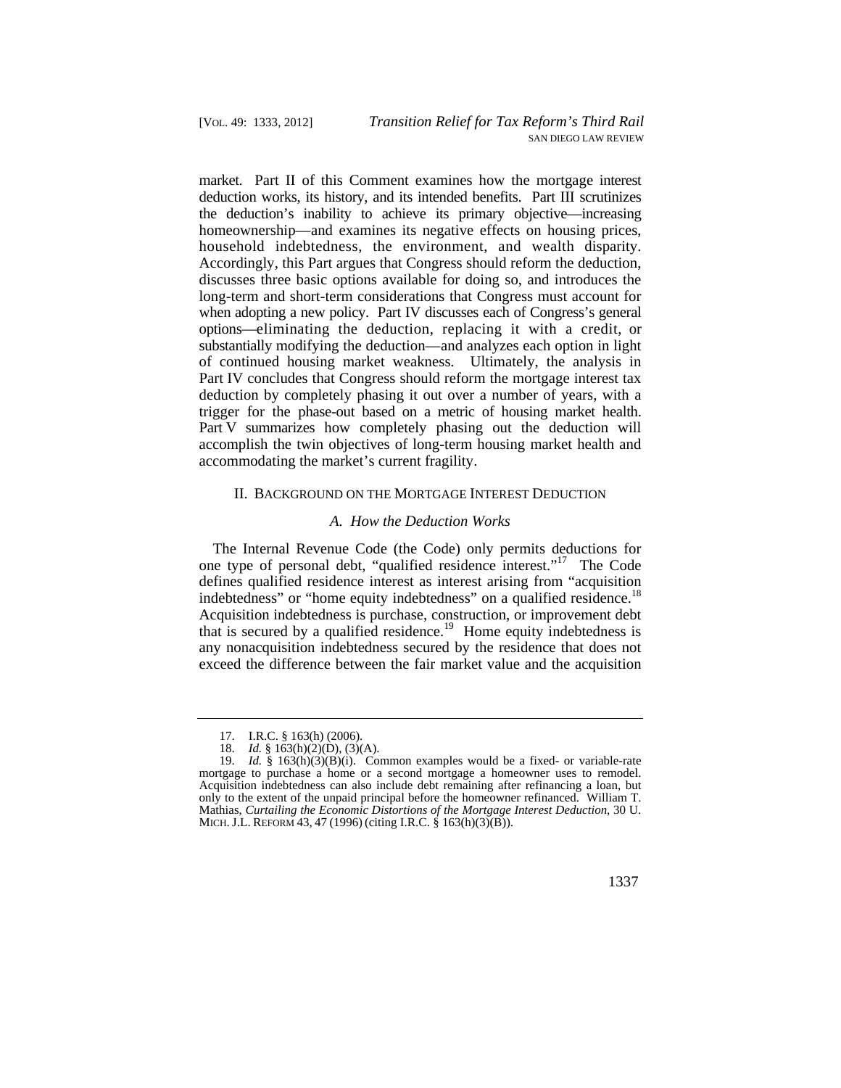market. Part II of this Comment examines how the mortgage interest options—eliminating the deduction, replacing it with a credit, or deduction works, its history, and its intended benefits. Part III scrutinizes the deduction's inability to achieve its primary objective—increasing homeownership—and examines its negative effects on housing prices, household indebtedness, the environment, and wealth disparity. Accordingly, this Part argues that Congress should reform the deduction, discusses three basic options available for doing so, and introduces the long-term and short-term considerations that Congress must account for when adopting a new policy. Part IV discusses each of Congress's general substantially modifying the deduction—and analyzes each option in light of continued housing market weakness. Ultimately, the analysis in Part IV concludes that Congress should reform the mortgage interest tax deduction by completely phasing it out over a number of years, with a trigger for the phase-out based on a metric of housing market health. Part V summarizes how completely phasing out the deduction will accomplish the twin objectives of long-term housing market health and accommodating the market's current fragility.

## II. BACKGROUND ON THE MORTGAGE INTEREST DEDUCTION

#### *A. How the Deduction Works*

indebtedness" or "home equity indebtedness" on a qualified [residence.](https://residence.18)<sup>18</sup> The Internal Revenue Code (the Code) only permits deductions for one type of personal debt, "qualified residence interest."17 The Code defines qualified residence interest as interest arising from "acquisition Acquisition indebtedness is purchase, construction, or improvement debt that is secured by a qualified [residence.](https://residence.19)<sup>19</sup> Home equity indebtedness is any nonacquisition indebtedness secured by the residence that does not exceed the difference between the fair market value and the acquisition

<sup>17.</sup> I.R.C. § 163(h) (2006).

<sup>18.</sup> *Id.* § 163(h)(2)(D), (3)(A).

 MICH. J.L. REFORM 43, 47 (1996) (citing I.R.C. § 163(h)(3)(B)). 19. *Id.* § 163(h)(3)(B)(i). Common examples would be a fixed- or variable-rate mortgage to purchase a home or a second mortgage a homeowner uses to remodel. Acquisition indebtedness can also include debt remaining after refinancing a loan, but only to the extent of the unpaid principal before the homeowner refinanced. William T. Mathias, *Curtailing the Economic Distortions of the Mortgage Interest Deduction*, 30 U.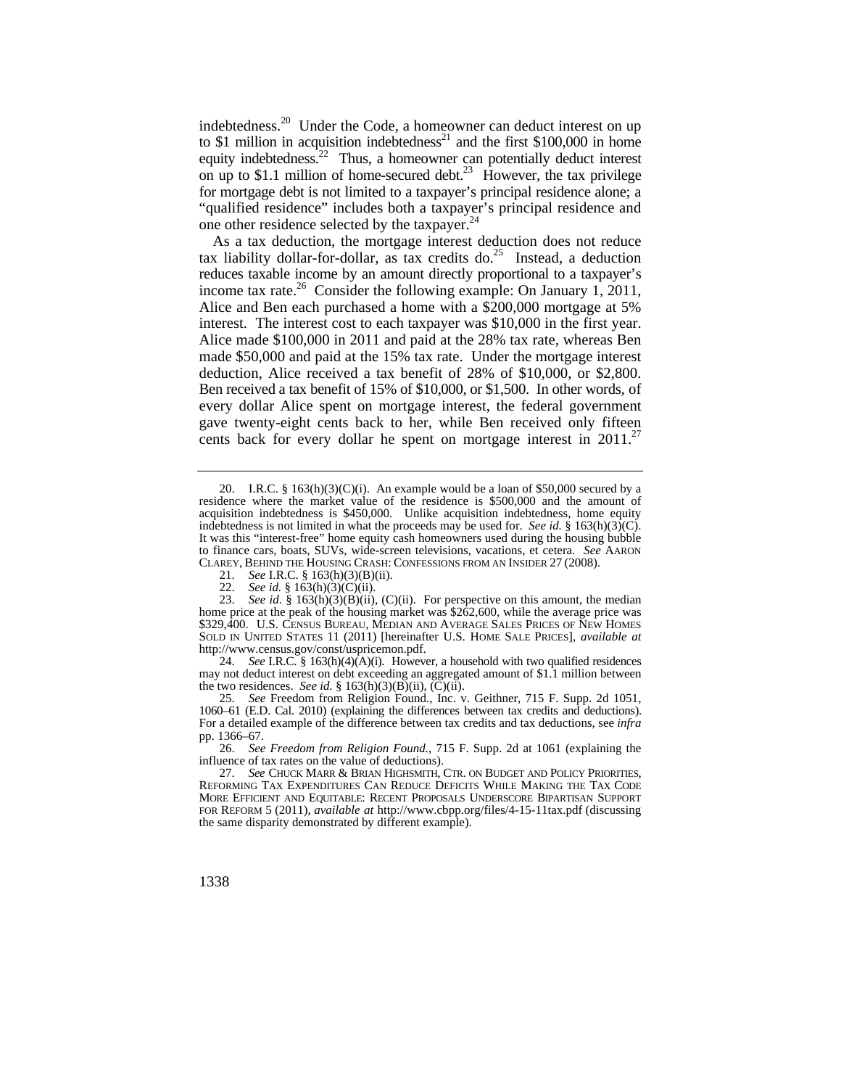for mortgage debt is not limited to a taxpayer's principal residence alone; a [indebtedness.](https://indebtedness.20)<sup>20</sup> Under the Code, a homeowner can deduct interest on up to \$1 million in acquisition indebtedness<sup>21</sup> and the first \$100,000 in home equity indebtedness.<sup>22</sup> Thus, a homeowner can potentially deduct interest on up to \$1.1 million of home-secured debt.<sup>23</sup> However, the tax privilege "qualified residence" includes both a taxpayer's principal residence and one other residence selected by the taxpayer.<sup>24</sup>

 Ben received a tax benefit of 15% of \$10,000, or \$1,500. In other words, of gave twenty-eight cents back to her, while Ben received only fifteen As a tax deduction, the mortgage interest deduction does not reduce tax liability dollar-for-dollar, as tax credits do.<sup>25</sup> Instead, a deduction reduces taxable income by an amount directly proportional to a taxpayer's income tax rate.<sup>26</sup> Consider the following example: On January 1, 2011, Alice and Ben each purchased a home with a \$200,000 mortgage at 5% interest. The interest cost to each taxpayer was \$10,000 in the first year. Alice made \$100,000 in 2011 and paid at the 28% tax rate, whereas Ben made \$50,000 and paid at the 15% tax rate. Under the mortgage interest deduction, Alice received a tax benefit of 28% of \$10,000, or \$2,800. every dollar Alice spent on mortgage interest, the federal government cents back for every dollar he spent on mortgage interest in  $2011$ .<sup>27</sup>

24. *See* I.R.C. § 163(h)(4)(A)(i). However, a household with two qualified residences may not deduct interest on debt exceeding an aggregated amount of \$1.1 million between the two residences. *See id.* §  $163(h)(3)(B)(ii)$ ,  $(C)(ii)$ .

25. *See* Freedom from Religion Found., Inc. v. Geithner, 715 F. Supp. 2d 1051, 1060–61 (E.D. Cal. 2010) (explaining the differences between tax credits and deductions). For a detailed example of the difference between tax credits and tax deductions, see *infra*  pp. 1366–67.

26. *See Freedom from Religion Found.*, 715 F. Supp. 2d at 1061 (explaining the influence of tax rates on the value of deductions).

<sup>20.</sup> I.R.C. §  $163(h)(3)(C)(i)$ . An example would be a loan of \$50,000 secured by a residence where the market value of the residence is \$500,000 and the amount of acquisition indebtedness is \$450,000. Unlike acquisition indebtedness, home equity indebtedness is not limited in what the proceeds may be used for. *See id.* § 163(h)(3)(C). It was this "interest-free" home equity cash homeowners used during the housing bubble to finance cars, boats, SUVs, wide-screen televisions, vacations, et cetera. *See* AARON CLAREY, BEHIND THE HOUSING CRASH: CONFESSIONS FROM AN INSIDER 27 (2008).

<sup>21.</sup> *See I.R.C.* § 163(h)(3)(B)(ii).<br>22. *See id.* § 163(h)(3)(C)(ii).

See id. § 163(h)(3)(C)(ii).

 SOLD IN UNITED STATES 11 (2011) [hereinafter U.S. HOME SALE PRICES], *available at*  23. *See id.* § 163(h)(3)(B)(ii), (C)(ii). For perspective on this amount, the median home price at the peak of the housing market was \$262,600, while the average price was \$329,400. U.S. CENSUS BUREAU, MEDIAN AND AVERAGE SALES PRICES OF NEW HOMES <http://www.census.gov/const/uspricemon.pdf>.

 FOR REFORM 5 (2011), *available at* <http://www.cbpp.org/files/4-15-11tax.pdf> (discussing 27. *See* CHUCK MARR & BRIAN HIGHSMITH, CTR. ON BUDGET AND POLICY PRIORITIES, REFORMING TAX EXPENDITURES CAN REDUCE DEFICITS WHILE MAKING THE TAX CODE MORE EFFICIENT AND EQUITABLE: RECENT PROPOSALS UNDERSCORE BIPARTISAN SUPPORT the same disparity demonstrated by different example).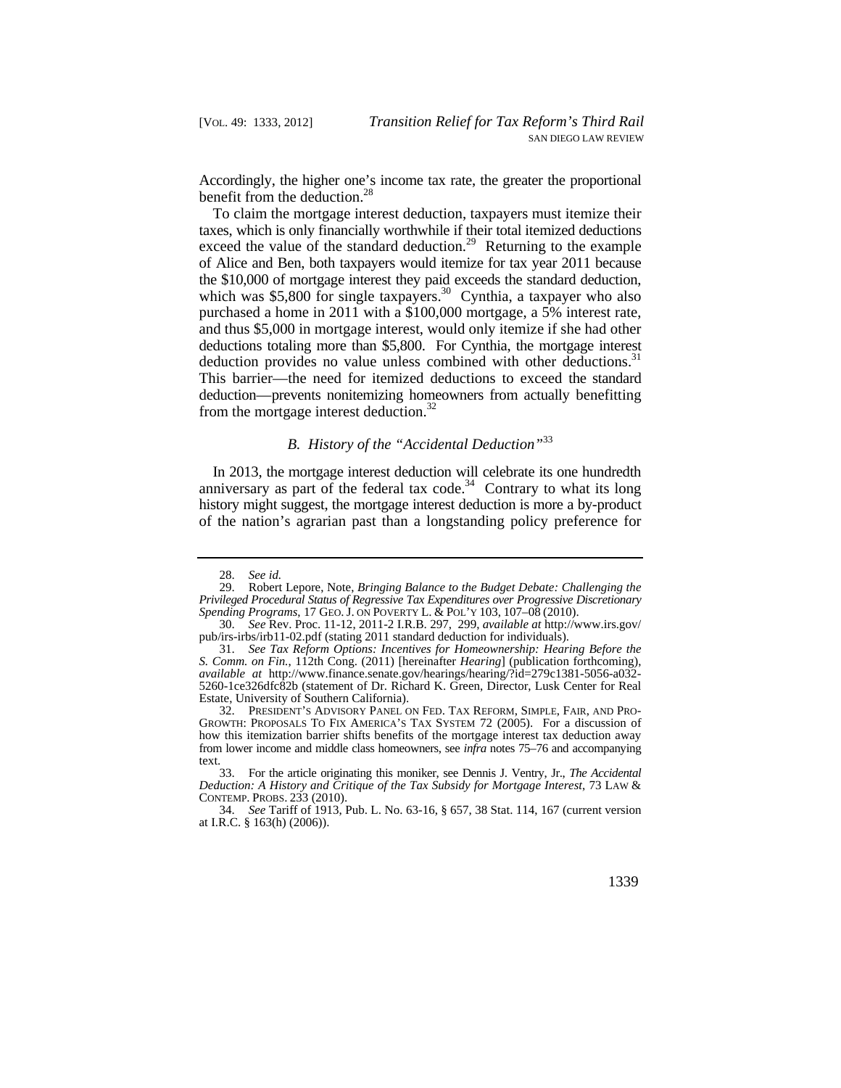Accordingly, the higher one's income tax rate, the greater the proportional benefit from the deduction.<sup>28</sup>

deduction provides no value unless combined with other deductions.<sup>31</sup> This barrier—the need for itemized deductions to exceed the standard deduction—prevents nonitemizing homeowners from actually benefitting To claim the mortgage interest deduction, taxpayers must itemize their taxes, which is only financially worthwhile if their total itemized deductions exceed the value of the standard deduction.<sup>29</sup> Returning to the example of Alice and Ben, both taxpayers would itemize for tax year 2011 because the \$10,000 of mortgage interest they paid exceeds the standard deduction, which was \$5,800 for single taxpayers.<sup>30</sup> Cynthia, a taxpayer who also purchased a home in 2011 with a \$100,000 mortgage, a 5% interest rate, and thus \$5,000 in mortgage interest, would only itemize if she had other deductions totaling more than \$5,800. For Cynthia, the mortgage interest from the mortgage interest deduction. $32$ 

## *B. History of the "Accidental Deduction"*<sup>33</sup>

In 2013, the mortgage interest deduction will celebrate its one hundredth anniversary as part of the federal tax code.<sup>34</sup> Contrary to what its long history might suggest, the mortgage interest deduction is more a by-product of the nation's agrarian past than a longstanding policy preference for

<sup>28.</sup> *See id.* 

 *Spending Programs*, 17 GEO. J. ON POVERTY L. & POL'Y 103, 107–08 (2010). 29. Robert Lepore, Note, *Bringing Balance to the Budget Debate: Challenging the Privileged Procedural Status of Regressive Tax Expenditures over Progressive Discretionary* 

<sup>30.</sup> *See* Rev. Proc. 11-12, 2011-2 I.R.B. 297, 299, *available at* [http://www.irs.gov/](http://www.irs.gov) pub/irs-irbs/irb11-02.pdf (stating 2011 standard deduction for individuals).

<sup>31.</sup> *See Tax Reform Options: Incentives for Homeownership: Hearing Before the S. Comm. on Fin.*, 112th Cong. (2011) [hereinafter *Hearing*] (publication forthcoming), *available at* [http://www.finance.senate.gov/hearings/hearing/?id=279c1381-5056-a032-](http://www.finance.senate.gov/hearings/hearing/?id=279c1381-5056-a032) 5260-1ce326dfc82b (statement of Dr. Richard K. Green, Director, Lusk Center for Real Estate, University of Southern California).

 32. PRESIDENT'S ADVISORY PANEL ON FED. TAX REFORM, SIMPLE, FAIR, AND PRO-GROWTH: PROPOSALS TO FIX AMERICA'S TAX SYSTEM 72 (2005). For a discussion of how this itemization barrier shifts benefits of the mortgage interest tax deduction away from lower income and middle class homeowners, see *infra* notes 75–76 and accompanying text.

 CONTEMP. PROBS. 233 (2010). 33. For the article originating this moniker, see Dennis J. Ventry, Jr., *The Accidental Deduction: A History and Critique of the Tax Subsidy for Mortgage Interest*, 73 LAW &

<sup>34.</sup> *See* Tariff of 1913, Pub. L. No. 63-16, § 657, 38 Stat. 114, 167 (current version at I.R.C. § 163(h) (2006)).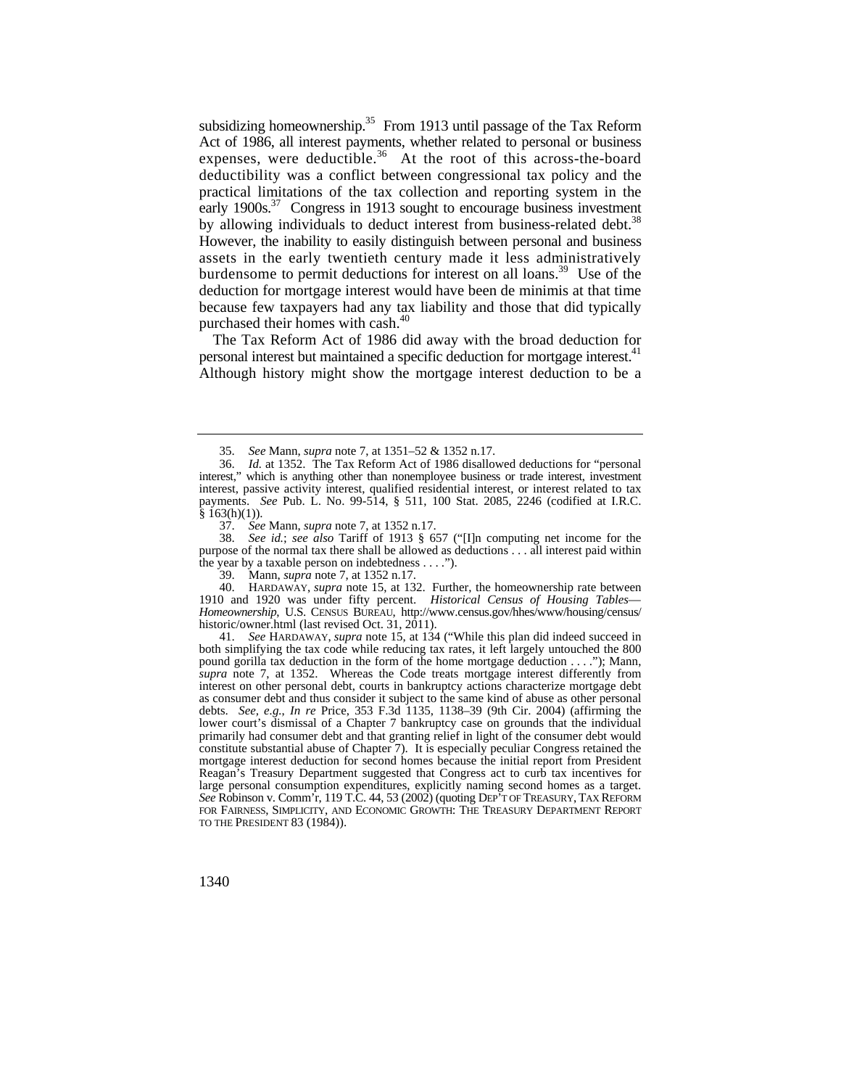subsidizing homeownership.<sup>35</sup> From 1913 until passage of the Tax Reform Act of 1986, all interest payments, whether related to personal or business expenses, were [deductible.](https://deductible.36)<sup>36</sup> At the root of this across-the-board deductibility was a conflict between congressional tax policy and the practical limitations of the tax collection and reporting system in the early  $1900s$ <sup>37</sup> Congress in 1913 sought to encourage business investment by allowing individuals to deduct interest from business-related debt.<sup>38</sup> However, the inability to easily distinguish between personal and business assets in the early twentieth century made it less administratively burdensome to permit deductions for interest on all loans.<sup>39</sup> Use of the deduction for mortgage interest would have been de minimis at that time because few taxpayers had any tax liability and those that did typically purchased their homes with cash.<sup>40</sup>

The Tax Reform Act of 1986 did away with the broad deduction for personal interest but maintained a specific deduction for mortgage interest.<sup>41</sup> Although history might show the mortgage interest deduction to be a

37. *See* Mann, *supra* note 7, at 1352 n.17.

 purpose of the normal tax there shall be allowed as deductions . . . all interest paid within 38. *See id.*; *see also* Tariff of 1913 § 657 ("[I]n computing net income for the the year by a taxable person on indebtedness . . . .").

39. Mann, *supra* note 7, at 1352 n.17.

40. HARDAWAY, *supra* note 15, at 132. Further, the homeownership rate between 1910 and 1920 was under fifty percent. *Historical Census of Housing Tables*— *Homeownership*, U.S. CENSUS BUREAU, [http://www.census.gov/hhes/www/housing/census/](http://www.census.gov/hhes/www/housing/census) historic/owner.html (last revised Oct. 31, 2011).

 large personal consumption expenditures, explicitly naming second homes as a target. *See* Robinson v. Comm'r, 119 T.C. 44, 53 (2002) (quoting DEP'T OF TREASURY, TAX REFORM 41. *See* HARDAWAY, *supra* note 15, at 134 ("While this plan did indeed succeed in both simplifying the tax code while reducing tax rates, it left largely untouched the 800 pound gorilla tax deduction in the form of the home mortgage deduction . . . ."); Mann, *supra* note 7, at 1352. Whereas the Code treats mortgage interest differently from interest on other personal debt, courts in bankruptcy actions characterize mortgage debt as consumer debt and thus consider it subject to the same kind of abuse as other personal debts. *See, e.g.*, *In re* Price, 353 F.3d 1135, 1138–39 (9th Cir. 2004) (affirming the lower court's dismissal of a Chapter 7 bankruptcy case on grounds that the individual primarily had consumer debt and that granting relief in light of the consumer debt would constitute substantial abuse of Chapter 7). It is especially peculiar Congress retained the mortgage interest deduction for second homes because the initial report from President Reagan's Treasury Department suggested that Congress act to curb tax incentives for FOR FAIRNESS, SIMPLICITY, AND ECONOMIC GROWTH: THE TREASURY DEPARTMENT REPORT TO THE PRESIDENT 83 (1984)).

1340

<sup>35.</sup> *See* Mann, *supra* note 7, at 1351–52 & 1352 n.17.

<sup>36.</sup> *Id.* at 1352. The Tax Reform Act of 1986 disallowed deductions for "personal interest," which is anything other than nonemployee business or trade interest, investment interest, passive activity interest, qualified residential interest, or interest related to tax payments. *See* Pub. L. No. 99-514, § 511, 100 Stat. 2085, 2246 (codified at I.R.C.  $§$  163(h)(1)).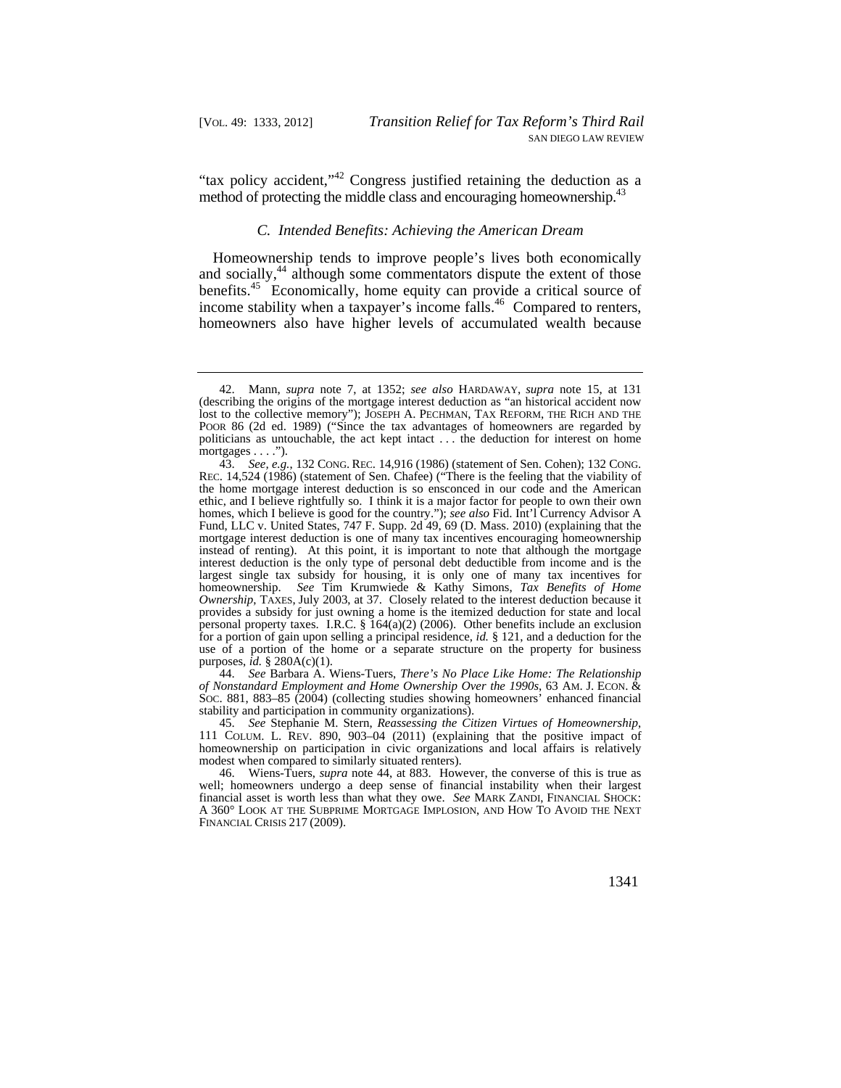"tax policy accident,"<sup>42</sup> Congress justified retaining the deduction as a method of protecting the middle class and encouraging homeownership.<sup>43</sup>

#### *C. Intended Benefits: Achieving the American Dream*

Homeownership tends to improve people's lives both economically and socially,<sup>44</sup> although some commentators dispute the extent of those [benefits.](https://benefits.45)<sup>45</sup> Economically, home equity can provide a critical source of income stability when a taxpayer's income [falls.](https://falls.46)<sup>46</sup> Compared to renters, homeowners also have higher levels of accumulated wealth because

 *of Nonstandard Employment and Home Ownership Over the 1990s*, 63 AM. J. ECON. & 44. *See* Barbara A. Wiens-Tuers, *There's No Place Like Home: The Relationship* SOC. 881, 883–85 (2004) (collecting studies showing homeowners' enhanced financial stability and participation in community organizations).

 111 COLUM. L. REV. 890, 903–04 (2011) (explaining that the positive impact of 45. *See* Stephanie M. Stern, *Reassessing the Citizen Virtues of Homeownership*, homeownership on participation in civic organizations and local affairs is relatively modest when compared to similarly situated renters).

 financial asset is worth less than what they owe. *See* MARK ZANDI, FINANCIAL SHOCK: 46. Wiens-Tuers, *supra* note 44, at 883. However, the converse of this is true as well; homeowners undergo a deep sense of financial instability when their largest A 360° LOOK AT THE SUBPRIME MORTGAGE IMPLOSION, AND HOW TO AVOID THE NEXT FINANCIAL CRISIS 217 (2009).

 politicians as untouchable, the act kept intact . . . the deduction for interest on home 42. Mann, *supra* note 7, at 1352; *see also* HARDAWAY, *supra* note 15, at 131 (describing the origins of the mortgage interest deduction as "an historical accident now lost to the collective memory"); JOSEPH A. PECHMAN, TAX REFORM, THE RICH AND THE POOR 86 (2d ed. 1989) ("Since the tax advantages of homeowners are regarded by mortgages . . . .").

<sup>43.</sup> *See, e.g.*, 132 CONG. REC. 14,916 (1986) (statement of Sen. Cohen); 132 CONG. REC. 14,524 (1986) (statement of Sen. Chafee) ("There is the feeling that the viability of the home mortgage interest deduction is so ensconced in our code and the American ethic, and I believe rightfully so. I think it is a major factor for people to own their own homes, which I believe is good for the country."); *see also* Fid. Int'l Currency Advisor A Fund, LLC v. United States, 747 F. Supp. 2d 49, 69 (D. Mass. 2010) (explaining that the mortgage interest deduction is one of many tax incentives encouraging homeownership instead of renting). At this point, it is important to note that although the mortgage interest deduction is the only type of personal debt deductible from income and is the largest single tax subsidy for housing, it is only one of many tax incentives for homeownership. *See* Tim Krumwiede & Kathy Simons, *Tax Benefits of Home Ownership*, TAXES, July 2003, at 37. Closely related to the interest deduction because it provides a subsidy for just owning a home is the itemized deduction for state and local personal property taxes. I.R.C. § 164(a)(2) (2006). Other benefits include an exclusion for a portion of gain upon selling a principal residence, *id.* § 121, and a deduction for the use of a portion of the home or a separate structure on the property for business purposes, *id.* § 280A(c)(1).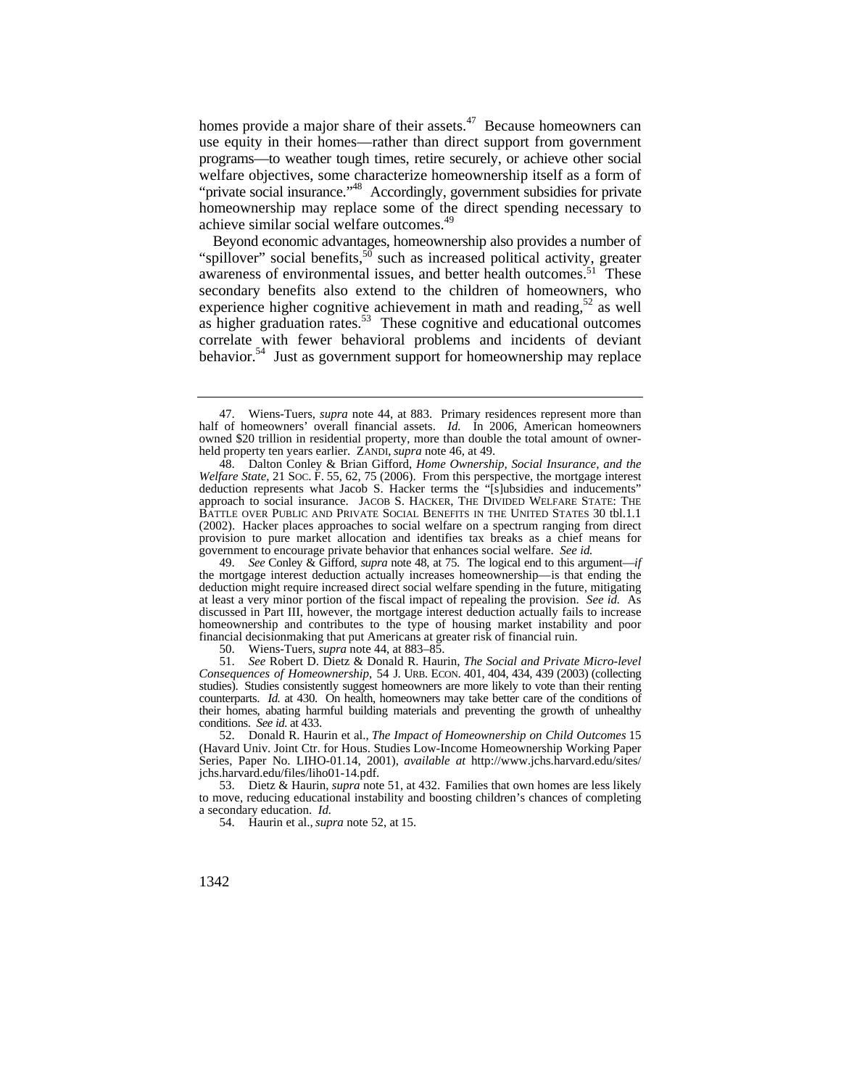homes provide a major share of their [assets.](https://assets.47) $47$  Because homeowners can use equity in their homes—rather than direct support from government programs—to weather tough times, retire securely, or achieve other social welfare objectives, some characterize homeownership itself as a form of "private social insurance."<sup>48</sup> Accordingly, government subsidies for private homeownership may replace some of the direct spending necessary to achieve similar social welfare [outcomes.](https://outcomes.49)<sup>49</sup>

Beyond economic advantages, homeownership also provides a number of "spillover" social benefits,<sup>50</sup> such as increased political activity, greater awareness of environmental issues, and better health outcomes.<sup>51</sup> These secondary benefits also extend to the children of homeowners, who experience higher cognitive achievement in math and reading,<sup>52</sup> as well as higher graduation [rates.](https://rates.53)<sup>53</sup> These cognitive and educational outcomes correlate with fewer behavioral problems and incidents of deviant behavior.<sup>54</sup> Just as government support for homeownership may replace

49. *See* Conley & Gifford, *supra* note 48, at 75. The logical end to this argument—*if*  the mortgage interest deduction actually increases homeownership—is that ending the deduction might require increased direct social welfare spending in the future, mitigating at least a very minor portion of the fiscal impact of repealing the provision. *See id.* As discussed in Part III, however, the mortgage interest deduction actually fails to increase homeownership and contributes to the type of housing market instability and poor financial decisionmaking that put Americans at greater risk of financial ruin.

50. Wiens-Tuers, *supra* note 44, at 883–85.

 *Consequences of Homeownership*, 54 J. URB. ECON. 401, 404, 434, 439 (2003) (collecting studies). Studies consistently suggest homeowners are more likely to vote than their renting 51. *See* Robert D. Dietz & Donald R. Haurin, *The Social and Private Micro-level*  counterparts. *Id.* at 430. On health, homeowners may take better care of the conditions of their homes, abating harmful building materials and preventing the growth of unhealthy conditions. *See id.* at 433.

 52. Donald R. Haurin et al., *The Impact of Homeownership on Child Outcomes* 15 [jchs.harvard.edu/files/liho01-14.pdf](https://jchs.harvard.edu/files/liho01-14.pdf). [53. Dietz & Haurin,](https://jchs.harvard.edu/files/liho01-14.pdf) *supra* note 51, at 432. Families that own homes are less likely (Havard Univ. Joint Ctr. for Hous. Studies Low-Income Homeownership Working Paper Series, Paper No. [LIHO-01.14,](https://LIHO-01.14) 2001), *available at* [http://www.jchs.harvard.edu/sites/](http://www.jchs.harvard.edu/sites)

to move, reducing educational instability and boosting children's chances of completing a secondary education. *Id.* 

54. Haurin et al., *supra* note 52, at 15.

 held property ten years earlier. ZANDI, *supra* note 46, at 49. 47. Wiens-Tuers, *supra* note 44, at 883. Primary residences represent more than half of homeowners' overall financial assets. *Id.* In 2006, American homeowners owned \$20 trillion in residential property, more than double the total amount of owner-

 *Welfare State*, 21 SOC. F. 55, 62, 75 (2006). From this perspective, the mortgage interest approach to social insurance. JACOB S. HACKER, THE DIVIDED WELFARE STATE: THE (2002). Hacker places approaches to social welfare on a spectrum ranging from direct 48. Dalton Conley & Brian Gifford, *Home Ownership, Social Insurance, and the*  deduction represents what Jacob S. Hacker terms the "[s]ubsidies and inducements" BATTLE OVER PUBLIC AND PRIVATE SOCIAL BENEFITS IN THE UNITED STATES 30 tbl.1.1 provision to pure market allocation and identifies tax breaks as a chief means for government to encourage private behavior that enhances social welfare. *See id.*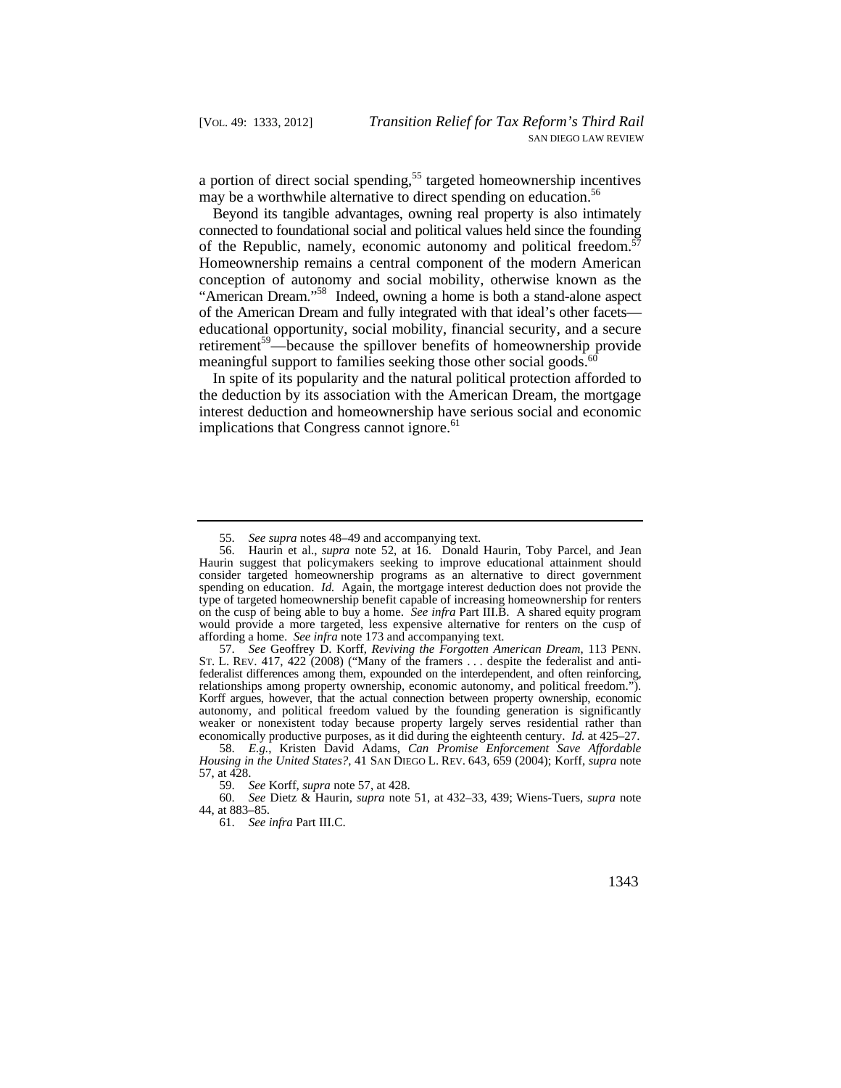a portion of direct social spending,<sup>55</sup> targeted homeownership incentives may be a worthwhile alternative to direct spending on education.<sup>56</sup>

Beyond its tangible advantages, owning real property is also intimately connected to foundational social and political values held since the founding of the Republic, namely, economic autonomy and political freedom.<sup>57</sup> Homeownership remains a central component of the modern American conception of autonomy and social mobility, otherwise known as the "American Dream."58 Indeed, owning a home is both a stand-alone aspect of the American Dream and fully integrated with that ideal's other facets educational opportunity, social mobility, financial security, and a secure retirement<sup>59</sup>—because the spillover benefits of homeownership provide meaningful support to families seeking those other social goods.<sup>60</sup>

In spite of its popularity and the natural political protection afforded to the deduction by its association with the American Dream, the mortgage interest deduction and homeownership have serious social and economic implications that Congress cannot [ignore.](https://ignore.61)<sup>61</sup>

 ST. L. REV. 417, 422 (2008) ("Many of the framers . . . despite the federalist and anti-57. *See* Geoffrey D. Korff, *Reviving the Forgotten American Dream*, 113 PENN. federalist differences among them, expounded on the interdependent, and often reinforcing, relationships among property ownership, economic autonomy, and political freedom."). Korff argues, however, that the actual connection between property ownership, economic autonomy, and political freedom valued by the founding generation is significantly weaker or nonexistent today because property largely serves residential rather than economically productive purposes, as it did during the eighteenth century. *Id.* at 425–27.

<sup>55.</sup> *See supra* notes 48–49 and accompanying text.

<sup>56.</sup> Haurin et al., *supra* note 52, at 16. Donald Haurin, Toby Parcel, and Jean Haurin suggest that policymakers seeking to improve educational attainment should consider targeted homeownership programs as an alternative to direct government spending on education. *Id.* Again, the mortgage interest deduction does not provide the type of targeted homeownership benefit capable of increasing homeownership for renters on the cusp of being able to buy a home. *See infra* Part III.B. A shared equity program would provide a more targeted, less expensive alternative for renters on the cusp of affording a home. *See infra* note 173 and accompanying text.

 *Housing in the United States?*, 41 SAN DIEGO L. REV. 643, 659 (2004); Korff, *supra* note 58. *E.g.*, Kristen David Adams, *Can Promise Enforcement Save Affordable*  57, at 428.

<sup>59.</sup> *See* Korff, *supra* note 57, at 428.

 60. *See* Dietz & Haurin, *supra* note 51, at 432–33, 439; Wiens-Tuers, *supra* note 44, at 883–85.

<sup>61.</sup> *See infra* Part III.C.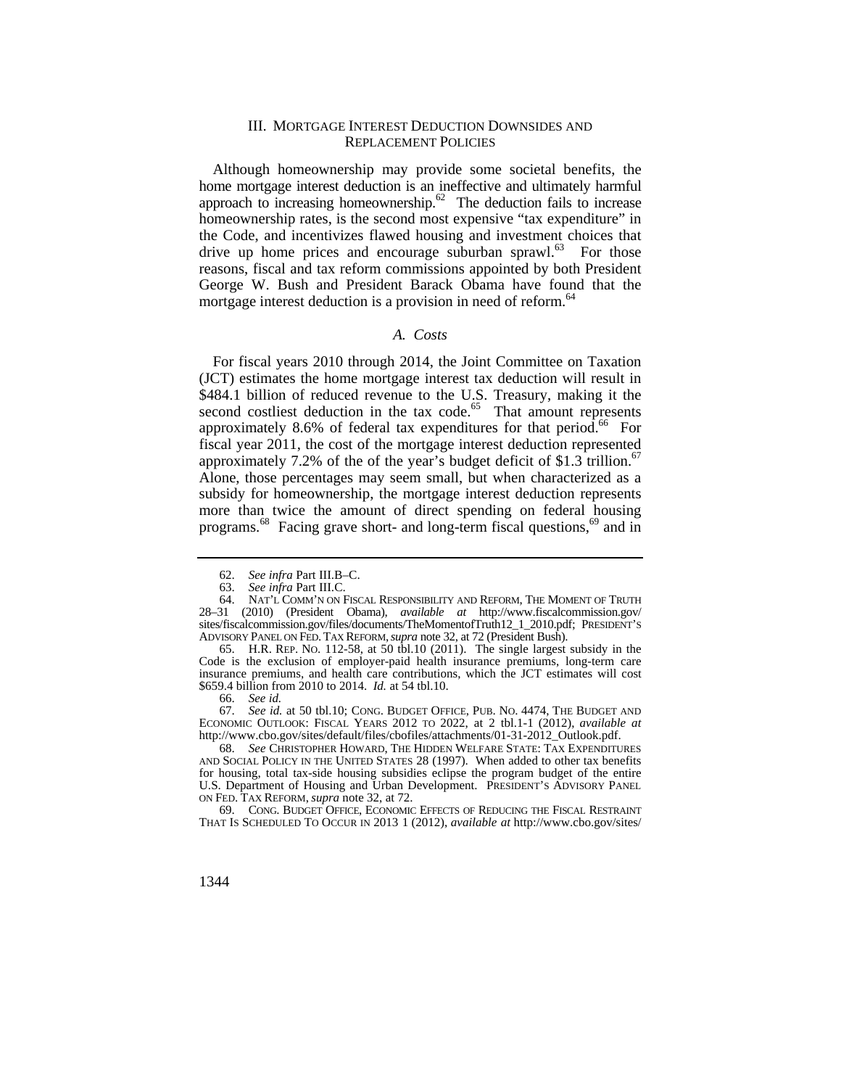#### III. MORTGAGE INTEREST DEDUCTION DOWNSIDES AND REPLACEMENT POLICIES

Although homeownership may provide some societal benefits, the home mortgage interest deduction is an ineffective and ultimately harmful approach to increasing homeownership. $62$  The deduction fails to increase homeownership rates, is the second most expensive "tax expenditure" in the Code, and incentivizes flawed housing and investment choices that drive up home prices and encourage suburban [sprawl.](https://sprawl.63) $^{63}$  For those reasons, fiscal and tax reform commissions appointed by both President George W. Bush and President Barack Obama have found that the mortgage interest deduction is a provision in need of [reform.](https://reform.64)<sup>64</sup>

## *A. Costs*

approximately 7.2% of the of the year's budget deficit of \$1.3 trillion.<sup>67</sup> Alone, those percentages may seem small, but when characterized as a For fiscal years 2010 through 2014, the Joint Committee on Taxation (JCT) estimates the home mortgage interest tax deduction will result in \$484.1 billion of reduced revenue to the U.S. Treasury, making it the second costliest deduction in the tax code. $65$  That amount represents approximately 8.6% of federal tax expenditures for that period.<sup>66</sup> For fiscal year 2011, the cost of the mortgage interest deduction represented subsidy for homeownership, the mortgage interest deduction represents more than twice the amount of direct spending on federal housing [programs.](https://programs.68)<sup>68</sup> Facing grave short- and long-term fiscal questions,<sup>69</sup> and in

 67. *See id.* at 50 tbl.10; CONG. BUDGET OFFICE, PUB. NO. 4474, THE BUDGET AND ECONOMIC OUTLOOK: FISCAL YEARS 2012 TO 2022, at 2 tbl.1-1 (2012), *available at*  [http://www.cbo.gov/sites/default/files/cbofiles/attachments/01-31-2012\\_Outlook.pdf](http://www.cbo.gov/sites/default/files/cbofiles/attachments/01-31-2012_Outlook.pdf).

68. *See* CHRISTOPHER HOWARD, THE HIDDEN WELFARE STATE: TAX EXPENDITURES AND SOCIAL POLICY IN THE UNITED STATES 28 (1997). When added to other tax benefits for housing, total tax-side housing subsidies eclipse the program budget of the entire U.S. Department of Housing and Urban Development. PRESIDENT'S ADVISORY PANEL ON FED. TAX REFORM, *supra* note 32, at 72.

 THAT IS SCHEDULED TO OCCUR IN 2013 1 (2012), *available at* [http://www.cbo.gov/sites/](http://www.cbo.gov/sites) 69. CONG. BUDGET OFFICE, ECONOMIC EFFECTS OF REDUCING THE FISCAL RESTRAINT

<sup>62.</sup> *See infra* Part III.B–C.

<sup>63.</sup> *See infra* Part III.C.

<sup>64.</sup> NAT'L COMM'N ON FISCAL RESPONSIBILITY AND REFORM, THE MOMENT OF TRUTH 28–31 (2010) (President Obama), *available at* [http://www.fiscalcommission.gov/](http://www.fiscalcommission.gov) [sites/fiscalcommission.gov/files/documents/TheMomentofTruth12\\_1\\_2010.pdf;](https://sites/fiscalcommission.gov/files/documents/TheMomentofTruth12_1_2010.pdf) PRESIDENT'S ADVISORY PANEL ON FED. TAX REFORM, *supra* note 32, at 72 (President Bush).

 65. H.R. REP. NO. 112-58, at 50 tbl.10 (2011). The single largest subsidy in the Code is the exclusion of employer-paid health insurance premiums, long-term care insurance premiums, and health care contributions, which the JCT estimates will cost \$659.4 billion from 2010 to 2014. *Id.* at 54 tbl.10.

<sup>66.</sup> *See id.*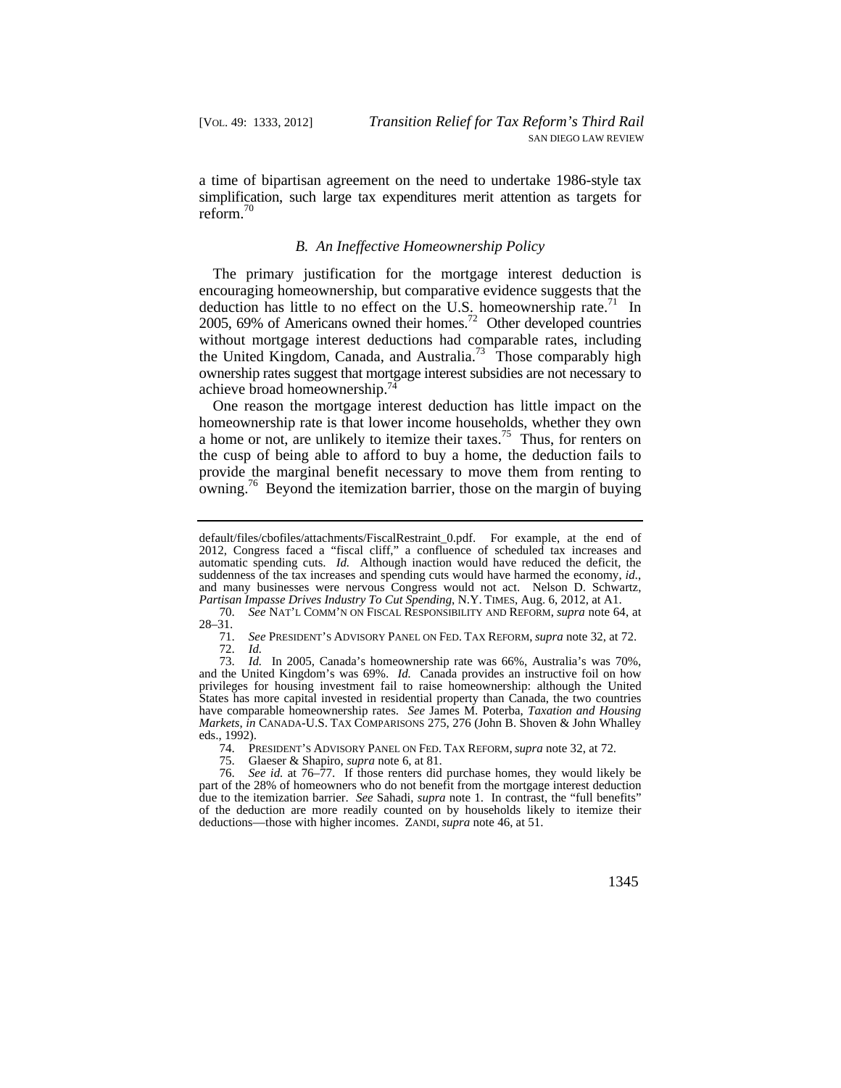a time of bipartisan agreement on the need to undertake 1986-style tax simplification, such large tax expenditures merit attention as targets for [reform.](https://reform.70)<sup>70</sup>

#### *B. An Ineffective Homeownership Policy*

deduction has little to no effect on the U.S. homeownership rate.<sup>71</sup> In the United Kingdom, Canada, and Australia.<sup>73</sup> Those comparably high ownership rates suggest that mortgage interest subsidies are not necessary to The primary justification for the mortgage interest deduction is encouraging homeownership, but comparative evidence suggests that the 2005, 69% of Americans owned their homes.<sup>72</sup> Other developed countries without mortgage interest deductions had comparable rates, including achieve broad [homeownership.74](https://homeownership.74)

One reason the mortgage interest deduction has little impact on the homeownership rate is that lower income households, whether they own a home or not, are unlikely to itemize their [taxes.](https://taxes.75)<sup>75</sup> Thus, for renters on the cusp of being able to afford to buy a home, the deduction fails to provide the marginal benefit necessary to move them from renting to owning.<sup>76</sup> Beyond the itemization barrier, those on the margin of buying

71. *See* PRESIDENT'S ADVISORY PANEL ON FED. TAX REFORM, *supra* note 32, at 72. 72. *Id.* 

 have comparable homeownership rates. *See* James M. Poterba, *Taxation and Housing*  73. *Id.* In 2005, Canada's homeownership rate was 66%, Australia's was 70%, and the United Kingdom's was 69%. *Id.* Canada provides an instructive foil on how privileges for housing investment fail to raise homeownership: although the United States has more capital invested in residential property than Canada, the two countries *Markets*, *in* CANADA-U.S. TAX COMPARISONS 275, 276 (John B. Shoven & John Whalley eds., 1992).

74. PRESIDENT'S ADVISORY PANEL ON FED. TAX REFORM, *supra* note 32, at 72.

and many businesses were nervous Congress would not act. Nelson D. Schwartz, default/files/cbofiles/attachments/FiscalRestraint\_0.pdf. For example, at the end of 2012, Congress faced a "fiscal cliff," a confluence of scheduled tax increases and automatic spending cuts. *Id.* Although inaction would have reduced the deficit, the suddenness of the tax increases and spending cuts would have harmed the economy, *id.*, *Partisan Impasse Drives Industry To Cut Spending*, N.Y. TIMES, Aug. 6, 2012, at A1.

<sup>70.</sup> *See* NAT'L COMM'N ON FISCAL RESPONSIBILITY AND REFORM, *supra* note 64, at 28–31.

<sup>75.</sup> Glaeser & Shapiro, *supra* note 6, at 81.

<sup>76.</sup> *See id.* at 76–77. If those renters did purchase homes, they would likely be part of the 28% of homeowners who do not benefit from the mortgage interest deduction due to the itemization barrier. *See* Sahadi, *supra* note 1. In contrast, the "full benefits" of the deduction are more readily counted on by households likely to itemize their deductions—those with higher incomes. ZANDI, *supra* note 46, at 51.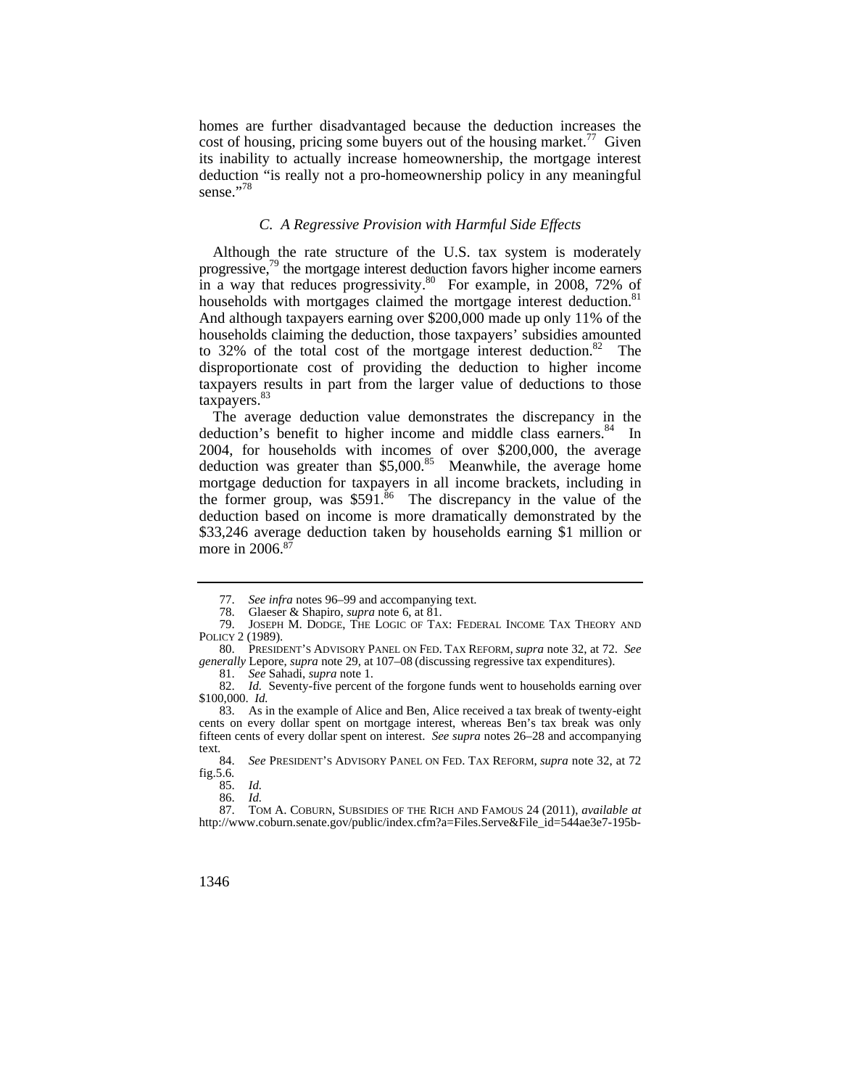homes are further disadvantaged because the deduction increases the cost of housing, pricing some buyers out of the housing [market.](https://market.77)<sup>77</sup> Given its inability to actually increase homeownership, the mortgage interest deduction "is really not a pro-homeownership policy in any meaningful sense."<sup>78</sup>

## *C. A Regressive Provision with Harmful Side Effects*

Although the rate structure of the U.S. tax system is moderately progressive,<sup>79</sup> the mortgage interest deduction favors higher income earners in a way that reduces progressivity. $80$  For example, in 2008, 72% of households with mortgages claimed the mortgage interest deduction.<sup>81</sup> And although taxpayers earning over \$200,000 made up only 11% of the households claiming the deduction, those taxpayers' subsidies amounted to 32% of the total cost of the mortgage interest deduction.<sup>82</sup> The disproportionate cost of providing the deduction to higher income taxpayers results in part from the larger value of deductions to those taxpayers.<sup>8</sup>

deduction was greater than  $$5,000$ .<sup>85</sup> Meanwhile, the average home The average deduction value demonstrates the discrepancy in the deduction's benefit to higher income and middle class [earners.](https://earners.84)<sup>84</sup> In 2004, for households with incomes of over \$200,000, the average mortgage deduction for taxpayers in all income brackets, including in the former group, was  $$591<sup>86</sup>$  The discrepancy in the value of the deduction based on income is more dramatically demonstrated by the \$33,246 average deduction taken by households earning \$1 million or more in 2006.<sup>87</sup>

84. *See* PRESIDENT'S ADVISORY PANEL ON FED. TAX REFORM, *supra* note 32, at 72 fig.5.6.

<sup>77.</sup> *See infra* notes 96–99 and accompanying text.

<sup>78.</sup> Glaeser & Shapiro, *supra* note 6, at 81.

 79. JOSEPH M. DODGE, THE LOGIC OF TAX: FEDERAL INCOME TAX THEORY AND POLICY 2 (1989).

 *generally* Lepore, *supra* note 29, at 107–08 (discussing regressive tax expenditures). 80. PRESIDENT'S ADVISORY PANEL ON FED. TAX REFORM, *supra* note 32, at 72. *See* 

<sup>81.</sup> *See* Sahadi, *supra* note 1.

<sup>82.</sup> *Id.* Seventy-five percent of the forgone funds went to households earning over \$100,000. *Id.* 

<sup>83.</sup> As in the example of Alice and Ben, Alice received a tax break of twenty-eight cents on every dollar spent on mortgage interest, whereas Ben's tax break was only fifteen cents of every dollar spent on interest. *See supra* notes 26–28 and accompanying text.

<sup>85.</sup> *Id.* 

<sup>86.</sup> *Id.* 

 87. TOM A. COBURN, SUBSIDIES OF THE RICH AND FAMOUS 24 (2011), *available at*  [http://www.coburn.senate.gov/public/index.cfm?a=Files.Serve&File\\_id=544ae3e7-195b-](http://www.coburn.senate.gov/public/index.cfm?a=Files.Serve&File_id=544ae3e7-195b)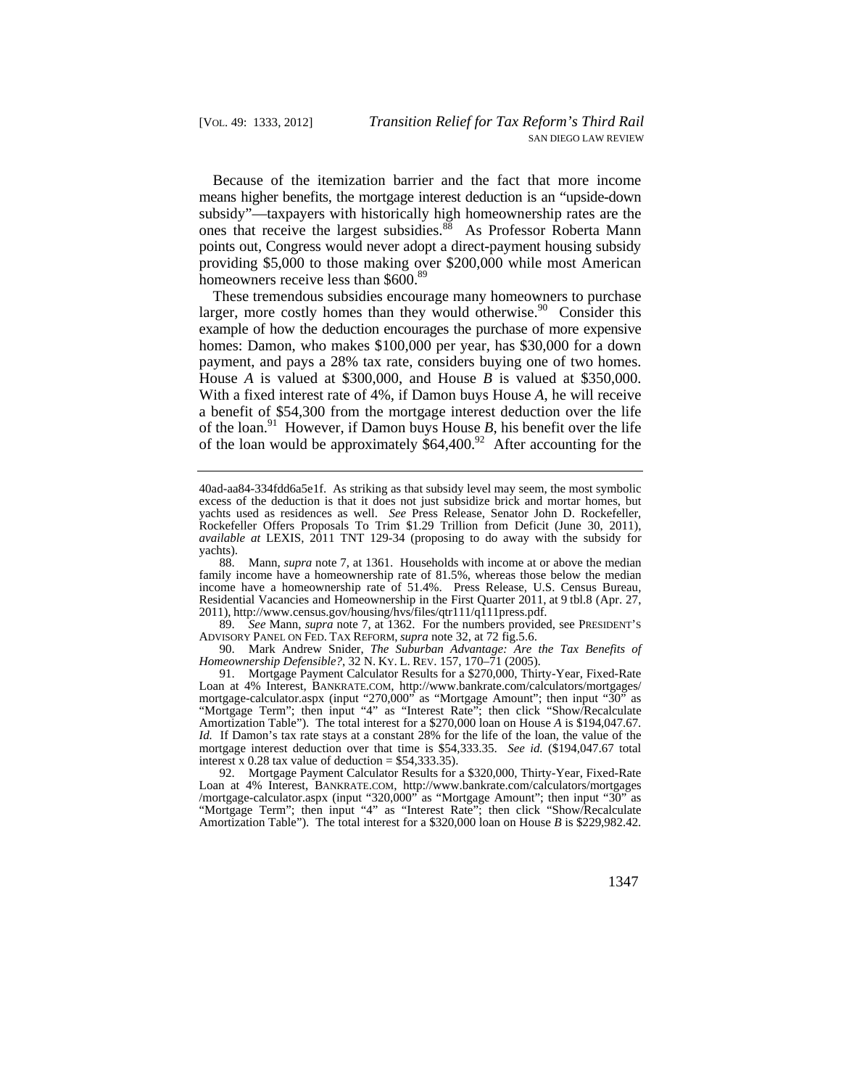Because of the itemization barrier and the fact that more income means higher benefits, the mortgage interest deduction is an "upside-down subsidy"—taxpayers with historically high homeownership rates are the ones that receive the largest subsidies.<sup>88</sup> As Professor Roberta Mann points out, Congress would never adopt a direct-payment housing subsidy providing \$5,000 to those making over \$200,000 while most American homeowners receive less than \$600.<sup>89</sup>

These tremendous subsidies encourage many homeowners to purchase larger, more costly homes than they would [otherwise.](https://otherwise.90)<sup>90</sup> Consider this example of how the deduction encourages the purchase of more expensive homes: Damon, who makes \$100,000 per year, has \$30,000 for a down payment, and pays a 28% tax rate, considers buying one of two homes. House *A* is valued at \$300,000, and House *B* is valued at \$350,000. With a fixed interest rate of 4%, if Damon buys House *A*, he will receive a benefit of \$54,300 from the mortgage interest deduction over the life of the loan.<sup>91</sup> However, if Damon buys House  $B$ , his benefit over the life of the loan would be approximately  $$64,400.^{92}$  After accounting for the

89. *See* Mann, *supra* note 7, at 1362. For the numbers provided, see PRESIDENT'S ADVISORY PANEL ON FED. TAX REFORM, *supra* note 32, at 72 fig.5.6.

 *Homeownership Defensible?*, 32 N. KY. L. REV. 157, 170–71 (2005). 90. Mark Andrew Snider, *The Suburban Advantage: Are the Tax Benefits of* 

91. Mortgage Payment Calculator Results for a \$270,000, Thirty-Year, Fixed-Rate Loan at 4% Interest, [BANKRATE.COM,](https://BANKRATE.COM) [http://www.bankrate.com/calculators/mortgages/](http://www.bankrate.com/calculators/mortgages) mortgage-calculator.aspx (input "270,000" as "Mortgage Amount"; then input " $30$ " as "Mortgage Term"; then input "4" as "Interest Rate"; then click "Show/Recalculate Amortization Table"). The total interest for a \$270,000 loan on House *A* is [\\$194,047.67.](https://194,047.67) *Id.* If Damon's tax rate stays at a constant 28% for the life of the loan, the value of the mortgage interest deduction over that time is \$[54,333.35.](https://54,333.35) *See id.* (\$[194,047.67](https://194,047.67) total interest x 0.28 tax value of deduction =  $$54,333.35$ ).

92. Mortgage Payment Calculator Results for a \$320,000, Thirty-Year, Fixed-Rate Loan at 4% Interest, [BANKRATE.COM,](https://BANKRATE.COM) <http://www.bankrate.com/calculators/mortgages> /mortgage-calculator.aspx (input "320,000" as "Mortgage Amount"; then input "30" as "Mortgage Term"; then input "4" as "Interest Rate"; then click "Show/Recalculate Amortization Table"). The total interest for a \$320,000 loan on House *B* is [\\$229,982.42.](https://229,982.42)

<sup>40</sup>ad-aa84-334fdd6a5e1f. As striking as that subsidy level may seem, the most symbolic excess of the deduction is that it does not just subsidize brick and mortar homes, but yachts used as residences as well. *See* Press Release, Senator John D. Rockefeller, Rockefeller Offers Proposals To Trim \$1.29 Trillion from Deficit (June 30, 2011), *available at* LEXIS, 2011 TNT 129-34 (proposing to do away with the subsidy for yachts).

 Residential Vacancies and Homeownership in the First Quarter 2011, at 9 tbl.8 (Apr. 27, 88. Mann, *supra* note 7, at 1361. Households with income at or above the median family income have a homeownership rate of 81.5%, whereas those below the median income have a homeownership rate of 51.4%. Press Release, U.S. Census Bureau, 2011),<http://www.census.gov/housing/hvs/files/qtr111/q111press.pdf>.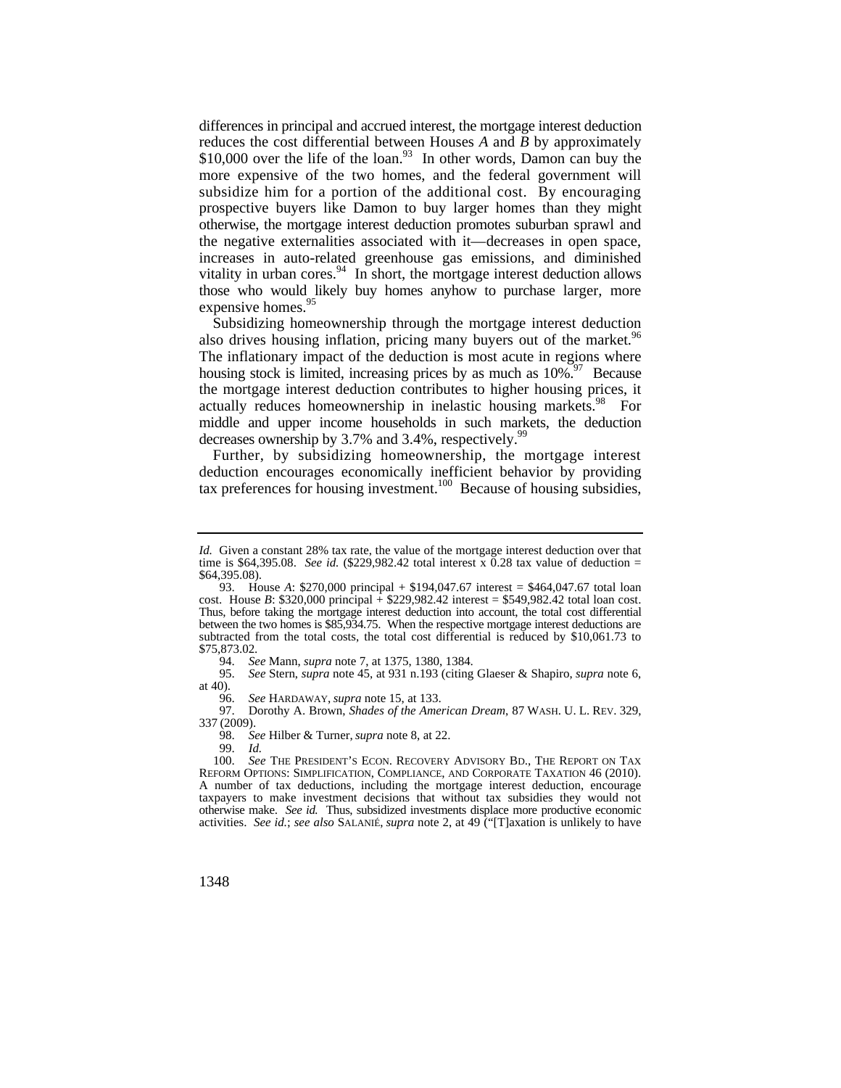prospective buyers like Damon to buy larger homes than they might otherwise, the mortgage interest deduction promotes suburban sprawl and vitality in urban cores. $94$  In short, the mortgage interest deduction allows those who would likely buy homes anyhow to purchase larger, more differences in principal and accrued interest, the mortgage interest deduction reduces the cost differential between Houses *A* and *B* by approximately \$10,000 over the life of the loan.<sup>93</sup> In other words, Damon can buy the more expensive of the two homes, and the federal government will subsidize him for a portion of the additional cost. By encouraging the negative externalities associated with it—decreases in open space, increases in auto-related greenhouse gas emissions, and diminished expensive [homes.](https://homes.95)<sup>95</sup>

also drives housing inflation, pricing many buyers out of the market.<sup>96</sup> Subsidizing homeownership through the mortgage interest deduction The inflationary impact of the deduction is most acute in regions where housing stock is limited, increasing prices by as much as  $10\%$ .<sup>97</sup> Because the mortgage interest deduction contributes to higher housing prices, it actually reduces homeownership in inelastic housing [markets.](https://markets.98)<sup>98</sup> For middle and upper income households in such markets, the deduction decreases ownership by  $3.7\%$  and  $3.4\%$ , respectively.<sup>99</sup>

Further, by subsidizing homeownership, the mortgage interest deduction encourages economically inefficient behavior by providing tax preferences for housing investment.<sup>100</sup> Because of housing subsidies,

94. *See* Mann, *supra* note 7, at 1375, 1380, 1384.

95. *See* Stern, *supra* note 45, at 931 n.193 (citing Glaeser & Shapiro, *supra* note 6, at 40).<br> $96.$ 

96. *See* HARDAWAY, *supra* note 15, at 133.

 97. Dorothy A. Brown, *Shades of the American Dream*, 87 WASH. U. L. REV. 329, 337 (2009).

98. *See* Hilber & Turner, *supra* note 8, at 22.

*Id.* Given a constant 28% tax rate, the value of the mortgage interest deduction over that time is \$[64,395.08.](https://64,395.08) *See id.*  $(\$229,982.42 \text{ total interest} \times 0.28 \text{ tax value of deduction} =$  $(\$229,982.42 \text{ total interest} \times 0.28 \text{ tax value of deduction} =$  $(\$229,982.42 \text{ total interest} \times 0.28 \text{ tax value of deduction} =$ \$[64,395.08\)](https://64,395.08).

<sup>93.</sup> House *A*: \$270,000 principal + \$[194,047.67](https://194,047.67) interest = \$[464,047.67](https://464,047.67) total loan cost. House *B*: \$320,000 principal  $\frac{1}{2}$  [\\$229,982.42](https://229,982.42) interest = [\\$549,982.42](https://549,982.42) total loan cost. Thus, before taking the mortgage interest deduction into account, the total cost differential between the two homes is [\\$85,934.75](https://85,934.75). When the respective mortgage interest deductions are subtracted from the total costs, the total cost differential is reduced by [\\$10,061.73](https://10,061.73) to  $$75,873.02.$  $$75,873.02.$ <br>94. Se

<sup>99.</sup> *Id.*  100. *See* THE PRESIDENT'S ECON. RECOVERY ADVISORY BD., THE REPORT ON TAX REFORM OPTIONS: SIMPLIFICATION, COMPLIANCE, AND CORPORATE TAXATION 46 (2010). A number of tax deductions, including the mortgage interest deduction, encourage taxpayers to make investment decisions that without tax subsidies they would not otherwise make. *See id.* Thus, subsidized investments displace more productive economic activities. *See id.*; *see also* SALANIÉ, *supra* note 2, at 49 ("[T]axation is unlikely to have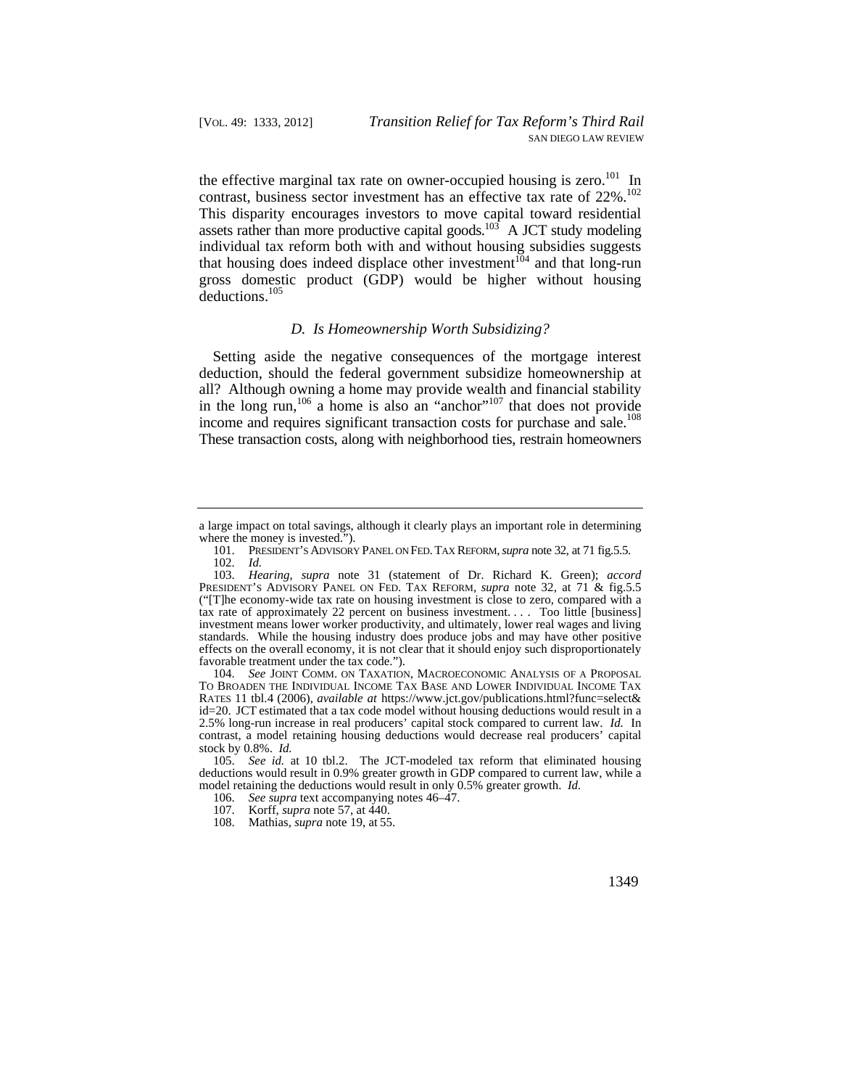contrast, business sector investment has an effective tax rate of 22%.<sup>102</sup> the effective marginal tax rate on owner-occupied housing is zero.<sup>101</sup> In This disparity encourages investors to move capital toward residential assets rather than more productive capital goods.<sup>103</sup> A JCT study modeling individual tax reform both with and without housing subsidies suggests that housing does indeed displace other investment<sup>104</sup> and that long-run gross domestic product (GDP) would be higher without housing deductions.105

#### *D. Is Homeownership Worth Subsidizing?*

Setting aside the negative consequences of the mortgage interest deduction, should the federal government subsidize homeownership at all? Although owning a home may provide wealth and financial stability in the long run,  $106$  a home is also an "anchor"<sup>107</sup> that does not provide income and requires significant transaction costs for purchase and sale.<sup>108</sup> These transaction costs, along with neighborhood ties, restrain homeowners

a large impact on total savings, although it clearly plays an important role in determining where the money is invested.").

 101. PRESIDENT'S ADVISORY PANEL ON FED. TAX REFORM, *supra* note 32, at 71 fig.5.5. 102. *Id.* 

 favorable treatment under the tax code."). 103. *Hearing*, *supra* note 31 (statement of Dr. Richard K. Green); *accord*  PRESIDENT'S ADVISORY PANEL ON FED. TAX REFORM, *supra* note 32, at 71 & fig.5.5 ("[T]he economy-wide tax rate on housing investment is close to zero, compared with a tax rate of approximately 22 percent on business investment. . . . Too little [business] investment means lower worker productivity, and ultimately, lower real wages and living standards. While the housing industry does produce jobs and may have other positive effects on the overall economy, it is not clear that it should enjoy such disproportionately

 RATES 11 tbl.4 (2006), *available at* <https://www.jct.gov/publications.html?func=select>& id=20. JCT estimated that a tax code model without housing deductions would result in a 104. *See* JOINT COMM. ON TAXATION, MACROECONOMIC ANALYSIS OF A PROPOSAL TO BROADEN THE INDIVIDUAL INCOME TAX BASE AND LOWER INDIVIDUAL INCOME TAX 2.5% long-run increase in real producers' capital stock compared to current law. *Id.* In contrast, a model retaining housing deductions would decrease real producers' capital stock by 0.8%. *Id.* 

 105. *See id.* at 10 tbl.2. The JCT-modeled tax reform that eliminated housing deductions would result in 0.9% greater growth in GDP compared to current law, while a model retaining the deductions would result in only 0.5% greater growth. *Id.* 

<sup>106.</sup> *See supra* text accompanying notes 46–47.

 <sup>107.</sup> Korff, *supra* note 57, at 440.

 <sup>108.</sup> Mathias, *supra* note 19, at 55.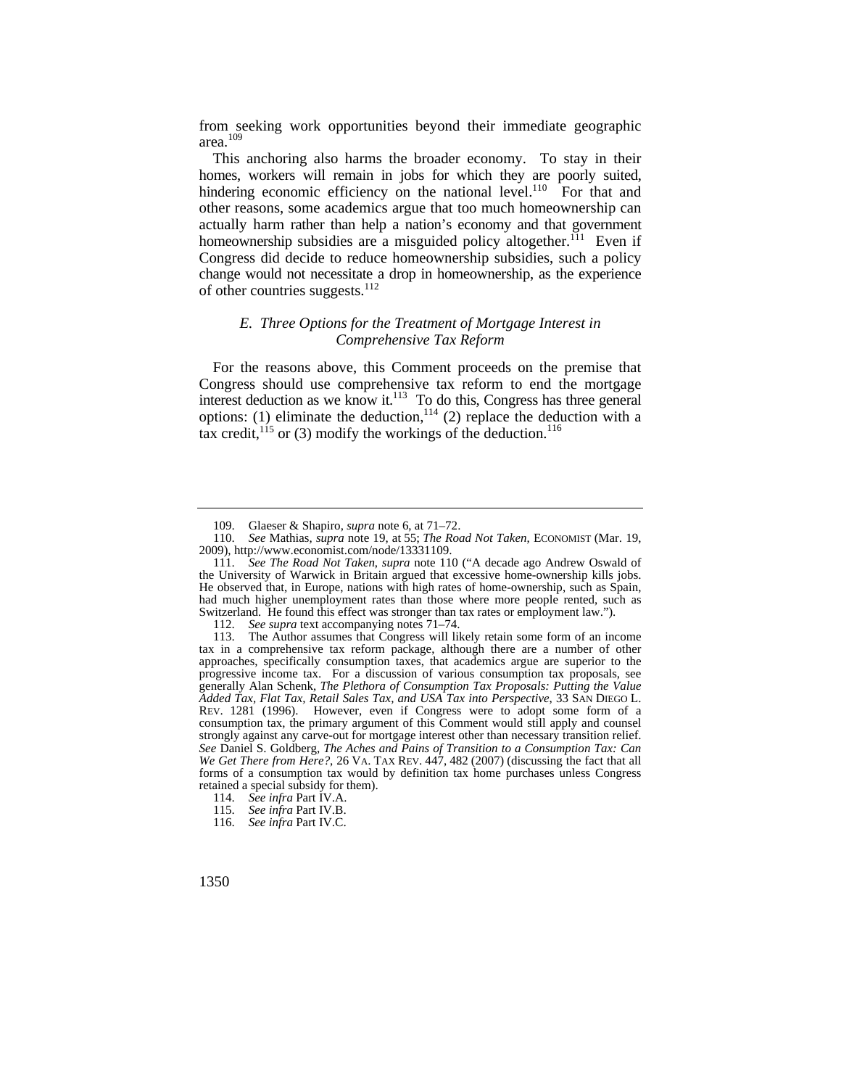from seeking work opportunities beyond their immediate geographic area.<sup>109</sup>

 actually harm rather than help a nation's economy and that government This anchoring also harms the broader economy. To stay in their homes, workers will remain in jobs for which they are poorly suited, hindering economic efficiency on the national level.<sup>110</sup> For that and other reasons, some academics argue that too much homeownership can homeownership subsidies are a misguided policy altogether.<sup>111</sup> Even if Congress did decide to reduce homeownership subsidies, such a policy change would not necessitate a drop in homeownership, as the experience of other countries suggests.<sup>112</sup>

## *E. Three Options for the Treatment of Mortgage Interest in Comprehensive Tax Reform*

For the reasons above, this Comment proceeds on the premise that Congress should use comprehensive tax reform to end the mortgage interest deduction as we know it.<sup>113</sup> To do this, Congress has three general options: (1) eliminate the deduction,  $114$  (2) replace the deduction with a tax credit, $^{115}$  or (3) modify the workings of the deduction.<sup>116</sup>

 <sup>109.</sup> Glaeser & Shapiro, *supra* note 6, at 71–72.

 110. *See* Mathias, *supra* note 19, at 55; *The Road Not Taken*, ECONOMIST (Mar. 19, 2009), <http://www.economist.com/node/13331109>.

<sup>111.</sup> *See The Road Not Taken*, *supra* note 110 ("A decade ago Andrew Oswald of the University of Warwick in Britain argued that excessive home-ownership kills jobs. He observed that, in Europe, nations with high rates of home-ownership, such as Spain, had much higher unemployment rates than those where more people rented, such as Switzerland. He found this effect was stronger than tax rates or employment law.").

<sup>112.</sup> *See supra* text accompanying notes 71–74.

 consumption tax, the primary argument of this Comment would still apply and counsel *We Get There from Here?*, 26 VA. TAX REV. 447, 482 (2007) (discussing the fact that all 113. The Author assumes that Congress will likely retain some form of an income tax in a comprehensive tax reform package, although there are a number of other approaches, specifically consumption taxes, that academics argue are superior to the progressive income tax. For a discussion of various consumption tax proposals, see generally Alan Schenk, *The Plethora of Consumption Tax Proposals: Putting the Value Added Tax, Flat Tax, Retail Sales Tax, and USA Tax into Perspective*, 33 SAN DIEGO L. REV. 1281 (1996). However, even if Congress were to adopt some form of a strongly against any carve-out for mortgage interest other than necessary transition relief. *See* Daniel S. Goldberg, *The Aches and Pains of Transition to a Consumption Tax: Can* forms of a consumption tax would by definition tax home purchases unless Congress retained a special subsidy for them).

<sup>114.</sup> *See infra* Part IV.A.

<sup>115.</sup> *See infra* Part IV.B.

<sup>116.</sup> *See infra* Part IV.C.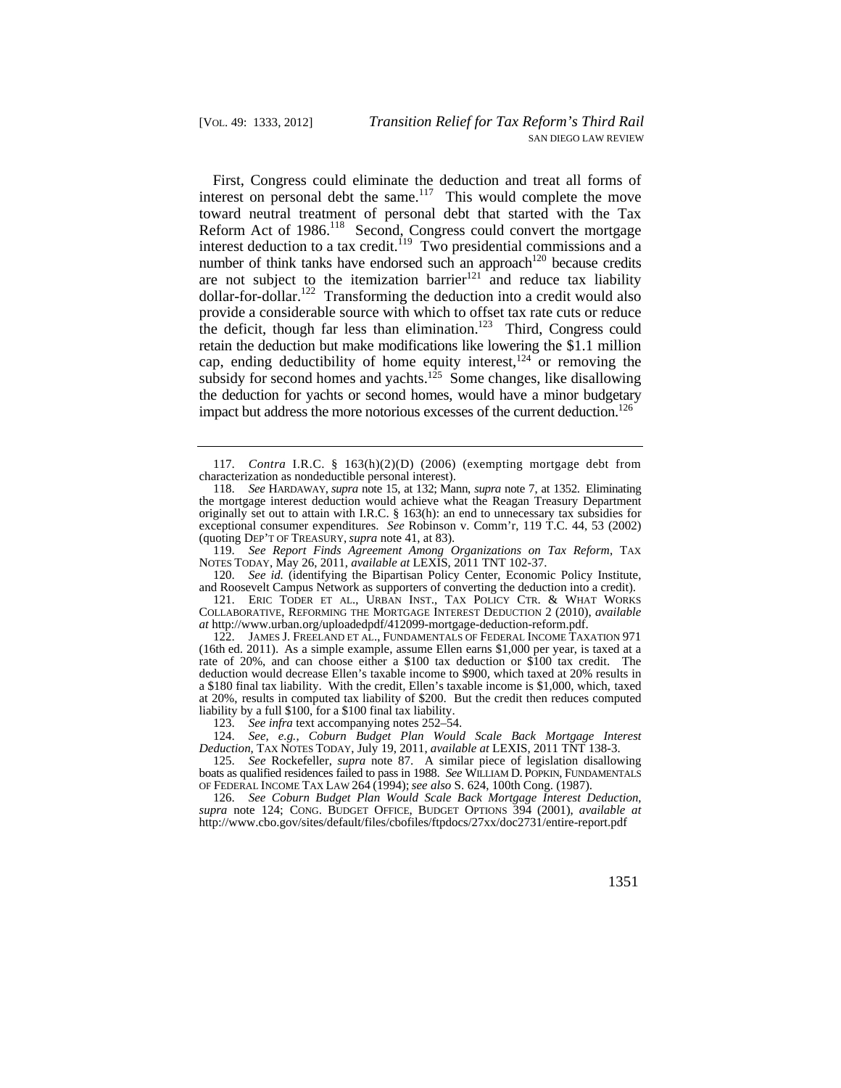interest deduction to a tax credit.<sup>119</sup> Two presidential commissions and a retain the deduction but make modifications like lowering the \$1.1 million First, Congress could eliminate the deduction and treat all forms of interest on personal debt the same.<sup>117</sup> This would complete the move toward neutral treatment of personal debt that started with the Tax Reform Act of 1986.<sup>118</sup> Second, Congress could convert the mortgage number of think tanks have endorsed such an approach<sup>120</sup> because credits are not subject to the itemization barrier<sup>121</sup> and reduce tax liability  $dollar-for-dollar.<sup>122</sup> Transforming the deduction into a credit would also$ provide a considerable source with which to offset tax rate cuts or reduce the deficit, though far less than elimination.<sup>123</sup> Third, Congress could cap, ending deductibility of home equity interest, $124$  or removing the subsidy for second homes and yachts.<sup>125</sup> Some changes, like disallowing the deduction for yachts or second homes, would have a minor budgetary impact but address the more notorious excesses of the current deduction.<sup>126</sup>

120. *See id.* (identifying the Bipartisan Policy Center, Economic Policy Institute, and Roosevelt Campus Network as supporters of converting the deduction into a credit).

 121. ERIC TODER ET AL., URBAN INST., TAX POLICY CTR. & WHAT WORKS COLLABORATIVE, REFORMING THE MORTGAGE INTEREST DEDUCTION 2 (2010), *available at*<http://www.urban.org/uploadedpdf/412099-mortgage-deduction-reform.pdf>.

 (16th ed. 2011). As a simple example, assume Ellen earns \$1,000 per year, is taxed at a a \$180 final tax liability. With the credit, Ellen's taxable income is \$1,000, which, taxed liability by a full \$100, for a \$100 final tax liability. 122. JAMES J. FREELAND ET AL., FUNDAMENTALS OF FEDERAL INCOME TAXATION 971 rate of 20%, and can choose either a \$100 tax deduction or \$100 tax credit. The deduction would decrease Ellen's taxable income to \$900, which taxed at 20% results in at 20%, results in computed tax liability of \$200. But the credit then reduces computed

123. *See infra* text accompanying notes 252–54.

124. *See, e.g.*, *Coburn Budget Plan Would Scale Back Mortgage Interest Deduction*, TAX NOTES TODAY, July 19, 2011, *available at* LEXIS, 2011 TNT 138-3.

 boats as qualified residences failed to pass in 1988. *See* WILLIAM D. POPKIN, FUNDAMENTALS OF FEDERAL INCOME TAX LAW 264 (1994); *see also* S. 624, 100th Cong. (1987). 125. *See* Rockefeller, *supra* note 87. A similar piece of legislation disallowing

 *supra* note 124; CONG. BUDGET OFFICE, BUDGET OPTIONS 394 (2001), *available at*  126. *See Coburn Budget Plan Would Scale Back Mortgage Interest Deduction*, <http://www.cbo.gov/sites/default/files/cbofiles/ftpdocs/27xx/doc2731/entire-report.pdf>

<sup>117.</sup> *Contra* I.R.C. § 163(h)(2)(D) (2006) (exempting mortgage debt from characterization as nondeductible personal interest).

 118. *See* HARDAWAY, *supra* note 15, at 132; Mann, *supra* note 7, at 1352. Eliminating the mortgage interest deduction would achieve what the Reagan Treasury Department originally set out to attain with I.R.C. § 163(h): an end to unnecessary tax subsidies for exceptional consumer expenditures. *See* Robinson v. Comm'r, 119 T.C. 44, 53 (2002) (quoting DEP'T OF TREASURY, *supra* note 41, at 83).

<sup>119.</sup> *See Report Finds Agreement Among Organizations on Tax Reform*, TAX NOTES TODAY, May 26, 2011, *available at* LEXIS, 2011 TNT 102-37.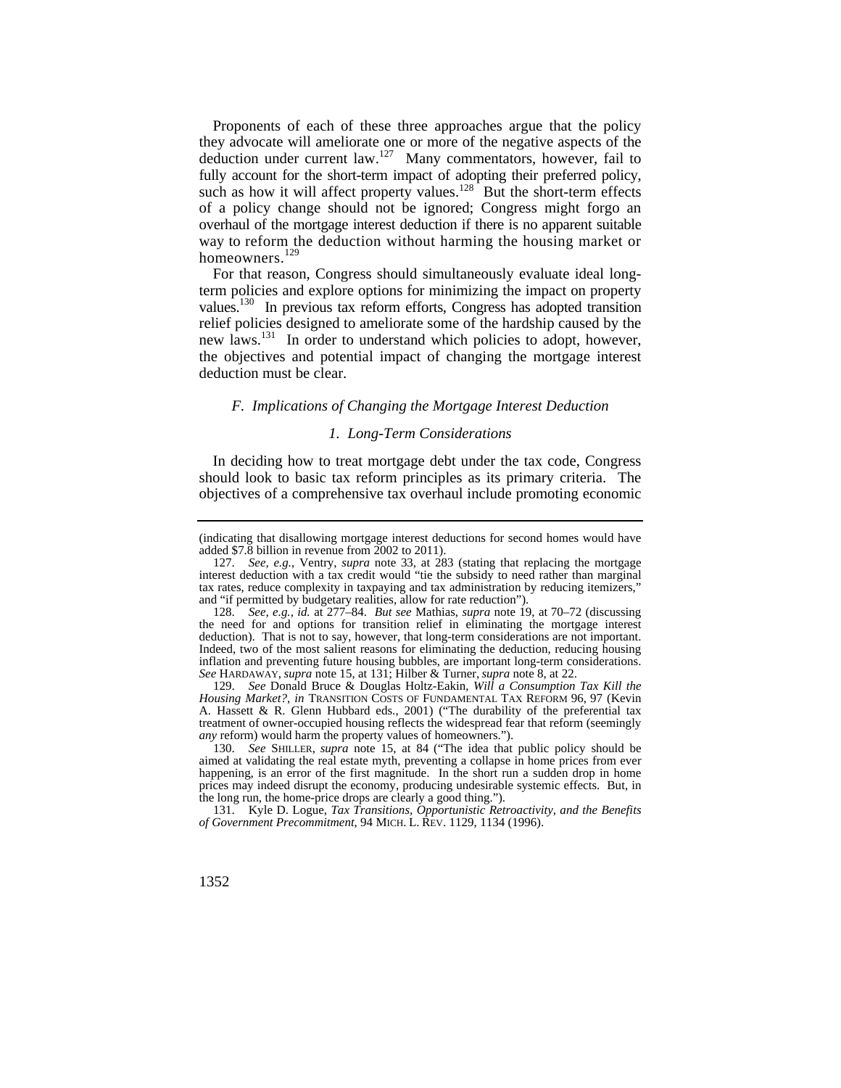such as how it will affect property values.<sup>128</sup> But the short-term effects way to reform the deduction without harming the housing market or Proponents of each of these three approaches argue that the policy they advocate will ameliorate one or more of the negative aspects of the deduction under current law.127 Many commentators, however, fail to fully account for the short-term impact of adopting their preferred policy, of a policy change should not be ignored; Congress might forgo an overhaul of the mortgage interest deduction if there is no apparent suitable homeowners.<sup>129</sup>

For that reason, Congress should simultaneously evaluate ideal longterm policies and explore options for minimizing the impact on property values.<sup>130</sup> In previous tax reform efforts, Congress has adopted transition relief policies designed to ameliorate some of the hardship caused by the new laws.131 In order to understand which policies to adopt, however, the objectives and potential impact of changing the mortgage interest deduction must be clear.

### *F. Implications of Changing the Mortgage Interest Deduction*

#### *1. Long-Term Considerations*

In deciding how to treat mortgage debt under the tax code, Congress should look to basic tax reform principles as its primary criteria. The objectives of a comprehensive tax overhaul include promoting economic

130. *See* SHILLER, *supra* note 15, at 84 ("The idea that public policy should be aimed at validating the real estate myth, preventing a collapse in home prices from ever happening, is an error of the first magnitude. In the short run a sudden drop in home prices may indeed disrupt the economy, producing undesirable systemic effects. But, in the long run, the home-price drops are clearly a good thing.").

 *of Government Precommitment*, 94 MICH. L. REV. 1129, 1134 (1996). 131. Kyle D. Logue, *Tax Transitions, Opportunistic Retroactivity, and the Benefits* 

<sup>(</sup>indicating that disallowing mortgage interest deductions for second homes would have added \$7.8 billion in revenue from 2002 to 2011).

<sup>127.</sup> *See, e.g.*, Ventry, *supra* note 33, at 283 (stating that replacing the mortgage interest deduction with a tax credit would "tie the subsidy to need rather than marginal tax rates, reduce complexity in taxpaying and tax administration by reducing itemizers," and "if permitted by budgetary realities, allow for rate reduction").

<sup>128.</sup> *See, e.g.*, *id.* at 277–84. *But see* Mathias, *supra* note 19, at 70–72 (discussing the need for and options for transition relief in eliminating the mortgage interest deduction). That is not to say, however, that long-term considerations are not important. Indeed, two of the most salient reasons for eliminating the deduction, reducing housing inflation and preventing future housing bubbles, are important long-term considerations. *See* HARDAWAY, *supra* note 15, at 131; Hilber & Turner, *supra* note 8, at 22.

<sup>129.</sup> *See* Donald Bruce & Douglas Holtz-Eakin, *Will a Consumption Tax Kill the Housing Market?*, *in* TRANSITION COSTS OF FUNDAMENTAL TAX REFORM 96, 97 (Kevin A. Hassett & R. Glenn Hubbard eds., 2001) ("The durability of the preferential tax treatment of owner-occupied housing reflects the widespread fear that reform (seemingly *any* reform) would harm the property values of homeowners.").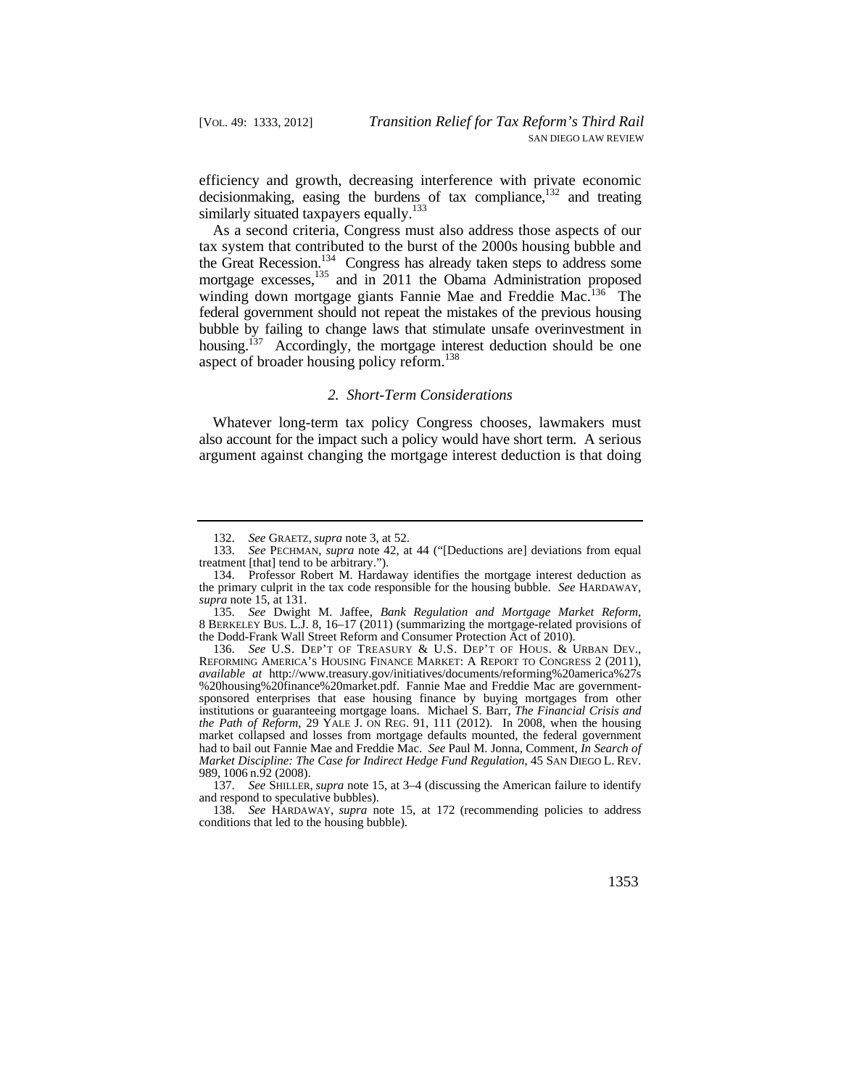efficiency and growth, decreasing interference with private economic decisionmaking, easing the burdens of tax compliance, $132$  and treating similarly situated taxpayers equally.<sup>133</sup>

As a second criteria, Congress must also address those aspects of our tax system that contributed to the burst of the 2000s housing bubble and the Great Recession.<sup>134</sup> Congress has already taken steps to address some mortgage excesses,<sup>135</sup> and in 2011 the Obama Administration proposed winding down mortgage giants Fannie Mae and Freddie Mac.<sup>136</sup> The federal government should not repeat the mistakes of the previous housing bubble by failing to change laws that stimulate unsafe overinvestment in housing.<sup>137</sup> Accordingly, the mortgage interest deduction should be one aspect of broader housing policy reform.<sup>138</sup>

#### *2. Short-Term Considerations*

Whatever long-term tax policy Congress chooses, lawmakers must also account for the impact such a policy would have short term. A serious argument against changing the mortgage interest deduction is that doing

<sup>132.</sup> *See* GRAETZ, *supra* note 3, at 52.

See PECHMAN, *supra* note 42, at 44 ("[Deductions are] deviations from equal treatment [that] tend to be arbitrary.").

<sup>134.</sup> Professor Robert M. Hardaway identifies the mortgage interest deduction as the primary culprit in the tax code responsible for the housing bubble. *See* HARDAWAY, *supra* note 15, at 131.

<sup>135.</sup> *See* Dwight M. Jaffee, *Bank Regulation and Mortgage Market Reform*, 8 BERKELEY BUS. L.J. 8, 16–17 (2011) (summarizing the mortgage-related provisions of the Dodd-Frank Wall Street Reform and Consumer Protection Act of 2010).

 136. *See* U.S. DEP'T OF TREASURY & U.S. DEP'T OF HOUS. & URBAN DEV., REFORMING AMERICA'S HOUSING FINANCE MARKET: A REPORT TO CONGRESS 2 (2011), %20housing%20finance%20market.pdf. Fannie Mae and Freddie Mac are government- *the Path of Reform*, 29 YALE J. ON REG. 91, 111 (2012). In 2008, when the housing 989, 1006 n.92 (2008). *available at* <http://www.treasury.gov/initiatives/documents/reforming%20america%27s> sponsored enterprises that ease housing finance by buying mortgages from other institutions or guaranteeing mortgage loans. Michael S. Barr, *The Financial Crisis and*  market collapsed and losses from mortgage defaults mounted, the federal government had to bail out Fannie Mae and Freddie Mac. *See* Paul M. Jonna, Comment, *In Search of Market Discipline: The Case for Indirect Hedge Fund Regulation*, 45 SAN DIEGO L. REV.

<sup>137.</sup> *See* SHILLER, *supra* note 15, at 3–4 (discussing the American failure to identify and respond to speculative bubbles).

<sup>138.</sup> *See* HARDAWAY, *supra* note 15, at 172 (recommending policies to address conditions that led to the housing bubble).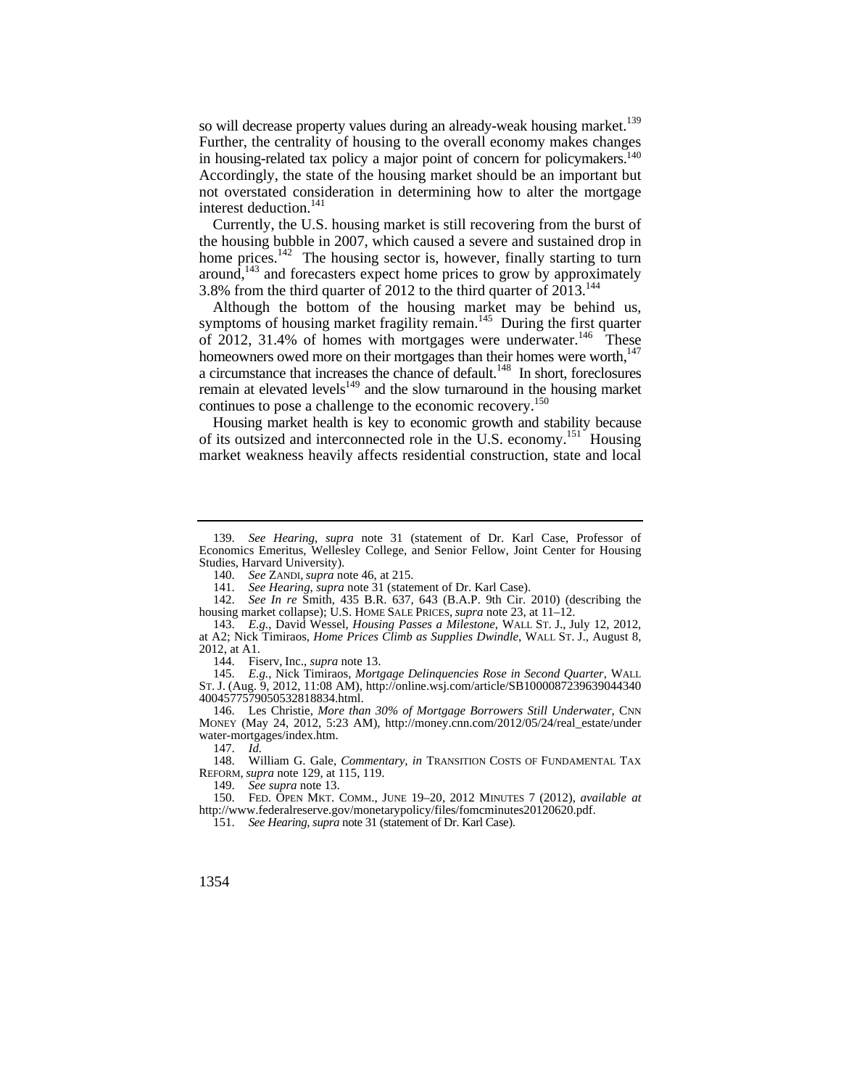so will decrease property values during an already-weak housing market.<sup>139</sup> Further, the centrality of housing to the overall economy makes changes in housing-related tax policy a major point of concern for policymakers.<sup>140</sup> Accordingly, the state of the housing market should be an important but not overstated consideration in determining how to alter the mortgage interest deduction.<sup>141</sup>

Currently, the U.S. housing market is still recovering from the burst of the housing bubble in 2007, which caused a severe and sustained drop in home prices. $142$  The housing sector is, however, finally starting to turn around,<sup> $143$ </sup> and forecasters expect home prices to grow by approximately 3.8% from the third quarter of 2012 to the third quarter of  $2013$ .<sup>144</sup>

Although the bottom of the housing market may be behind us, symptoms of housing market fragility remain.<sup>145</sup> During the first quarter of 2012, 31.4% of homes with mortgages were underwater.<sup>146</sup> These homeowners owed more on their mortgages than their homes were worth, $147$ a circumstance that increases the chance of default.<sup>148</sup> In short, foreclosures remain at elevated levels $149$  and the slow turnaround in the housing market continues to pose a challenge to the economic recovery.<sup>150</sup>

Housing market health is key to economic growth and stability because of its outsized and interconnected role in the U.S. economy.<sup>151</sup> Housing market weakness heavily affects residential construction, state and local

144. Fiserv, Inc., *supra* note 13.

 ST. J. (Aug. 9, 2012, 11:08 AM), <http://online.wsj.com/article/SB1000087239639044340> 145. *E.g.*, Nick Timiraos, *Mortgage Delinquencies Rose in Second Quarter*, WALL 4004577579050532818834.html.

 146. Les Christie, *More than 30% of Mortgage Borrowers Still Underwater*, CNN MONEY (May 24, 2012, 5:23 AM), [http://money.cnn.com/2012/05/24/real\\_estate/under](http://money.cnn.com/2012/05/24/real_estate/under) water-mortgages/index.htm.

147. *Id.* 

148. William G. Gale, *Commentary*, *in* TRANSITION COSTS OF FUNDAMENTAL TAX REFORM, *supra* note 129, at 115, 119.

149. *See supra* note 13.

 150. FED. OPEN MKT. COMM., JUNE 19–20, 2012 MINUTES 7 (2012), *available at*  [http://www.federalreserve.gov/monetarypolicy/files/fomcminutes20120620.pdf.](http://www.federalreserve.gov/monetarypolicy/files/fomcminutes20120620.pdf)

151. *See Hearing*, *supra* note 31 (statement of Dr. Karl Case).

<sup>139.</sup> *See Hearing*, *supra* note 31 (statement of Dr. Karl Case, Professor of Economics Emeritus, Wellesley College, and Senior Fellow, Joint Center for Housing Studies, Harvard University).

<sup>140.</sup> *See* ZANDI, *supra* note 46, at 215.

<sup>141.</sup> *See Hearing*, *supra* note 31 (statement of Dr. Karl Case).

<sup>142.</sup> *See In re* Smith, 435 B.R. 637, 643 (B.A.P. 9th Cir. 2010) (describing the housing market collapse); U.S. HOME SALE PRICES, *supra* note 23, at 11–12.

 143. *E.g.*, David Wessel, *Housing Passes a Milestone*, WALL ST. J., July 12, 2012, at A2; Nick Timiraos, *Home Prices Climb as Supplies Dwindle*, WALL ST. J., August 8, 2012, at A1.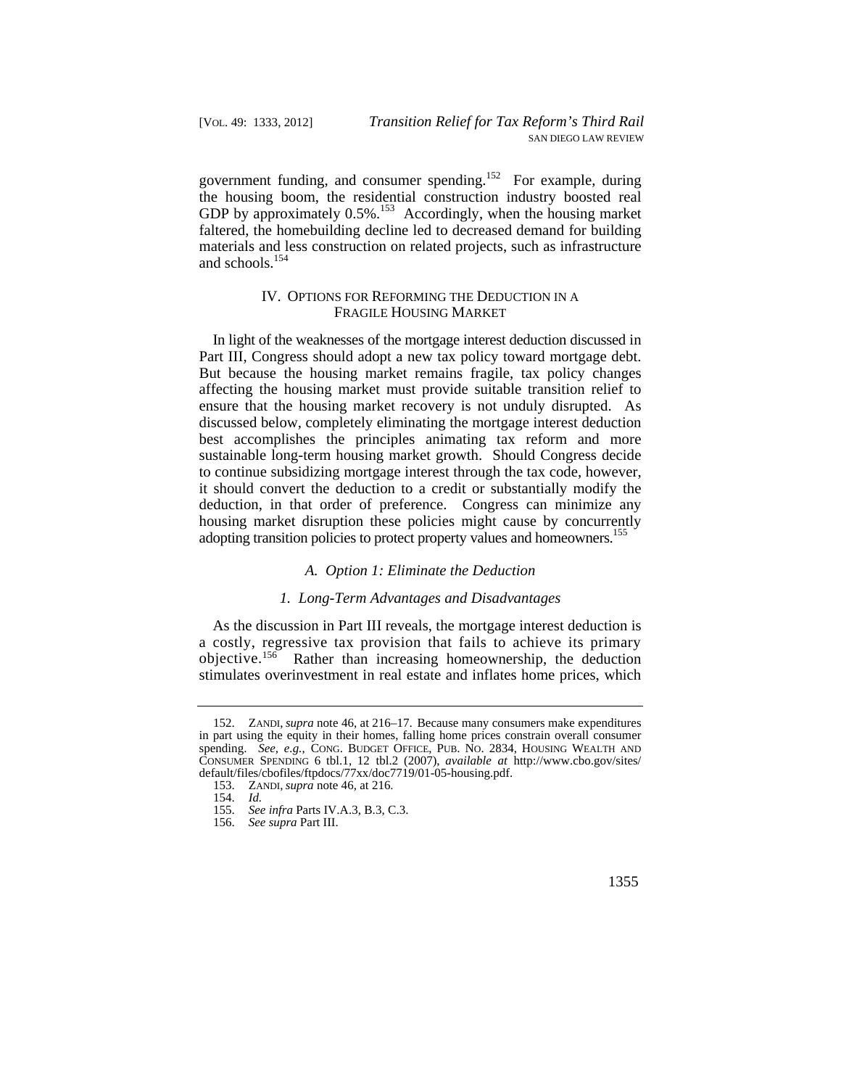government funding, and consumer spending.152 For example, during the housing boom, the residential construction industry boosted real GDP by approximately 0.5%.<sup>153</sup> Accordingly, when the housing market faltered, the homebuilding decline led to decreased demand for building materials and less construction on related projects, such as infrastructure and schools.154

## IV. OPTIONS FOR REFORMING THE DEDUCTION IN A FRAGILE HOUSING MARKET

adopting transition policies to protect property values and homeowners.<sup>155</sup> In light of the weaknesses of the mortgage interest deduction discussed in Part III, Congress should adopt a new tax policy toward mortgage debt. But because the housing market remains fragile, tax policy changes affecting the housing market must provide suitable transition relief to ensure that the housing market recovery is not unduly disrupted. As discussed below, completely eliminating the mortgage interest deduction best accomplishes the principles animating tax reform and more sustainable long-term housing market growth. Should Congress decide to continue subsidizing mortgage interest through the tax code, however, it should convert the deduction to a credit or substantially modify the deduction, in that order of preference. Congress can minimize any housing market disruption these policies might cause by concurrently

#### *A. Option 1: Eliminate the Deduction*

#### *1. Long-Term Advantages and Disadvantages*

As the discussion in Part III reveals, the mortgage interest deduction is a costly, regressive tax provision that fails to achieve its primary objective.156 Rather than increasing homeownership, the deduction stimulates overinvestment in real estate and inflates home prices, which

 152. ZANDI, *supra* note 46, at 216–17. Because many consumers make expenditures spending. *See, e.g.*, CONG. BUDGET OFFICE, PUB. NO. 2834, HOUSING WEALTH AND CONSUMER SPENDING 6 tbl.1, 12 tbl.2 (2007), *available at* [http://www.cbo.gov/sites/](http://www.cbo.gov/sites) in part using the equity in their homes, falling home prices constrain overall consumer default/files/cbofiles/ftpdocs/77xx/doc7719/01-05-housing.pdf.

 <sup>153.</sup> ZANDI, *supra* note 46, at 216.

<sup>154.</sup> *Id.* 

<sup>155.</sup> *See infra* Parts IV.A.3, B.3, C.3.

<sup>156.</sup> *See supra* Part III.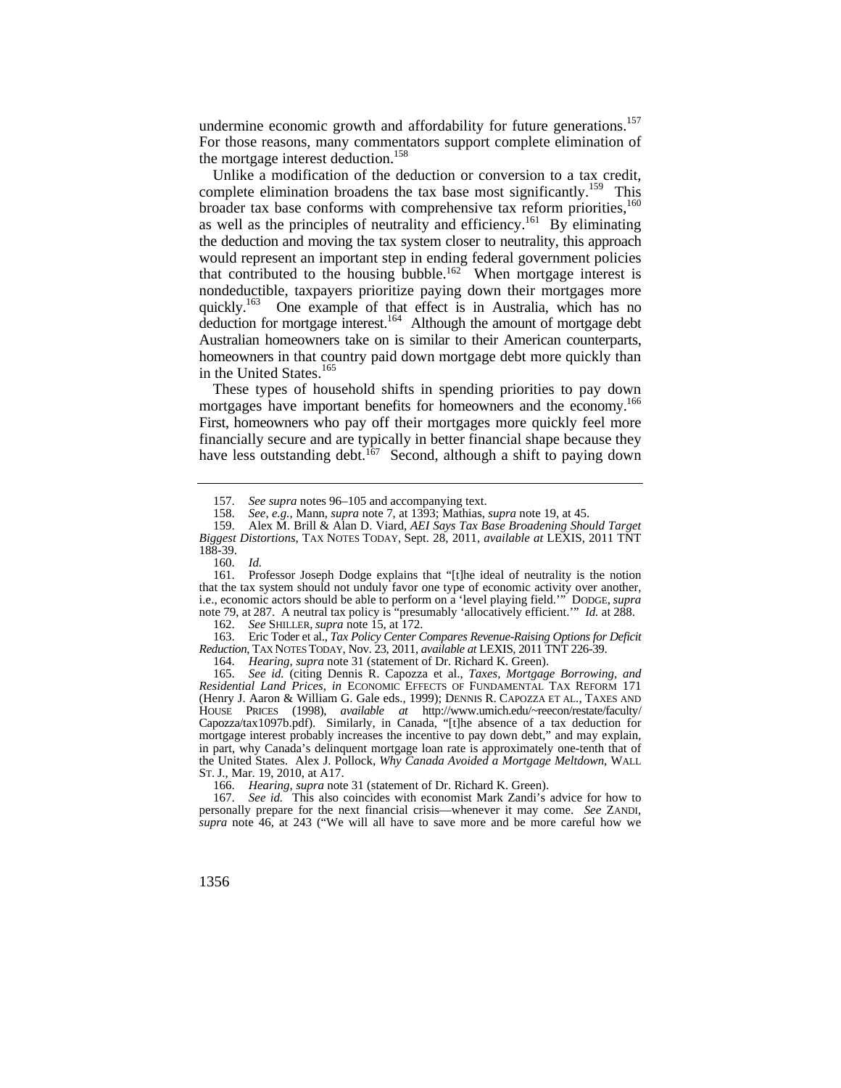undermine economic growth and affordability for future generations.<sup>157</sup> For those reasons, many commentators support complete elimination of the mortgage interest deduction.<sup>158</sup>

Unlike a modification of the deduction or conversion to a tax credit, complete elimination broadens the tax base most significantly.<sup>159</sup> This broader tax base conforms with comprehensive tax reform priorities,<sup>160</sup> as well as the principles of neutrality and efficiency.<sup>161</sup> By eliminating the deduction and moving the tax system closer to neutrality, this approach would represent an important step in ending federal government policies that contributed to the housing bubble.<sup>162</sup> When mortgage interest is nondeductible, taxpayers prioritize paying down their mortgages more quickly.<sup>163</sup> One example of that effect is in Australia, which has no deduction for mortgage interest.<sup>164</sup> Although the amount of mortgage debt Australian homeowners take on is similar to their American counterparts, homeowners in that country paid down mortgage debt more quickly than in the United States.<sup>165</sup>

mortgages have important benefits for homeowners and the economy.<sup>166</sup> These types of household shifts in spending priorities to pay down First, homeowners who pay off their mortgages more quickly feel more financially secure and are typically in better financial shape because they have less outstanding debt.<sup>167</sup> Second, although a shift to paying down

 $\ddot{\phantom{0}}$ 163. Eric Toder et al., *Tax Policy Center Compares Revenue-Raising Options for Deficit Reduction*, TAX NOTES TODAY, Nov. 23, 2011, *available at* LEXIS, 2011 TNT 226-39.

164. *Hearing*, *supra* note 31 (statement of Dr. Richard K. Green).

 Capozza/tax1097b.pdf). Similarly, in Canada, "[t]he absence of a tax deduction for 165. *See id.* (citing Dennis R. Capozza et al., *Taxes, Mortgage Borrowing, and Residential Land Prices*, *in* ECONOMIC EFFECTS OF FUNDAMENTAL TAX REFORM 171 (Henry J. Aaron & William G. Gale eds., 1999); DENNIS R. CAPOZZA ET AL., TAXES AND HOUSE PRICES (1998), *available at* [http://www.umich.edu/~reecon/restate/faculty/](http://www.umich.edu/~reecon/restate/faculty) mortgage interest probably increases the incentive to pay down debt," and may explain, in part, why Canada's delinquent mortgage loan rate is approximately one-tenth that of the United States. Alex J. Pollock, *Why Canada Avoided a Mortgage Meltdown*, WALL ST. J., Mar. 19, 2010, at A17.

166. *Hearing*, *supra* note 31 (statement of Dr. Richard K. Green).

See id. This also coincides with economist Mark Zandi's advice for how to personally prepare for the next financial crisis—whenever it may come. *See* ZANDI, *supra* note 46, at 243 ("We will all have to save more and be more careful how we

<sup>157.</sup> *See supra* notes 96–105 and accompanying text.<br>158. *See e.g.* Mann, *supra* note 7, at 1393: Mathias.

<sup>158.</sup> *See, e.g.*, Mann, *supra* note 7, at 1393; Mathias, *supra* note 19, at 45.

<sup>159.</sup> Alex M. Brill & Alan D. Viard, *AEI Says Tax Base Broadening Should Target Biggest Distortions*, TAX NOTES TODAY, Sept. 28, 2011, *available at* LEXIS, 2011 TNT 188-39.

<sup>160.</sup> *Id.* 

<sup>161.</sup> Professor Joseph Dodge explains that "[t]he ideal of neutrality is the notion that the tax system should not unduly favor one type of economic activity over another, i.e., economic actors should be able to perform on a 'level playing field.'" DODGE, *supra*  note 79, at 287. A neutral tax policy is "presumably 'allocatively efficient.'" *Id.* at 288.

<sup>162.</sup> *See* SHILLER, *supra* note 15, at 172.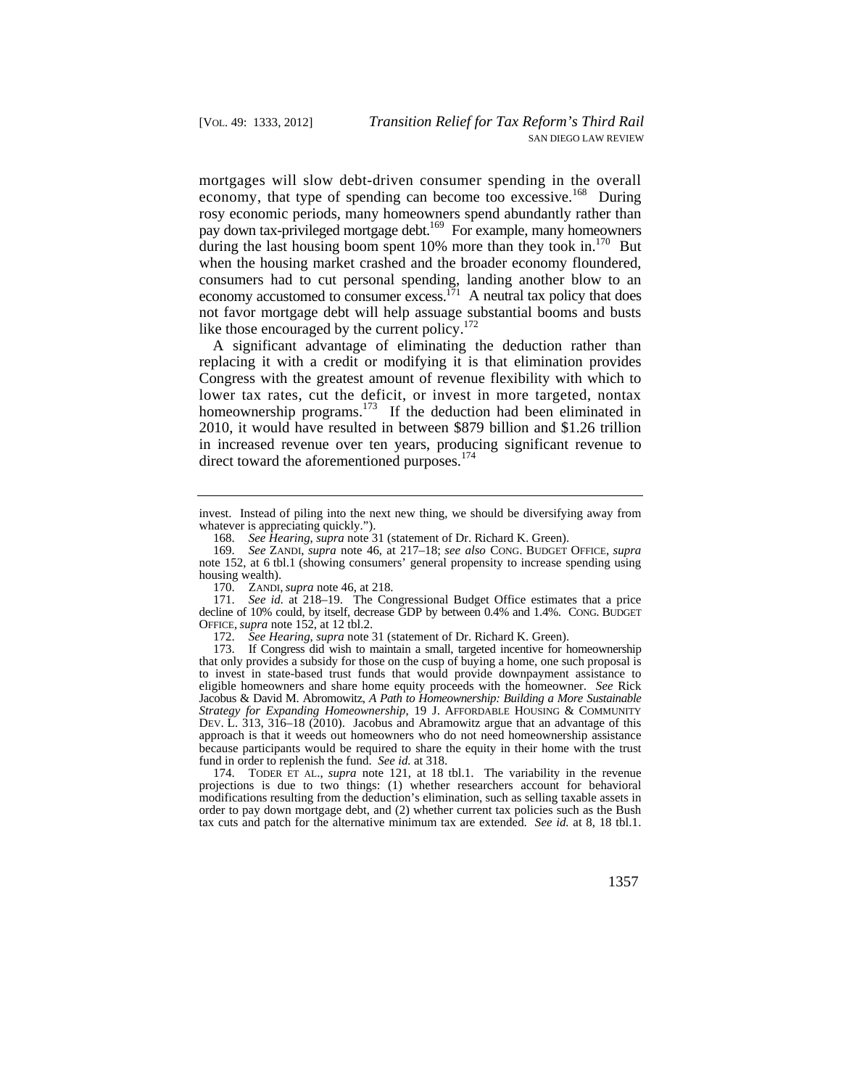mortgages will slow debt-driven consumer spending in the overall economy, that type of spending can become too excessive.<sup>168</sup> During rosy economic periods, many homeowners spend abundantly rather than pay down tax-privileged mortgage debt.<sup>169</sup> For example, many homeowners during the last housing boom spent  $10\%$  more than they took in.<sup>170</sup> But when the housing market crashed and the broader economy floundered, consumers had to cut personal spending, landing another blow to an economy accustomed to consumer excess.<sup>171</sup> A neutral tax policy that does not favor mortgage debt will help assuage substantial booms and busts like those encouraged by the current policy. $172$ 

A significant advantage of eliminating the deduction rather than replacing it with a credit or modifying it is that elimination provides Congress with the greatest amount of revenue flexibility with which to lower tax rates, cut the deficit, or invest in more targeted, nontax homeownership programs.<sup>173</sup> If the deduction had been eliminated in 2010, it would have resulted in between \$879 billion and \$1.26 trillion in increased revenue over ten years, producing significant revenue to direct toward the aforementioned purposes. $174$ 

invest. Instead of piling into the next new thing, we should be diversifying away from whatever is appreciating quickly.").

<sup>168.</sup> *See Hearing*, *supra* note 31 (statement of Dr. Richard K. Green).

 169. *See* ZANDI, *supra* note 46, at 217–18; *see also* CONG. BUDGET OFFICE, *supra*  note 152, at 6 tbl.1 (showing consumers' general propensity to increase spending using housing wealth).

 <sup>170.</sup> ZANDI, *supra* note 46, at 218.

<sup>171.</sup> *See id.* at 218–19. The Congressional Budget Office estimates that a price decline of 10% could, by itself, decrease GDP by between 0.4% and 1.4%. CONG. BUDGET OFFICE, *supra* note 152, at 12 tbl.2.

<sup>172.</sup> *See Hearing*, *supra* note 31 (statement of Dr. Richard K. Green).

<sup>173.</sup> If Congress did wish to maintain a small, targeted incentive for homeownership that only provides a subsidy for those on the cusp of buying a home, one such proposal is to invest in state-based trust funds that would provide downpayment assistance to eligible homeowners and share home equity proceeds with the homeowner. *See* Rick Jacobus & David M. Abromowitz, *A Path to Homeownership: Building a More Sustainable Strategy for Expanding Homeownership*, 19 J. AFFORDABLE HOUSING & COMMUNITY DEV. L. 313, 316–18 (2010). Jacobus and Abramowitz argue that an advantage of this approach is that it weeds out homeowners who do not need homeownership assistance because participants would be required to share the equity in their home with the trust fund in order to replenish the fund. *See id.* at 318.

 174. TODER ET AL., *supra* note 121, at 18 tbl.1. The variability in the revenue tax cuts and patch for the alternative minimum tax are extended. *See id.* at 8, 18 tbl.1. projections is due to two things: (1) whether researchers account for behavioral modifications resulting from the deduction's elimination, such as selling taxable assets in order to pay down mortgage debt, and (2) whether current tax policies such as the Bush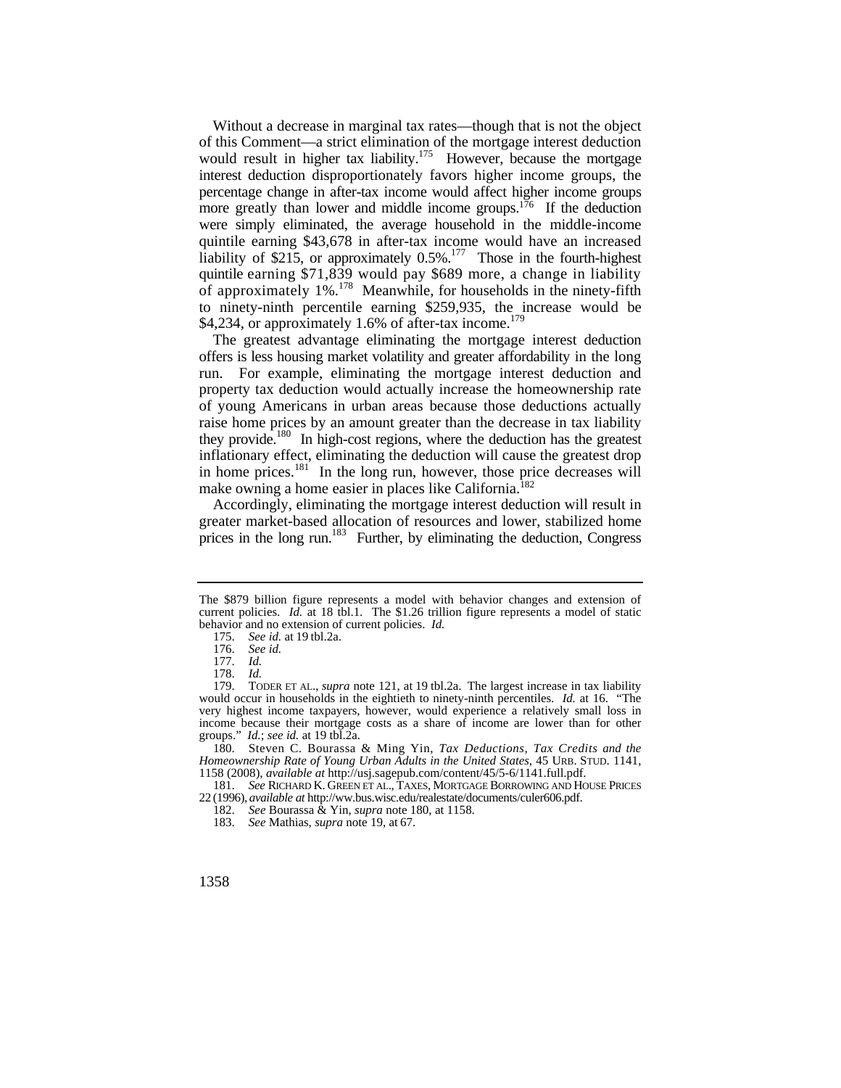more greatly than lower and middle income groups.<sup>176</sup> If the deduction were simply eliminated, the average household in the middle-income Without a decrease in marginal tax rates—though that is not the object of this Comment—a strict elimination of the mortgage interest deduction would result in higher tax liability.<sup>175</sup> However, because the mortgage interest deduction disproportionately favors higher income groups, the percentage change in after-tax income would affect higher income groups quintile earning \$43,678 in after-tax income would have an increased liability of \$215, or approximately  $0.5\%$ .<sup>177</sup> Those in the fourth-highest quintile earning \$71,839 would pay \$689 more, a change in liability of approximately  $1\%$ .<sup>178</sup> Meanwhile, for households in the ninety-fifth to ninety-ninth percentile earning \$259,935, the increase would be \$4,234, or approximately 1.6% of after-tax income. $179$ 

 offers is less housing market volatility and greater affordability in the long The greatest advantage eliminating the mortgage interest deduction run. For example, eliminating the mortgage interest deduction and property tax deduction would actually increase the homeownership rate of young Americans in urban areas because those deductions actually raise home prices by an amount greater than the decrease in tax liability they provide.<sup>180</sup> In high-cost regions, where the deduction has the greatest inflationary effect, eliminating the deduction will cause the greatest drop in home prices.<sup>181</sup> In the long run, however, those price decreases will make owning a home easier in places like California.<sup>182</sup>

Accordingly, eliminating the mortgage interest deduction will result in greater market-based allocation of resources and lower, stabilized home prices in the long run.<sup>183</sup> Further, by eliminating the deduction, Congress

 180. Steven C. Bourassa & Ming Yin, *Tax Deductions, Tax Credits and the Homeownership Rate of Young Urban Adults in the United States*, 45 URB. STUD. 1141, 1158 (2008), *available at* [http://usj.sagepub.com/content/45/5-6/1141.full.pdf.](http://usj.sagepub.com/content/45/5-6/1141.full.pdf)

 181. *See* RICHARD K. GREEN ET AL., TAXES, MORTGAGE BORROWING AND HOUSE PRICES 22 (1996), *available at*<http://ww.bus.wisc.edu/realestate/documents/culer606.pdf>.

The \$879 billion figure represents a model with behavior changes and extension of current policies. *Id.* at 18 tbl.1. The \$1.26 trillion figure represents a model of static behavior and no extension of current policies. *Id.* 

 175. *See id.* at 19 tbl.2a.

<sup>176.</sup> *See id.* 

<sup>177.</sup> *Id.*  178. *Id.*

 179. TODER ET AL., *supra* note 121, at 19 tbl.2a. The largest increase in tax liability would occur in households in the eightieth to ninety-ninth percentiles. *Id.* at 16. "The very highest income taxpayers, however, would experience a relatively small loss in income because their mortgage costs as a share of income are lower than for other groups." *Id.*; *see id.* at 19 tbl.2a.

<sup>182.</sup> *See* Bourassa & Yin, *supra* note 180, at 1158.

<sup>183.</sup> *See* Mathias, *supra* note 19, at 67.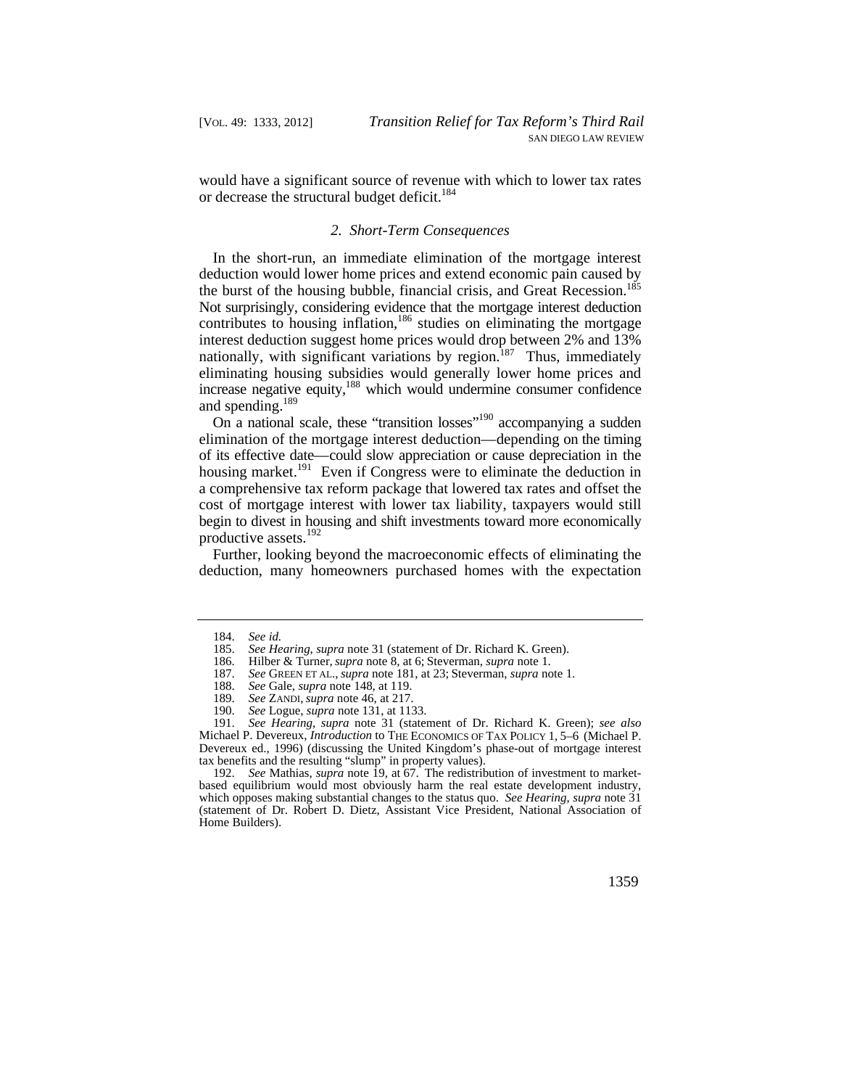would have a significant source of revenue with which to lower tax rates or decrease the structural budget deficit.<sup>184</sup>

## *2. Short-Term Consequences*

In the short-run, an immediate elimination of the mortgage interest deduction would lower home prices and extend economic pain caused by the burst of the housing bubble, financial crisis, and Great Recession.<sup>185</sup> Not surprisingly, considering evidence that the mortgage interest deduction contributes to housing inflation,<sup>186</sup> studies on eliminating the mortgage interest deduction suggest home prices would drop between 2% and 13% nationally, with significant variations by region.<sup>187</sup> Thus, immediately eliminating housing subsidies would generally lower home prices and increase negative equity,<sup>188</sup> which would undermine consumer confidence and spending.189

 elimination of the mortgage interest deduction—depending on the timing of its effective date—could slow appreciation or cause depreciation in the begin to divest in housing and shift investments toward more economically On a national scale, these "transition losses"<sup>190</sup> accompanying a sudden housing market.<sup>191</sup> Even if Congress were to eliminate the deduction in a comprehensive tax reform package that lowered tax rates and offset the cost of mortgage interest with lower tax liability, taxpayers would still productive assets.<sup>192</sup>

Further, looking beyond the macroeconomic effects of eliminating the deduction, many homeowners purchased homes with the expectation

<sup>184.</sup> *See id.* 

See Hearing, *supra* note 31 (statement of Dr. Richard K. Green).

<sup>186.</sup> Hilber & Turner, *supra* note 8, at 6; Steverman, *supra* note 1.

<sup>187.</sup> *See* GREEN ET AL., *supra* note 181, at 23; Steverman, *supra* note 1.

<sup>188.</sup> *See* Gale, *supra* note 148, at 119.

<sup>189.</sup> *See* ZANDI, *supra* note 46, at 217.

See Logue, *supra* note 131, at 1133.

 Michael P. Devereux, *Introduction* to THE ECONOMICS OF TAX POLICY 1, 5–6 (Michael P. Ī 191. *See Hearing*, *supra* note 31 (statement of Dr. Richard K. Green); *see also*  Devereux ed., 1996) (discussing the United Kingdom's phase-out of mortgage interest tax benefits and the resulting "slump" in property values).

<sup>192.</sup> *See* Mathias, *supra* note 19, at 67. The redistribution of investment to marketbased equilibrium would most obviously harm the real estate development industry, which opposes making substantial changes to the status quo. *See Hearing*, *supra* note 31 (statement of Dr. Robert D. Dietz, Assistant Vice President, National Association of Home Builders).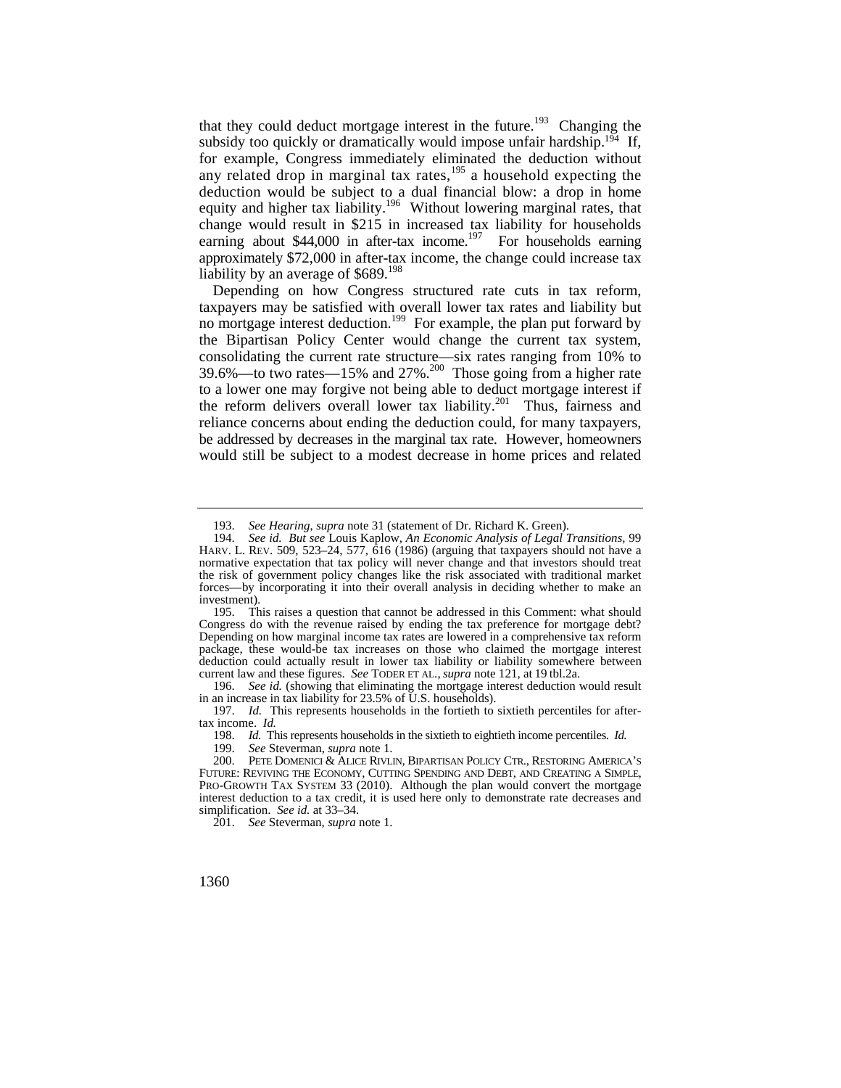that they could deduct mortgage interest in the future.<sup>193</sup> Changing the subsidy too quickly or dramatically would impose unfair hardship.<sup>194</sup> If, for example, Congress immediately eliminated the deduction without any related drop in marginal tax rates, $195$  a household expecting the deduction would be subject to a dual financial blow: a drop in home equity and higher tax liability.<sup>196</sup> Without lowering marginal rates, that change would result in \$215 in increased tax liability for households earning about  $$44,000$  in after-tax income.<sup>197</sup> For households earning approximately \$72,000 in after-tax income, the change could increase tax liability by an average of  $$689$ <sup>198</sup>

Depending on how Congress structured rate cuts in tax reform, taxpayers may be satisfied with overall lower tax rates and liability but no mortgage interest deduction.<sup>199</sup> For example, the plan put forward by the Bipartisan Policy Center would change the current tax system, consolidating the current rate structure—six rates ranging from 10% to 39.6%—to two rates—15% and  $27\%$ <sup>200</sup> Those going from a higher rate to a lower one may forgive not being able to deduct mortgage interest if the reform delivers overall lower tax liability.<sup>201</sup> Thus, fairness and reliance concerns about ending the deduction could, for many taxpayers, be addressed by decreases in the marginal tax rate. However, homeowners would still be subject to a modest decrease in home prices and related

196. *See id.* (showing that eliminating the mortgage interest deduction would result in an increase in tax liability for 23.5% of U.S. households).

197. *Id.* This represents households in the fortieth to sixtieth percentiles for aftertax income. *Id.* 

198. *Id.* This represents households in the sixtieth to eightieth income percentiles. *Id.* 

201. *See* Steverman, *supra* note 1.

<sup>193.</sup> *See Hearing*, *supra* note 31 (statement of Dr. Richard K. Green).

 194. *See id. But see* Louis Kaplow, *An Economic Analysis of Legal Transitions*, 99 HARV. L. REV. 509, 523–24, 577, 616 (1986) (arguing that taxpayers should not have a normative expectation that tax policy will never change and that investors should treat the risk of government policy changes like the risk associated with traditional market forces—by incorporating it into their overall analysis in deciding whether to make an investment).

 current law and these figures. *See* TODER ET AL., *supra* note 121, at 19 tbl.2a. 195. This raises a question that cannot be addressed in this Comment: what should Congress do with the revenue raised by ending the tax preference for mortgage debt? Depending on how marginal income tax rates are lowered in a comprehensive tax reform package, these would-be tax increases on those who claimed the mortgage interest deduction could actually result in lower tax liability or liability somewhere between

<sup>199.</sup> *See* Steverman, *supra* note 1.

 PRO-GROWTH TAX SYSTEM 33 (2010). Although the plan would convert the mortgage simplification. *See id.* at 33–34. PETE DOMENICI & ALICE RIVLIN, BIPARTISAN POLICY CTR., RESTORING AMERICA'S FUTURE: REVIVING THE ECONOMY, CUTTING SPENDING AND DEBT, AND CREATING A SIMPLE, interest deduction to a tax credit, it is used here only to demonstrate rate decreases and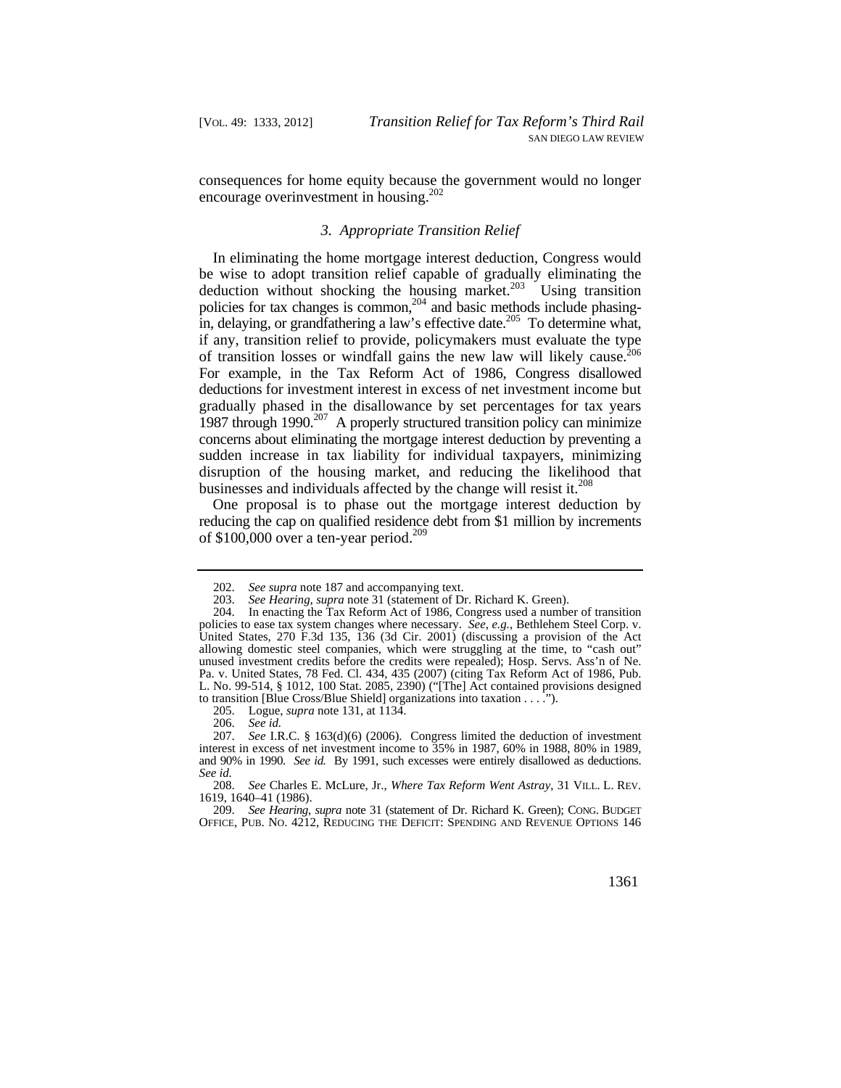consequences for home equity because the government would no longer encourage overinvestment in housing.<sup>202</sup>

## *3. Appropriate Transition Relief*

deduction without shocking the housing market. $^{203}$  Using transition concerns about eliminating the mortgage interest deduction by preventing a In eliminating the home mortgage interest deduction, Congress would be wise to adopt transition relief capable of gradually eliminating the policies for tax changes is common,<sup>204</sup> and basic methods include phasingin, delaying, or grandfathering a law's effective date.<sup>205</sup> To determine what, if any, transition relief to provide, policymakers must evaluate the type of transition losses or windfall gains the new law will likely cause.<sup>206</sup> For example, in the Tax Reform Act of 1986, Congress disallowed deductions for investment interest in excess of net investment income but gradually phased in the disallowance by set percentages for tax years 1987 through 1990. $^{207}$  A properly structured transition policy can minimize sudden increase in tax liability for individual taxpayers, minimizing disruption of the housing market, and reducing the likelihood that businesses and individuals affected by the change will resist it.<sup>208</sup>

One proposal is to phase out the mortgage interest deduction by reducing the cap on qualified residence debt from \$1 million by increments of \$100,000 over a ten-year period.<sup>209</sup>

<sup>202.</sup> See supra note 187 and accompanying text.<br>203. See Hearing, supra note 31 (statement of D 203. *See Hearing*, *supra* note 31 (statement of Dr. Richard K. Green).

<sup>204.</sup> In enacting the Tax Reform Act of 1986, Congress used a number of transition policies to ease tax system changes where necessary. *See, e.g.*, Bethlehem Steel Corp. v. United States, 270 F.3d 135,  $\overline{136}$  (3d Cir. 2001) (discussing a provision of the Act allowing domestic steel companies, which were struggling at the time, to "cash out" unused investment credits before the credits were repealed); Hosp. Servs. Ass'n of Ne. Pa. v. United States, 78 Fed. Cl. 434, 435 (2007) (citing Tax Reform Act of 1986, Pub. L. No. 99-514, § 1012, 100 Stat. 2085, 2390) ("[The] Act contained provisions designed to transition [Blue Cross/Blue Shield] organizations into taxation . . . .").

 <sup>205.</sup> Logue, *supra* note 131, at 1134.

<sup>206.</sup> *See id.* 

 and 90% in 1990. *See id.* By 1991, such excesses were entirely disallowed as deductions. *See id.*  207. *See* I.R.C. § 163(d)(6) (2006). Congress limited the deduction of investment interest in excess of net investment income to 35% in 1987, 60% in 1988, 80% in 1989,

 208. *See* Charles E. McLure, Jr., *Where Tax Reform Went Astray*, 31 VILL. L. REV. 1619, 1640–41 (1986).

 OFFICE, PUB. NO. 4212, REDUCING THE DEFICIT: SPENDING AND REVENUE OPTIONS 146 209. *See Hearing*, *supra* note 31 (statement of Dr. Richard K. Green); CONG. BUDGET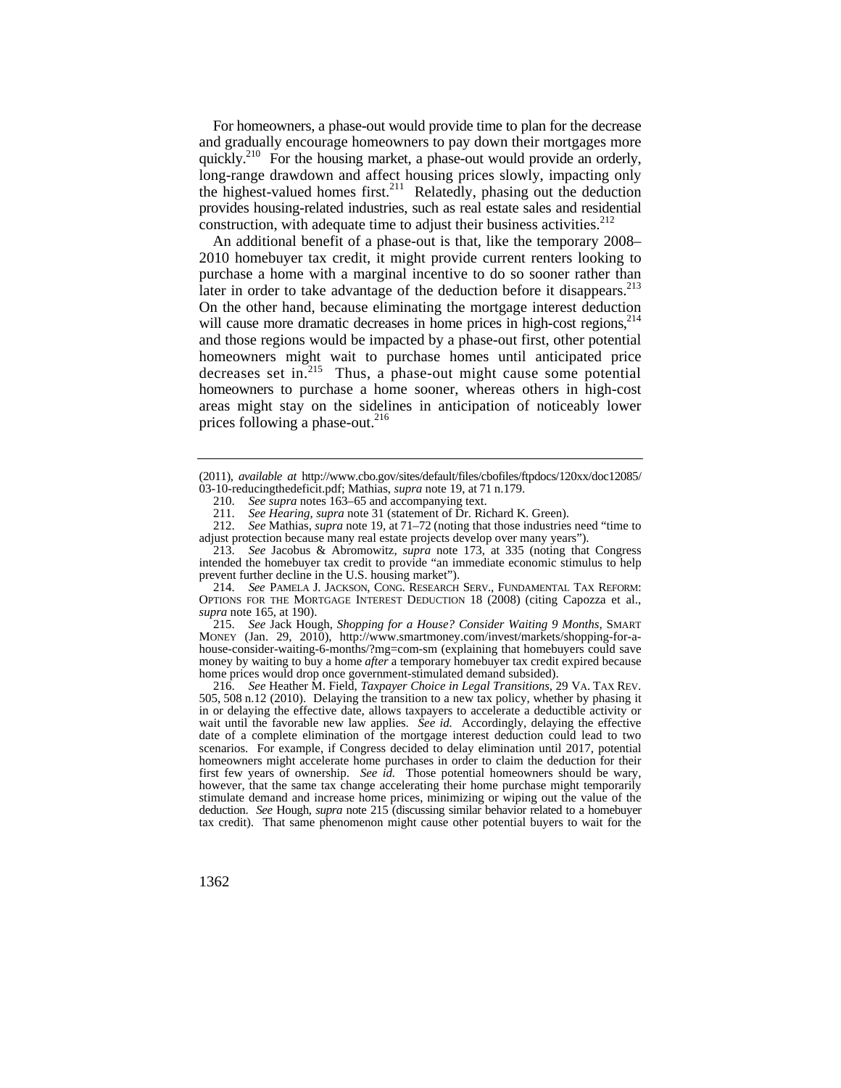For homeowners, a phase-out would provide time to plan for the decrease and gradually encourage homeowners to pay down their mortgages more quickly.<sup>210</sup> For the housing market, a phase-out would provide an orderly, long-range drawdown and affect housing prices slowly, impacting only the highest-valued homes first.<sup>211</sup> Relatedly, phasing out the deduction provides housing-related industries, such as real estate sales and residential construction, with adequate time to adjust their business activities. $2^{12}$ 

later in order to take advantage of the deduction before it disappears. $^{213}$ An additional benefit of a phase-out is that, like the temporary 2008– 2010 homebuyer tax credit, it might provide current renters looking to purchase a home with a marginal incentive to do so sooner rather than On the other hand, because eliminating the mortgage interest deduction will cause more dramatic decreases in home prices in high-cost regions,  $2^{14}$ and those regions would be impacted by a phase-out first, other potential homeowners might wait to purchase homes until anticipated price decreases set in.<sup>215</sup> Thus, a phase-out might cause some potential homeowners to purchase a home sooner, whereas others in high-cost areas might stay on the sidelines in anticipation of noticeably lower prices following a phase-out.<sup>216</sup>

213. *See* Jacobus & Abromowitz, *supra* note 173, at 335 (noting that Congress intended the homebuyer tax credit to provide "an immediate economic stimulus to help prevent further decline in the U.S. housing market").

 214. *See* PAMELA J. JACKSON, CONG. RESEARCH SERV., FUNDAMENTAL TAX REFORM: OPTIONS FOR THE MORTGAGE INTEREST DEDUCTION 18 (2008) (citing Capozza et al., *supra* note 165, at 190).

215. *See* Jack Hough, *Shopping for a House? Consider Waiting 9 Months*, SMART MONEY (Jan. 29, 2010), <http://www.smartmoney.com/invest/markets/shopping-for-a>house-consider-waiting-6-months/?mg=com-sm (explaining that homebuyers could save money by waiting to buy a home *after* a temporary homebuyer tax credit expired because home prices would drop once government-stimulated demand subsided).

 505, 508 n.12 (2010). Delaying the transition to a new tax policy, whether by phasing it wait until the favorable new law applies. *See id.* Accordingly, delaying the effective deduction. *See* Hough, *supra* note 215 (discussing similar behavior related to a homebuyer 216. *See* Heather M. Field, *Taxpayer Choice in Legal Transitions*, 29 VA. TAX REV. in or delaying the effective date, allows taxpayers to accelerate a deductible activity or date of a complete elimination of the mortgage interest deduction could lead to two scenarios. For example, if Congress decided to delay elimination until 2017, potential homeowners might accelerate home purchases in order to claim the deduction for their first few years of ownership. *See id.* Those potential homeowners should be wary, however, that the same tax change accelerating their home purchase might temporarily stimulate demand and increase home prices, minimizing or wiping out the value of the tax credit). That same phenomenon might cause other potential buyers to wait for the

 03-10-reducingthedeficit.pdf; Mathias, *supra* note 19, at 71 n.179. (2011), *available at* [http://www.cbo.gov/sites/default/files/cbofiles/ftpdocs/120xx/doc12085/](http://www.cbo.gov/sites/default/files/cbofiles/ftpdocs/120xx/doc12085)

<sup>210.</sup> *See supra* notes 163–65 and accompanying text.

See Hearing, *supra* note 31 (statement of Dr. Richard K. Green).

 212. *See* Mathias, *supra* note 19, at 71–72 (noting that those industries need "time to adjust protection because many real estate projects develop over many years").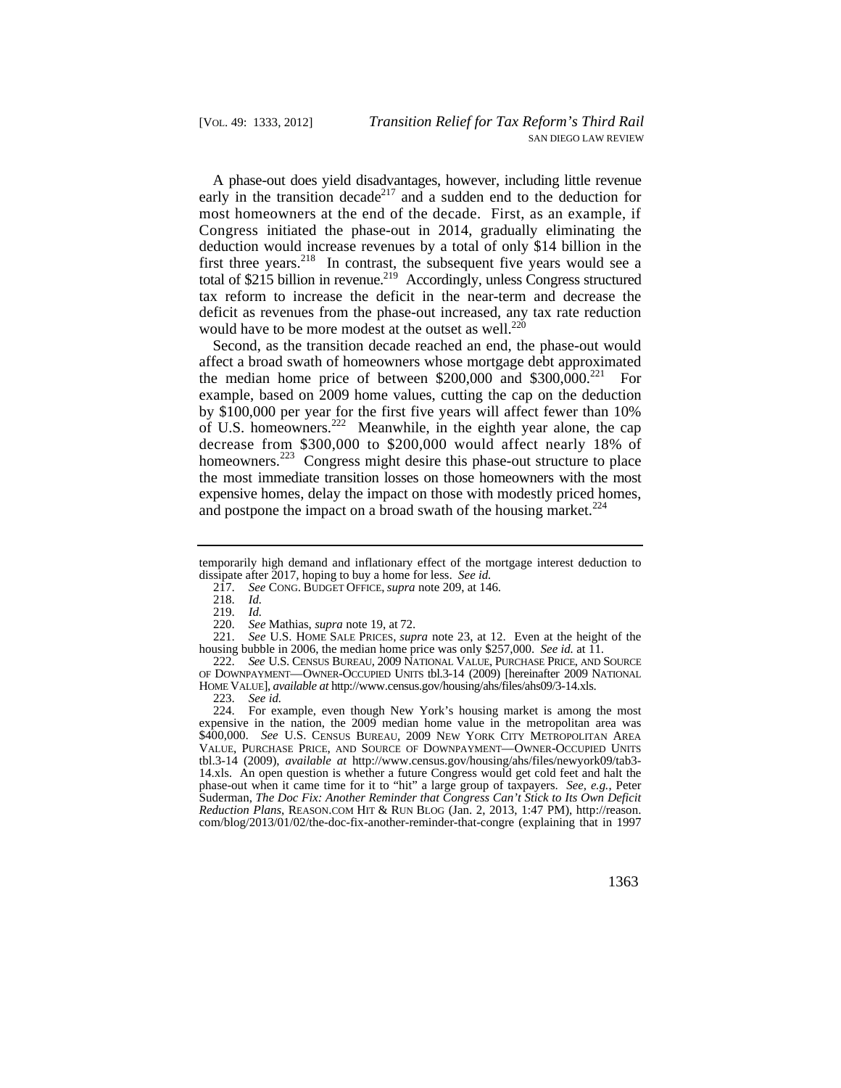A phase-out does yield disadvantages, however, including little revenue early in the transition decade<sup>217</sup> and a sudden end to the deduction for most homeowners at the end of the decade. First, as an example, if Congress initiated the phase-out in 2014, gradually eliminating the deduction would increase revenues by a total of only \$14 billion in the first three years. $2^{18}$  In contrast, the subsequent five years would see a total of  $$215$  billion in revenue.<sup>219</sup> Accordingly, unless Congress structured tax reform to increase the deficit in the near-term and decrease the deficit as revenues from the phase-out increased, any tax rate reduction would have to be more modest at the outset as well.<sup>220</sup>

 decrease from \$300,000 to \$200,000 would affect nearly 18% of the most immediate transition losses on those homeowners with the most Second, as the transition decade reached an end, the phase-out would affect a broad swath of homeowners whose mortgage debt approximated the median home price of between  $$200,000$  and  $$300,000$ .<sup>221</sup> For example, based on 2009 home values, cutting the cap on the deduction by \$100,000 per year for the first five years will affect fewer than 10% of U.S. homeowners.222 Meanwhile, in the eighth year alone, the cap homeowners.<sup>223</sup> Congress might desire this phase-out structure to place expensive homes, delay the impact on those with modestly priced homes, and postpone the impact on a broad swath of the housing market. $^{224}$ 

218. *Id.* 

219. *Id.* 

223. *See id.* 

 \$400,000. *See* U.S. CENSUS BUREAU, 2009 NEW YORK CITY METROPOLITAN AREA 224. For example, even though New York's housing market is among the most expensive in the nation, the 2009 median home value in the metropolitan area was VALUE, PURCHASE PRICE, AND SOURCE OF DOWNPAYMENT—OWNER-OCCUPIED UNITS tbl.3-14 (2009), *available at* <http://www.census.gov/housing/ahs/files/newyork09/tab3>- 14.xls. An open question is whether a future Congress would get cold feet and halt the phase-out when it came time for it to "hit" a large group of taxpayers. *See, e.g.*, Peter Suderman, *The Doc Fix: Another Reminder that Congress Can't Stick to Its Own Deficit Reduction Plans*, [REASON.COM](https://REASON.COM) HIT & RUN BLOG (Jan. 2, 2013, 1:47 PM), [http://reason.](http://reason) com/blog/2013/01/02/the-doc-fix-another-reminder-that-congre (explaining that in 1997

temporarily high demand and inflationary effect of the mortgage interest deduction to dissipate after 2017, hoping to buy a home for less. *See id.* 

<sup>217.</sup> *See* CONG. BUDGET OFFICE, *supra* note 209, at 146.

<sup>220.</sup> *See* Mathias, *supra* note 19, at 72.

See U.S. HOME SALE PRICES, *supra* note 23, at 12. Even at the height of the housing bubble in 2006, the median home price was only \$257,000. *See id.* at 11.

 222. *See* U.S. CENSUS BUREAU, 2009 NATIONAL VALUE, PURCHASE PRICE, AND SOURCE OF DOWNPAYMENT—OWNER-OCCUPIED UNITS tbl.3-14 (2009) [hereinafter 2009 NATIONAL HOME VALUE], *available at*<http://www.census.gov/housing/ahs/files/ahs09/3-14.xls>.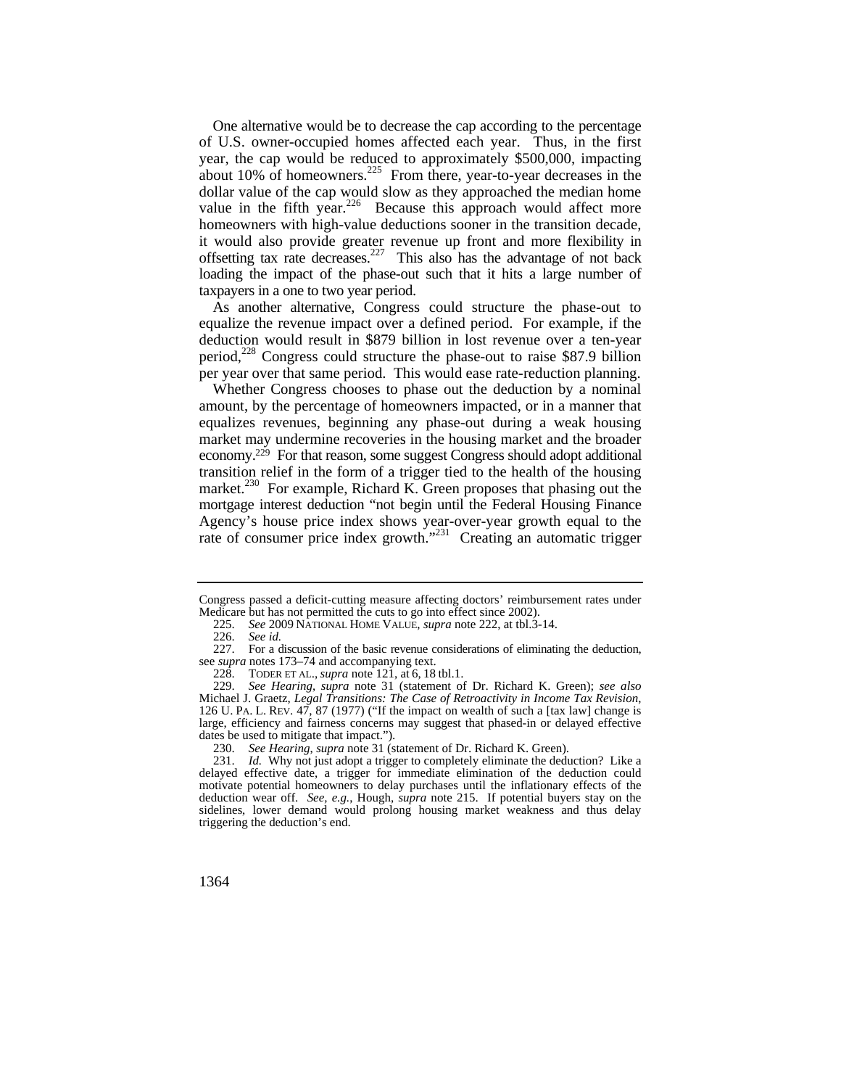it would also provide greater revenue up front and more flexibility in taxpayers in a one to two year period. One alternative would be to decrease the cap according to the percentage of U.S. owner-occupied homes affected each year. Thus, in the first year, the cap would be reduced to approximately \$500,000, impacting about 10% of homeowners.<sup>225</sup> From there, year-to-year decreases in the dollar value of the cap would slow as they approached the median home value in the fifth year.<sup>226</sup> Because this approach would affect more homeowners with high-value deductions sooner in the transition decade, offsetting tax rate decreases.<sup>227</sup> This also has the advantage of not back loading the impact of the phase-out such that it hits a large number of

 As another alternative, Congress could structure the phase-out to equalize the revenue impact over a defined period. For example, if the deduction would result in \$879 billion in lost revenue over a ten-year period,<sup>228</sup> Congress could structure the phase-out to raise \$87.9 billion per year over that same period. This would ease rate-reduction planning.

rate of consumer price index growth."<sup>231</sup> Creating an automatic trigger Whether Congress chooses to phase out the deduction by a nominal amount, by the percentage of homeowners impacted, or in a manner that equalizes revenues, beginning any phase-out during a weak housing market may undermine recoveries in the housing market and the broader economy.<sup>229</sup> For that reason, some suggest Congress should adopt additional transition relief in the form of a trigger tied to the health of the housing market.<sup>230</sup> For example, Richard K. Green proposes that phasing out the mortgage interest deduction "not begin until the Federal Housing Finance Agency's house price index shows year-over-year growth equal to the

Congress passed a deficit-cutting measure affecting doctors' reimbursement rates under Medicare but has not permitted the cuts to go into effect since 2002).

<sup>225.</sup> *See* 2009 NATIONAL HOME VALUE, *supra* note 222, at tbl.3-14.

<sup>226.</sup> *See id.* 

 227. For a discussion of the basic revenue considerations of eliminating the deduction, see *supra* notes 173–74 and accompanying text.

 228. TODER ET AL., *supra* note 121, at 6, 18 tbl.1.

 126 U. PA. L. REV. 47, 87 (1977) ("If the impact on wealth of such a [tax law] change is 229. *See Hearing*, *supra* note 31 (statement of Dr. Richard K. Green); *see also*  Michael J. Graetz, *Legal Transitions: The Case of Retroactivity in Income Tax Revision*, large, efficiency and fairness concerns may suggest that phased-in or delayed effective dates be used to mitigate that impact.").

<sup>230.</sup> *See Hearing*, *supra* note 31 (statement of Dr. Richard K. Green).

<sup>231.</sup> *Id.* Why not just adopt a trigger to completely eliminate the deduction? Like a delayed effective date, a trigger for immediate elimination of the deduction could motivate potential homeowners to delay purchases until the inflationary effects of the deduction wear off. *See, e.g.*, Hough, *supra* note 215. If potential buyers stay on the sidelines, lower demand would prolong housing market weakness and thus delay triggering the deduction's end.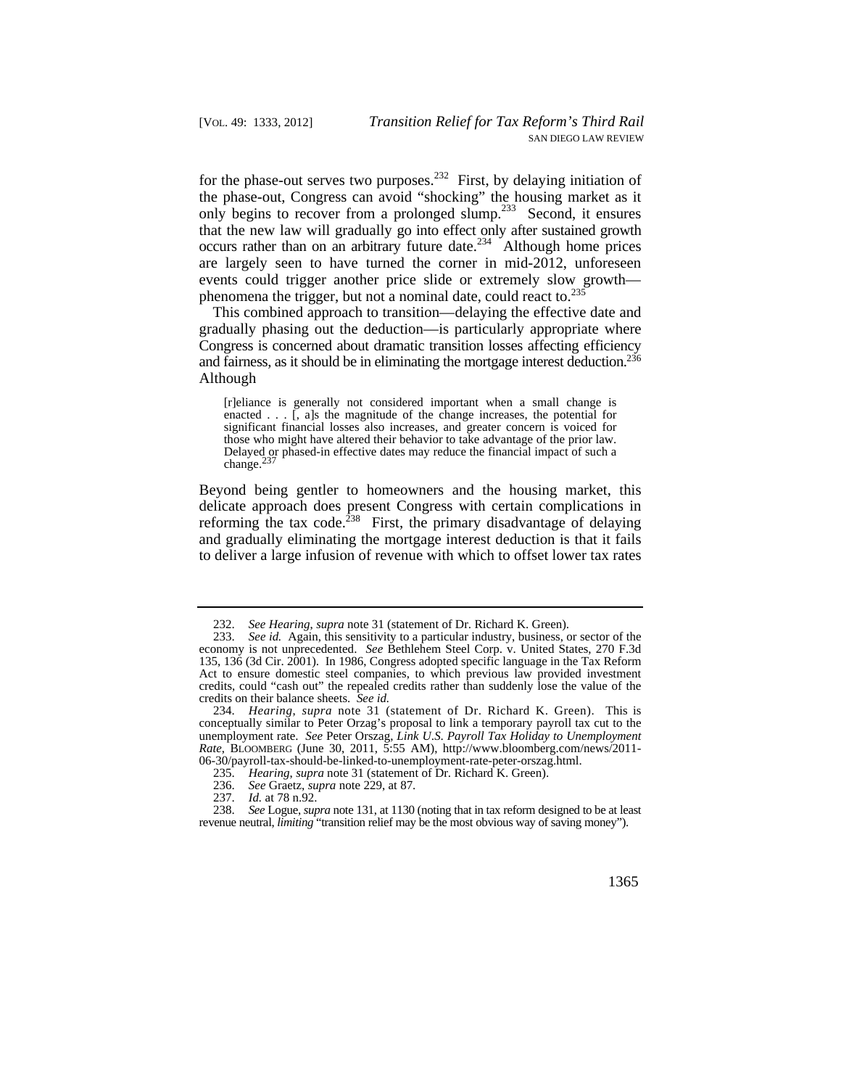that the new law will gradually go into effect only after sustained growth for the phase-out serves two purposes.<sup>232</sup> First, by delaying initiation of the phase-out, Congress can avoid "shocking" the housing market as it only begins to recover from a prolonged slump.<sup>233</sup> Second, it ensures occurs rather than on an arbitrary future date.<sup>234</sup> Although home prices are largely seen to have turned the corner in mid-2012, unforeseen events could trigger another price slide or extremely slow growth phenomena the trigger, but not a nominal date, could react to.235

and fairness, as it should be in eliminating the mortgage interest deduction.<sup>236</sup> This combined approach to transition—delaying the effective date and gradually phasing out the deduction—is particularly appropriate where Congress is concerned about dramatic transition losses affecting efficiency Although

[r]eliance is generally not considered important when a small change is enacted  $\ldots$   $\tilde{I}$ , als the magnitude of the change increases, the potential for significant financial losses also increases, and greater concern is voiced for those who might have altered their behavior to take advantage of the prior law. Delayed or phased-in effective dates may reduce the financial impact of such a change. $<sup>2</sup>$ </sup>

reforming the tax code.<sup>238</sup> First, the primary disadvantage of delaying Beyond being gentler to homeowners and the housing market, this delicate approach does present Congress with certain complications in and gradually eliminating the mortgage interest deduction is that it fails to deliver a large infusion of revenue with which to offset lower tax rates

235. *Hearing*, *supra* note 31 (statement of Dr. Richard K. Green).

<sup>232.</sup> *See Hearing, supra* note 31 (statement of Dr. Richard K. Green).<br>233. *See id.* Again, this sensitivity to a particular industry, business, c

 credits on their balance sheets. *See id.*  See id. Again, this sensitivity to a particular industry, business, or sector of the economy is not unprecedented. *See* Bethlehem Steel Corp. v. United States, 270 F.3d 135, 136 (3d Cir. 2001). In 1986, Congress adopted specific language in the Tax Reform Act to ensure domestic steel companies, to which previous law provided investment credits, could "cash out" the repealed credits rather than suddenly lose the value of the

 234. *Hearing*, *supra* note 31 (statement of Dr. Richard K. Green). This is conceptually similar to Peter Orzag's proposal to link a temporary payroll tax cut to the unemployment rate. *See* Peter Orszag, *Link U*.*S*. *Payroll Tax Holiday to Unemployment Rate*, BLOOMBERG (June 30, 2011, 5:55 AM), [http://www.bloomberg.com/news/2011-](http://www.bloomberg.com/news/2011) 06-30/payroll-tax-should-be-linked-to-unemployment-rate-peter-orszag.html.

<sup>236.</sup> *See* Graetz, *supra* note 229, at 87.

*Id.* at 78 n.92.

 238. *See* Logue, *supra* note 131, at 1130 (noting that in tax reform designed to be at least revenue neutral, *limiting* "transition relief may be the most obvious way of saving money").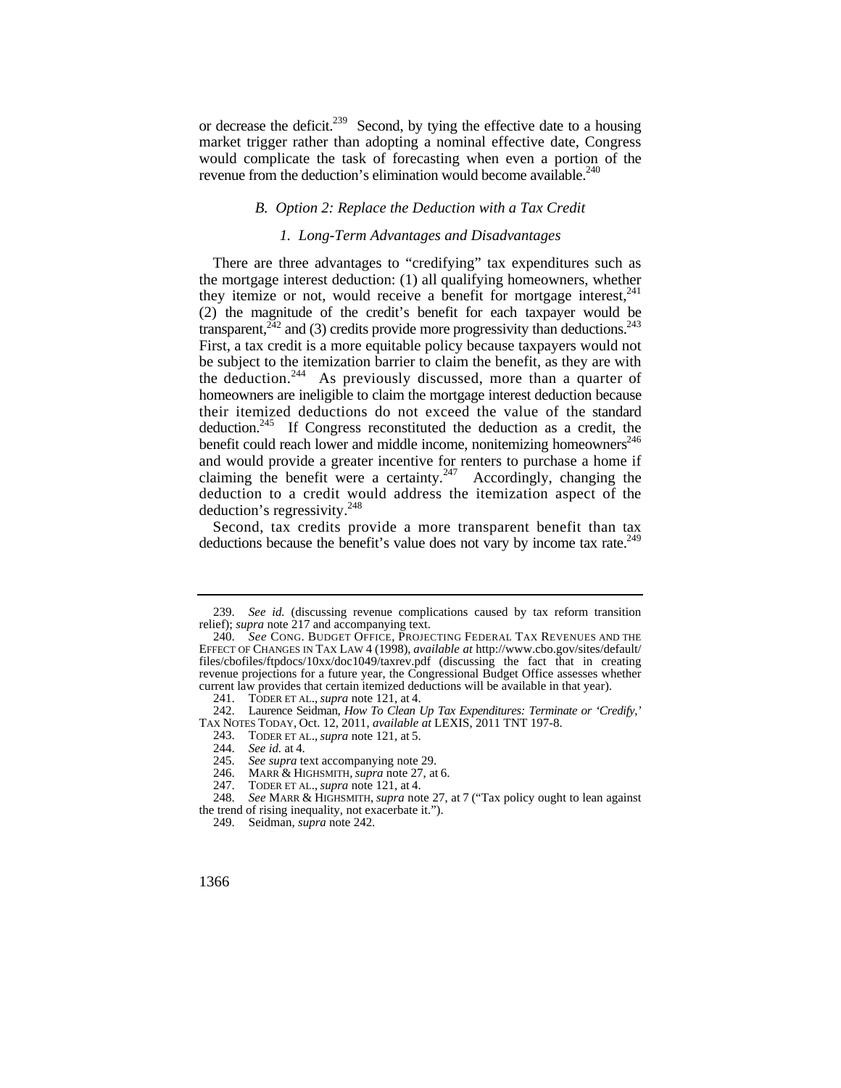would complicate the task of forecasting when even a portion of the or decrease the deficit.<sup>239</sup> Second, by tying the effective date to a housing market trigger rather than adopting a nominal effective date, Congress revenue from the deduction's elimination would become available.<sup>240</sup>

## *B. Option 2: Replace the Deduction with a Tax Credit*

## *1. Long-Term Advantages and Disadvantages*

they itemize or not, would receive a benefit for mortgage interest,<sup>241</sup> transparent,  $242$  and (3) credits provide more progressivity than deductions.<sup>243</sup> There are three advantages to "credifying" tax expenditures such as the mortgage interest deduction: (1) all qualifying homeowners, whether (2) the magnitude of the credit's benefit for each taxpayer would be First, a tax credit is a more equitable policy because taxpayers would not be subject to the itemization barrier to claim the benefit, as they are with the deduction.<sup>244</sup> As previously discussed, more than a quarter of homeowners are ineligible to claim the mortgage interest deduction because their itemized deductions do not exceed the value of the standard deduction.245 If Congress reconstituted the deduction as a credit, the benefit could reach lower and middle income, nonitemizing homeowners<sup>246</sup> and would provide a greater incentive for renters to purchase a home if claiming the benefit were a certainty.<sup>247</sup> Accordingly, changing the deduction to a credit would address the itemization aspect of the deduction's regressivity. $^{248}$ 

 Second, tax credits provide a more transparent benefit than tax deductions because the benefit's value does not vary by income tax rate.<sup>249</sup>

<sup>239.</sup> *See id.* (discussing revenue complications caused by tax reform transition relief); *supra* note 217 and accompanying text.

 EFFECT OF CHANGES IN TAX LAW 4 (1998), *available at* [http://www.cbo.gov/sites/default/](http://www.cbo.gov/sites/default) 240. *See* CONG. BUDGET OFFICE, PROJECTING FEDERAL TAX REVENUES AND THE files/cbofiles/ftpdocs/10xx/doc1049/taxrev.pdf (discussing the fact that in creating revenue projections for a future year, the Congressional Budget Office assesses whether current law provides that certain itemized deductions will be available in that year).

 <sup>241.</sup> TODER ET AL., *supra* note 121, at 4.

 242. Laurence Seidman, *How To Clean Up Tax Expenditures: Terminate or 'Credify*,*'*  TAX NOTES TODAY, Oct. 12, 2011, *available at* LEXIS, 2011 TNT 197-8.

 <sup>243.</sup> TODER ET AL., *supra* note 121, at 5.

<sup>244.</sup> *See id.* at 4.

<sup>245.</sup> *See supra* text accompanying note 29.

 <sup>246.</sup> MARR & HIGHSMITH, *supra* note 27, at 6.

 <sup>247.</sup> TODER ET AL., *supra* note 121, at 4.

<sup>248.</sup> *See* MARR & HIGHSMITH, *supra* note 27, at 7 ("Tax policy ought to lean against the trend of rising inequality, not exacerbate it.").

 <sup>249.</sup> Seidman, *supra* note 242.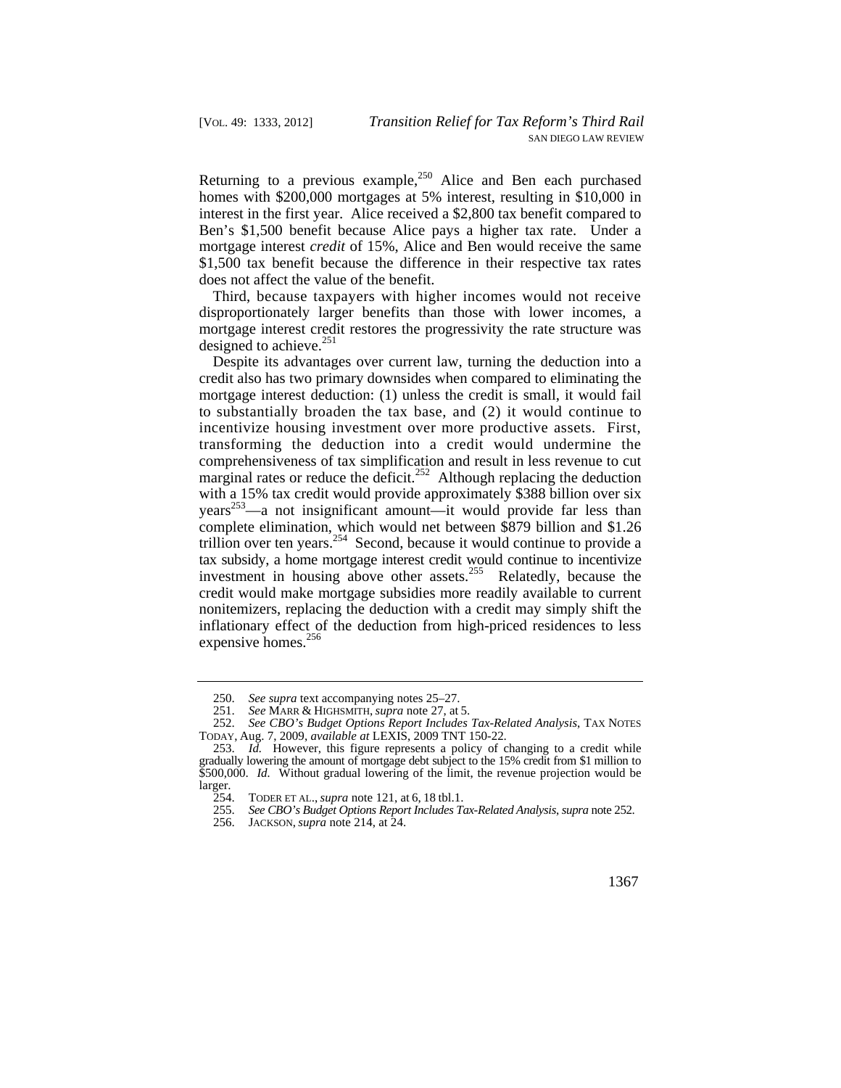Returning to a previous example,  $250$  Alice and Ben each purchased homes with \$200,000 mortgages at 5% interest, resulting in \$10,000 in interest in the first year. Alice received a \$2,800 tax benefit compared to Ben's \$1,500 benefit because Alice pays a higher tax rate. Under a mortgage interest *credit* of 15%, Alice and Ben would receive the same \$1,500 tax benefit because the difference in their respective tax rates does not affect the value of the benefit.

Third, because taxpayers with higher incomes would not receive disproportionately larger benefits than those with lower incomes, a mortgage interest credit restores the progressivity the rate structure was designed to achieve.<sup>251</sup>

Despite its advantages over current law, turning the deduction into a credit also has two primary downsides when compared to eliminating the mortgage interest deduction: (1) unless the credit is small, it would fail to substantially broaden the tax base, and (2) it would continue to incentivize housing investment over more productive assets. First, transforming the deduction into a credit would undermine the comprehensiveness of tax simplification and result in less revenue to cut marginal rates or reduce the deficit.<sup>252</sup> Although replacing the deduction with a 15% tax credit would provide approximately \$388 billion over six  $years<sup>253</sup>$ —a not insignificant amount—it would provide far less than complete elimination, which would net between \$879 billion and \$1.26 trillion over ten years.<sup>254</sup> Second, because it would continue to provide a tax subsidy, a home mortgage interest credit would continue to incentivize investment in housing above other assets.<sup>255</sup> Relatedly, because the credit would make mortgage subsidies more readily available to current nonitemizers, replacing the deduction with a credit may simply shift the inflationary effect of the deduction from high-priced residences to less expensive homes.<sup>256</sup>

<sup>250.</sup> *See supra* text accompanying notes 25–27.

<sup>251.</sup> *See* MARR & HIGHSMITH, *supra* note 27, at 5.

<sup>252.</sup> *See CBO's Budget Options Report Includes Tax-Related Analysis*, TAX NOTES TODAY, Aug. 7, 2009, *available at* LEXIS, 2009 TNT 150-22.

 gradually lowering the amount of mortgage debt subject to the 15% credit from \$1 million to 253. *Id.* However, this figure represents a policy of changing to a credit while  $$500,000$ . *Id.* Without gradual lowering of the limit, the revenue projection would be larger.

 254. TODER ET AL., *supra* note 121, at 6, 18 tbl.1.

<sup>255.</sup> *See CBO's Budget Options Report Includes Tax-Related Analysis*, *supra* note 252.

 <sup>256.</sup> JACKSON, *supra* note 214, at 24.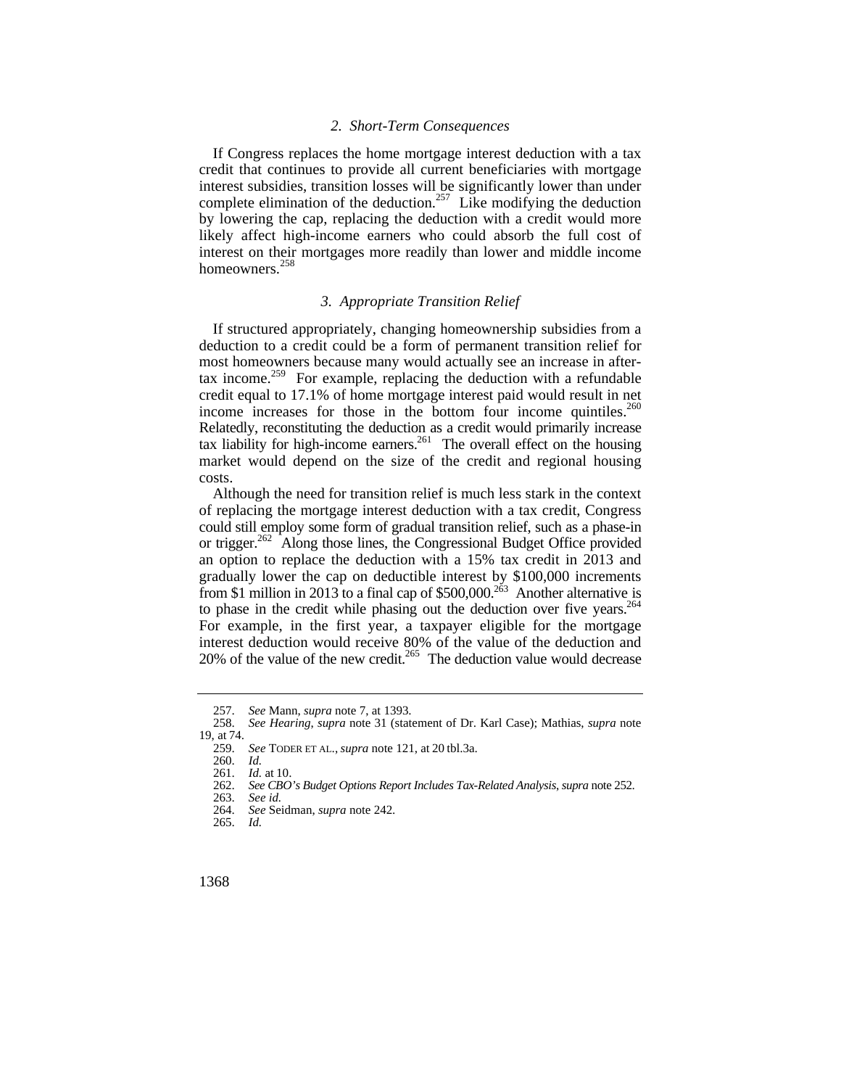#### *2. Short-Term Consequences*

If Congress replaces the home mortgage interest deduction with a tax credit that continues to provide all current beneficiaries with mortgage interest subsidies, transition losses will be significantly lower than under complete elimination of the deduction.<sup>257</sup> Like modifying the deduction by lowering the cap, replacing the deduction with a credit would more likely affect high-income earners who could absorb the full cost of interest on their mortgages more readily than lower and middle income homeowners.<sup>258</sup>

## *3. Appropriate Transition Relief*

tax income.<sup>259</sup> For example, replacing the deduction with a refundable income increases for those in the bottom four income quintiles.<sup>260</sup> If structured appropriately, changing homeownership subsidies from a deduction to a credit could be a form of permanent transition relief for most homeowners because many would actually see an increase in aftercredit equal to 17.1% of home mortgage interest paid would result in net Relatedly, reconstituting the deduction as a credit would primarily increase tax liability for high-income earners.<sup>261</sup> The overall effect on the housing market would depend on the size of the credit and regional housing costs.

to phase in the credit while phasing out the deduction over five years. $264$ 20% of the value of the new credit.<sup>265</sup> The deduction value would decrease Although the need for transition relief is much less stark in the context of replacing the mortgage interest deduction with a tax credit, Congress could still employ some form of gradual transition relief, such as a phase-in or trigger.<sup>262</sup> Along those lines, the Congressional Budget Office provided an option to replace the deduction with a 15% tax credit in 2013 and gradually lower the cap on deductible interest by \$100,000 increments from \$1 million in 2013 to a final cap of  $$500,000.<sup>263</sup>$  Another alternative is For example, in the first year, a taxpayer eligible for the mortgage interest deduction would receive 80% of the value of the deduction and

<sup>257.</sup> *See* Mann, *supra* note 7, at 1393. 258. *See Hearing*, *supra* note 31 (statement of Dr. Karl Case); Mathias, *supra* note 19, at 74.

 259. *See* TODER ET AL., *supra* note 121, at 20 tbl.3a.

<sup>260.</sup> *Id.* 

<sup>261.</sup> *Id.* at 10.

<sup>262.</sup> *See CBO's Budget Options Report Includes Tax-Related Analysis*, *supra* note 252.

<sup>263.</sup> *See id.*  264. *See* Seidman, *supra* note 242.

<sup>265.</sup> *Id.*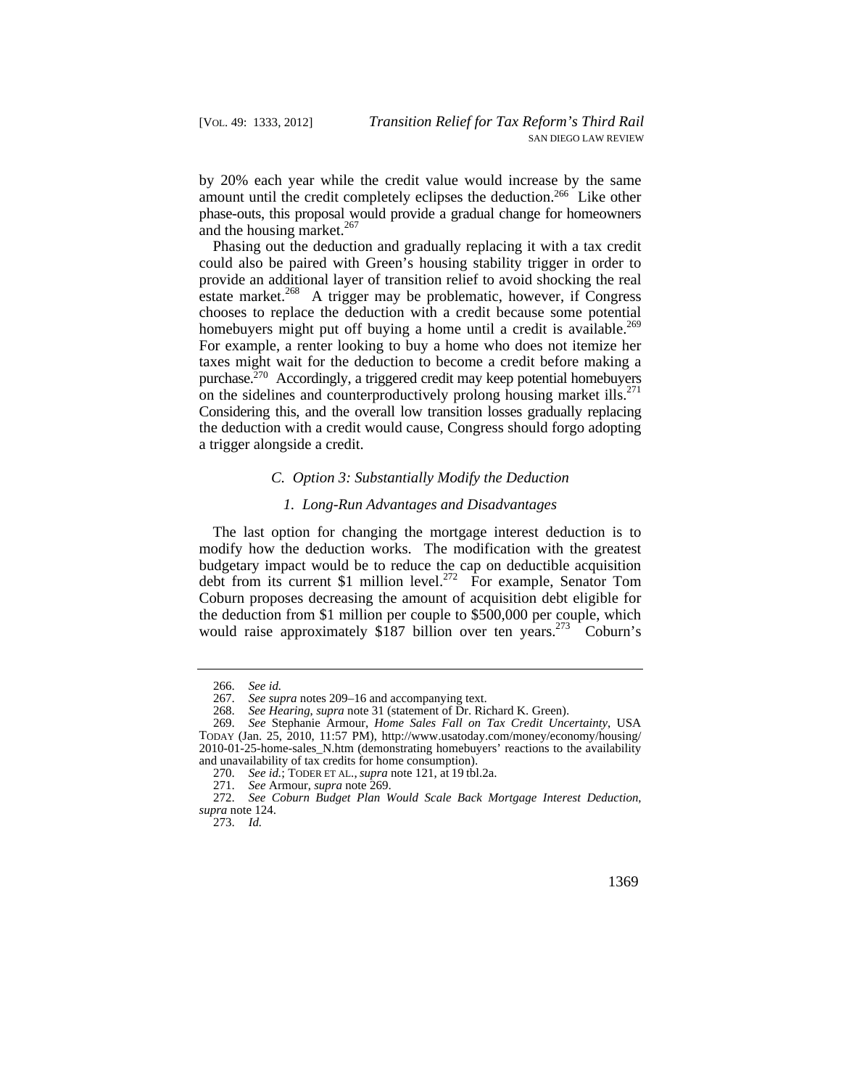by 20% each year while the credit value would increase by the same amount until the credit completely eclipses the deduction.<sup>266</sup> Like other phase-outs, this proposal would provide a gradual change for homeowners and the housing market.<sup>267</sup>

homebuyers might put off buying a home until a credit is available.<sup>269</sup> purchase.<sup>270</sup> Accordingly, a triggered credit may keep potential homebuyers on the sidelines and counterproductively prolong housing market ills.<sup>271</sup> Phasing out the deduction and gradually replacing it with a tax credit could also be paired with Green's housing stability trigger in order to provide an additional layer of transition relief to avoid shocking the real estate market. $268$  A trigger may be problematic, however, if Congress chooses to replace the deduction with a credit because some potential For example, a renter looking to buy a home who does not itemize her taxes might wait for the deduction to become a credit before making a Considering this, and the overall low transition losses gradually replacing the deduction with a credit would cause, Congress should forgo adopting a trigger alongside a credit.

#### *C. Option 3: Substantially Modify the Deduction*

## *1. Long-Run Advantages and Disadvantages*

The last option for changing the mortgage interest deduction is to modify how the deduction works. The modification with the greatest budgetary impact would be to reduce the cap on deductible acquisition debt from its current \$1 million level.<sup>272</sup> For example, Senator Tom Coburn proposes decreasing the amount of acquisition debt eligible for the deduction from \$1 million per couple to \$500,000 per couple, which would raise approximately \$187 billion over ten years.<sup>273</sup> Coburn's

<sup>266.</sup> *See id.* 

<sup>267.</sup> *See supra* notes 209–16 and accompanying text.

<sup>268.</sup> *See Hearing*, *supra* note 31 (statement of Dr. Richard K. Green).

<sup>269.</sup> *See* Stephanie Armour, *Home Sales Fall on Tax Credit Uncertainty*, USA TODAY (Jan. 25, 2010, 11:57 PM), [http://www.usatoday.com/money/economy/housing/](http://www.usatoday.com/money/economy/housing) 2010-01-25-home-sales\_N.htm (demonstrating homebuyers' reactions to the availability and unavailability of tax credits for home consumption).

 270. *See id.*; TODER ET AL., *supra* note 121, at 19 tbl.2a.

<sup>271.</sup> *See* Armour, *supra* note 269.

<sup>272.</sup> *See Coburn Budget Plan Would Scale Back Mortgage Interest Deduction*, *supra* note 124.

<sup>273.</sup> *Id.*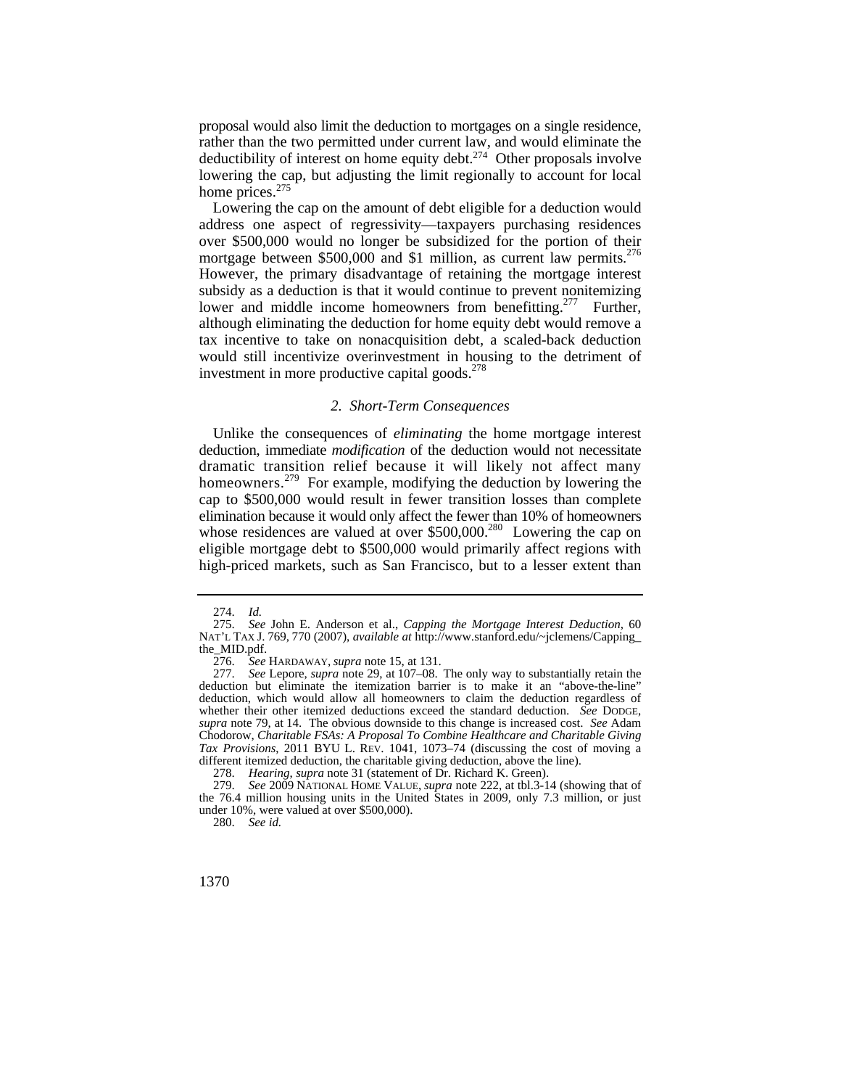proposal would also limit the deduction to mortgages on a single residence, rather than the two permitted under current law, and would eliminate the deductibility of interest on home equity debt.<sup>274</sup> Other proposals involve lowering the cap, but adjusting the limit regionally to account for local home prices.<sup>275</sup>

mortgage between \$500,000 and \$1 million, as current law permits.<sup>276</sup> Lowering the cap on the amount of debt eligible for a deduction would address one aspect of regressivity—taxpayers purchasing residences over \$500,000 would no longer be subsidized for the portion of their However, the primary disadvantage of retaining the mortgage interest subsidy as a deduction is that it would continue to prevent nonitemizing lower and middle income homeowners from benefitting.<sup>277</sup> Further, although eliminating the deduction for home equity debt would remove a tax incentive to take on nonacquisition debt, a scaled-back deduction would still incentivize overinvestment in housing to the detriment of investment in more productive capital goods.<sup>278</sup>

#### *2. Short-Term Consequences*

 eligible mortgage debt to \$500,000 would primarily affect regions with Unlike the consequences of *eliminating* the home mortgage interest deduction, immediate *modification* of the deduction would not necessitate dramatic transition relief because it will likely not affect many homeowners.<sup>279</sup> For example, modifying the deduction by lowering the cap to \$500,000 would result in fewer transition losses than complete elimination because it would only affect the fewer than 10% of homeowners whose residences are valued at over \$500,000.<sup>280</sup> Lowering the cap on high-priced markets, such as San Francisco, but to a lesser extent than

<sup>274.</sup> *Id.* 

 NAT'L TAX J. 769, 770 (2007), *available at*<http://www.stanford.edu/~jclemens/Capping>\_ 275. *See* John E. Anderson et al., *Capping the Mortgage Interest Deduction*, 60 the\_MID.pdf.

<sup>276.</sup> *See* HARDAWAY, *supra* note 15, at 131.

 277. *See* Lepore, *supra* note 29, at 107–08. The only way to substantially retain the *Tax Provisions*, 2011 BYU L. REV. 1041, 1073–74 (discussing the cost of moving a deduction but eliminate the itemization barrier is to make it an "above-the-line" deduction, which would allow all homeowners to claim the deduction regardless of whether their other itemized deductions exceed the standard deduction. *See* DODGE, *supra* note 79, at 14. The obvious downside to this change is increased cost. *See* Adam Chodorow, *Charitable FSAs: A Proposal To Combine Healthcare and Charitable Giving*  different itemized deduction, the charitable giving deduction, above the line).

<sup>278.</sup> *Hearing*, *supra* note 31 (statement of Dr. Richard K. Green).

<sup>279.</sup> *See* 2009 NATIONAL HOME VALUE, *supra* note 222, at tbl.3-14 (showing that of the 76.4 million housing units in the United States in 2009, only 7.3 million, or just under 10%, were valued at over \$500,000).

<sup>280.</sup> *See id.*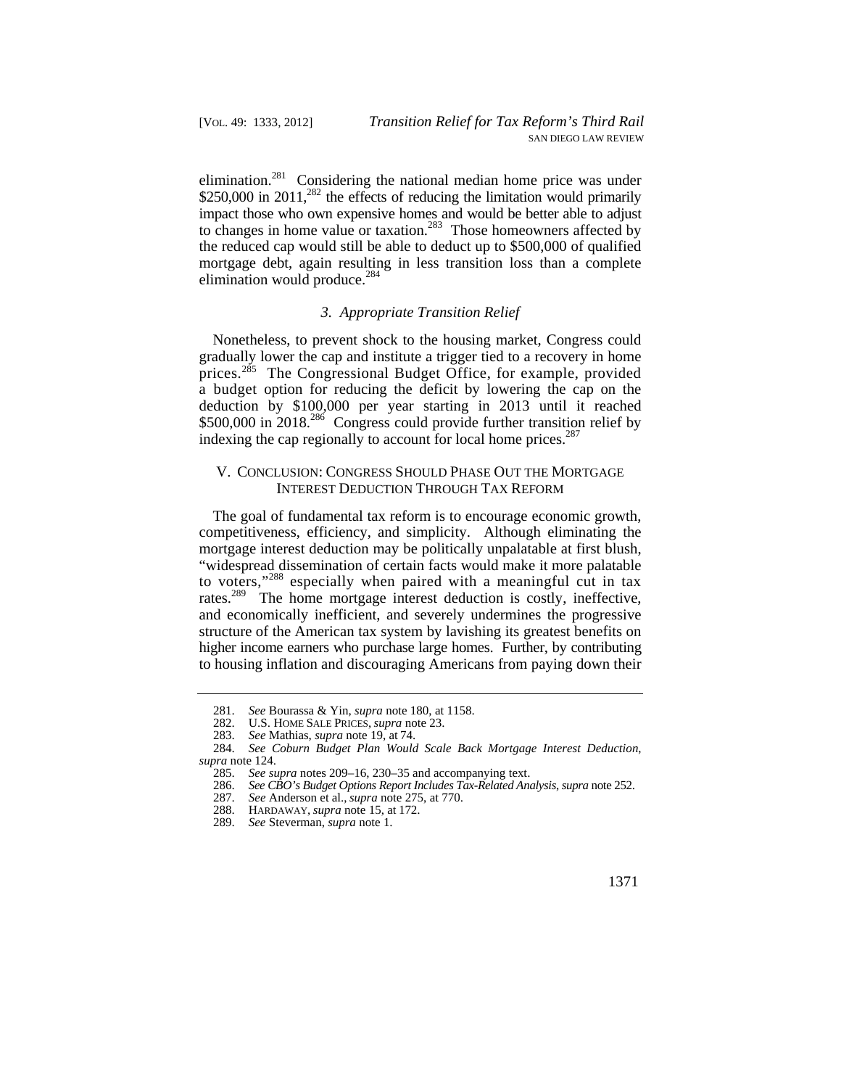to changes in home value or taxation.<sup>283</sup> Those homeowners affected by elimination.<sup>281</sup> Considering the national median home price was under \$250,000 in 2011, $^{282}$  the effects of reducing the limitation would primarily impact those who own expensive homes and would be better able to adjust the reduced cap would still be able to deduct up to \$500,000 of qualified mortgage debt, again resulting in less transition loss than a complete elimination would produce. $284$ 

#### *3. Appropriate Transition Relief*

Nonetheless, to prevent shock to the housing market, Congress could gradually lower the cap and institute a trigger tied to a recovery in home prices.<sup>285</sup> The Congressional Budget Office, for example, provided a budget option for reducing the deficit by lowering the cap on the deduction by \$100,000 per year starting in 2013 until it reached \$500,000 in 2018.<sup>286</sup> Congress could provide further transition relief by indexing the cap regionally to account for local home prices.<sup>287</sup>

## V. CONCLUSION: CONGRESS SHOULD PHASE OUT THE MORTGAGE INTEREST DEDUCTION THROUGH TAX REFORM

The goal of fundamental tax reform is to encourage economic growth, competitiveness, efficiency, and simplicity. Although eliminating the mortgage interest deduction may be politically unpalatable at first blush, "widespread dissemination of certain facts would make it more palatable to voters,"288 especially when paired with a meaningful cut in tax rates.<sup>289</sup> The home mortgage interest deduction is costly, ineffective, and economically inefficient, and severely undermines the progressive structure of the American tax system by lavishing its greatest benefits on higher income earners who purchase large homes. Further, by contributing to housing inflation and discouraging Americans from paying down their

<sup>281.</sup> *See* Bourassa & Yin, *supra* note 180, at 1158.

 <sup>282.</sup> U.S. HOME SALE PRICES, *supra* note 23.

<sup>283.</sup> *See* Mathias, *supra* note 19, at 74.

<sup>284.</sup> *See Coburn Budget Plan Would Scale Back Mortgage Interest Deduction*, *supra* note 124.

<sup>285.</sup> *See supra* notes 209–16, 230–35 and accompanying text.<br>286. *See CBO's Budget Options Report Includes Tax-Related And* 

<sup>286.</sup> *See CBO's Budget Options Report Includes Tax-Related Analysis*, *supra* note 252.

See Anderson et al., *supra* note 275, at 770.

 <sup>288.</sup> HARDAWAY, *supra* note 15, at 172.

<sup>289.</sup> *See* Steverman, *supra* note 1.